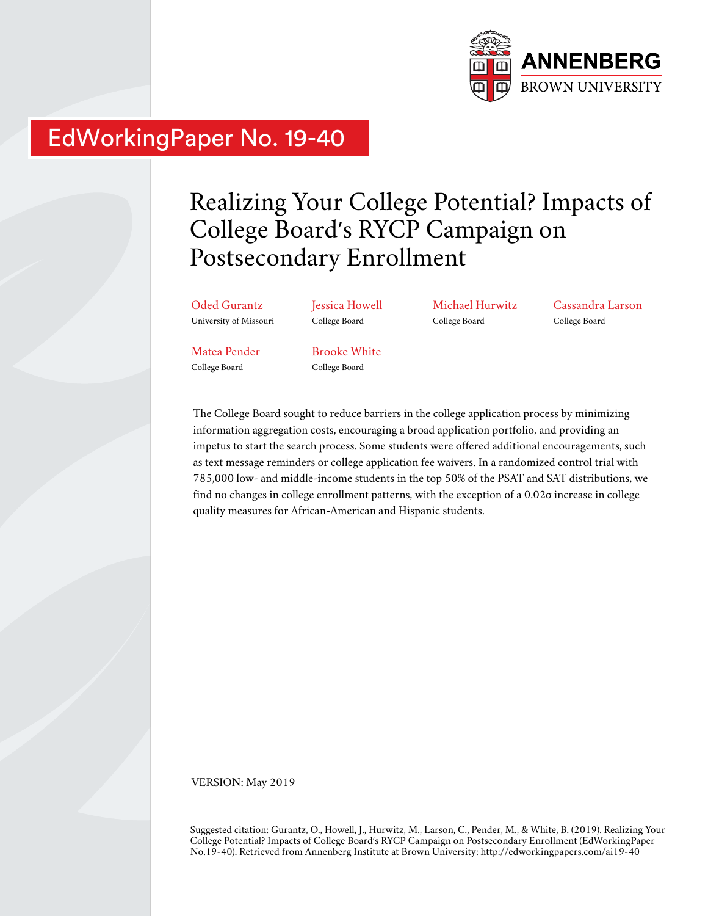

# EdWorkingPaper No. 19-40

# Realizing Your College Potential? Impacts of College Board's RYCP Campaign on Postsecondary Enrollment

Oded Gurantz University of Missouri Jessica Howell College Board

Michael Hurwitz College Board

Cassandra Larson College Board

Matea Pender College Board

Brooke White College Board

The College Board sought to reduce barriers in the college application process by minimizing information aggregation costs, encouraging a broad application portfolio, and providing an impetus to start the search process. Some students were offered additional encouragements, such as text message reminders or college application fee waivers. In a randomized control trial with 785,000 low- and middle-income students in the top 50% of the PSAT and SAT distributions, we find no changes in college enrollment patterns, with the exception of a 0.02σ increase in college quality measures for African-American and Hispanic students.

VERSION: May 2019

Suggested citation: Gurantz, O., Howell, J., Hurwitz, M., Larson, C., Pender, M., & White, B. (2019). Realizing Your College Potential? Impacts of College Board's RYCP Campaign on Postsecondary Enrollment (EdWorkingPaper No.19-40). Retrieved from Annenberg Institute at Brown University: http://edworkingpapers.com/ai19-40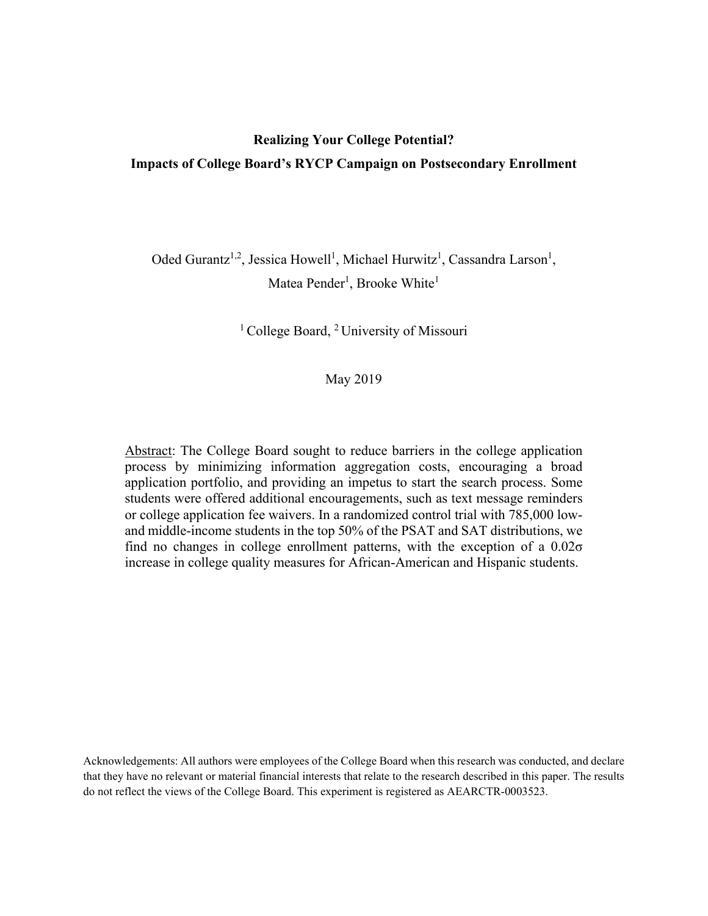### **Realizing Your College Potential?**

### **Impacts of College Board's RYCP Campaign on Postsecondary Enrollment**

Oded Gurantz<sup>1,2</sup>, Jessica Howell<sup>1</sup>, Michael Hurwitz<sup>1</sup>, Cassandra Larson<sup>1</sup>, Matea Pender<sup>1</sup>, Brooke White<sup>1</sup>

<sup>1</sup> College Board, <sup>2</sup> University of Missouri

May 2019

Abstract: The College Board sought to reduce barriers in the college application process by minimizing information aggregation costs, encouraging a broad application portfolio, and providing an impetus to start the search process. Some students were offered additional encouragements, such as text message reminders or college application fee waivers. In a randomized control trial with 785,000 lowand middle-income students in the top 50% of the PSAT and SAT distributions, we find no changes in college enrollment patterns, with the exception of a 0.02σ increase in college quality measures for African-American and Hispanic students.

Acknowledgements: All authors were employees of the College Board when this research was conducted, and declare that they have no relevant or material financial interests that relate to the research described in this paper. The results do not reflect the views of the College Board. This experiment is registered as AEARCTR-0003523.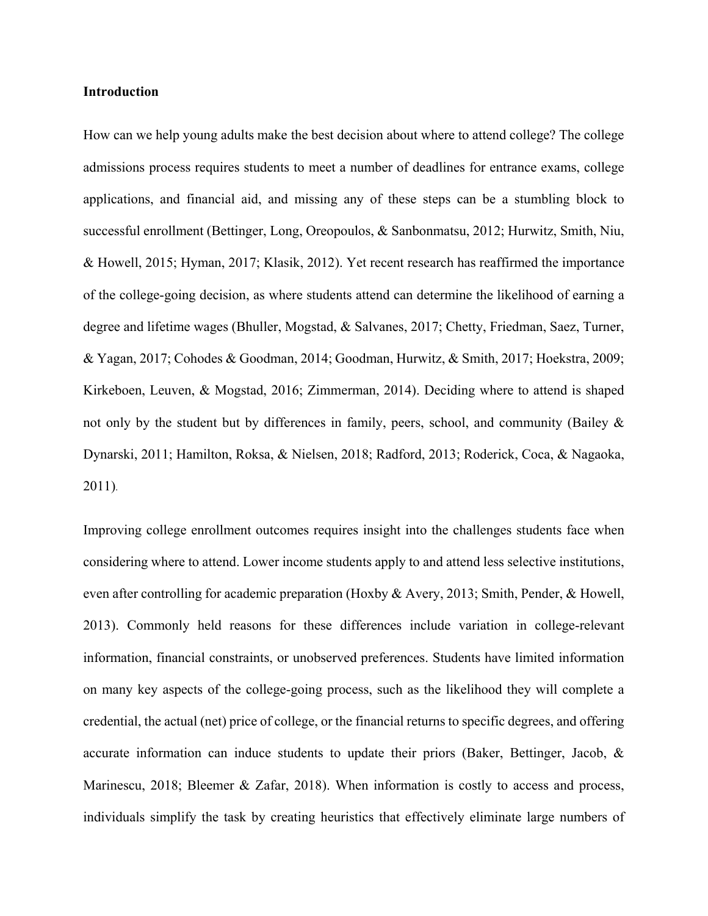### **Introduction**

How can we help young adults make the best decision about where to attend college? The college admissions process requires students to meet a number of deadlines for entrance exams, college applications, and financial aid, and missing any of these steps can be a stumbling block to successful enrollment (Bettinger, Long, Oreopoulos, & Sanbonmatsu, 2012; Hurwitz, Smith, Niu, & Howell, 2015; Hyman, 2017; Klasik, 2012). Yet recent research has reaffirmed the importance of the college-going decision, as where students attend can determine the likelihood of earning a degree and lifetime wages (Bhuller, Mogstad, & Salvanes, 2017; Chetty, Friedman, Saez, Turner, & Yagan, 2017; Cohodes & Goodman, 2014; Goodman, Hurwitz, & Smith, 2017; Hoekstra, 2009; Kirkeboen, Leuven, & Mogstad, 2016; Zimmerman, 2014). Deciding where to attend is shaped not only by the student but by differences in family, peers, school, and community (Bailey & Dynarski, 2011; Hamilton, Roksa, & Nielsen, 2018; Radford, 2013; Roderick, Coca, & Nagaoka, 2011).

Improving college enrollment outcomes requires insight into the challenges students face when considering where to attend. Lower income students apply to and attend less selective institutions, even after controlling for academic preparation (Hoxby & Avery, 2013; Smith, Pender, & Howell, 2013). Commonly held reasons for these differences include variation in college-relevant information, financial constraints, or unobserved preferences. Students have limited information on many key aspects of the college-going process, such as the likelihood they will complete a credential, the actual (net) price of college, or the financial returns to specific degrees, and offering accurate information can induce students to update their priors (Baker, Bettinger, Jacob, & Marinescu, 2018; Bleemer & Zafar, 2018). When information is costly to access and process, individuals simplify the task by creating heuristics that effectively eliminate large numbers of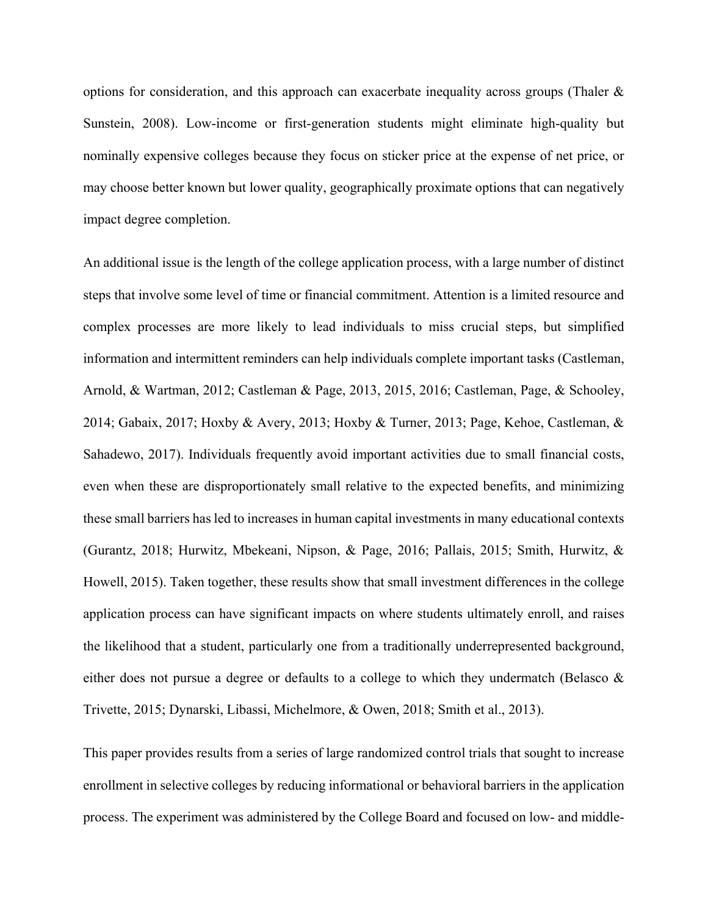options for consideration, and this approach can exacerbate inequality across groups (Thaler & Sunstein, 2008). Low-income or first-generation students might eliminate high-quality but nominally expensive colleges because they focus on sticker price at the expense of net price, or may choose better known but lower quality, geographically proximate options that can negatively impact degree completion.

An additional issue is the length of the college application process, with a large number of distinct steps that involve some level of time or financial commitment. Attention is a limited resource and complex processes are more likely to lead individuals to miss crucial steps, but simplified information and intermittent reminders can help individuals complete important tasks (Castleman, Arnold, & Wartman, 2012; Castleman & Page, 2013, 2015, 2016; Castleman, Page, & Schooley, 2014; Gabaix, 2017; Hoxby & Avery, 2013; Hoxby & Turner, 2013; Page, Kehoe, Castleman, & Sahadewo, 2017). Individuals frequently avoid important activities due to small financial costs, even when these are disproportionately small relative to the expected benefits, and minimizing these small barriers has led to increases in human capital investments in many educational contexts (Gurantz, 2018; Hurwitz, Mbekeani, Nipson, & Page, 2016; Pallais, 2015; Smith, Hurwitz, & Howell, 2015). Taken together, these results show that small investment differences in the college application process can have significant impacts on where students ultimately enroll, and raises the likelihood that a student, particularly one from a traditionally underrepresented background, either does not pursue a degree or defaults to a college to which they undermatch (Belasco & Trivette, 2015; Dynarski, Libassi, Michelmore, & Owen, 2018; Smith et al., 2013).

This paper provides results from a series of large randomized control trials that sought to increase enrollment in selective colleges by reducing informational or behavioral barriers in the application process. The experiment was administered by the College Board and focused on low- and middle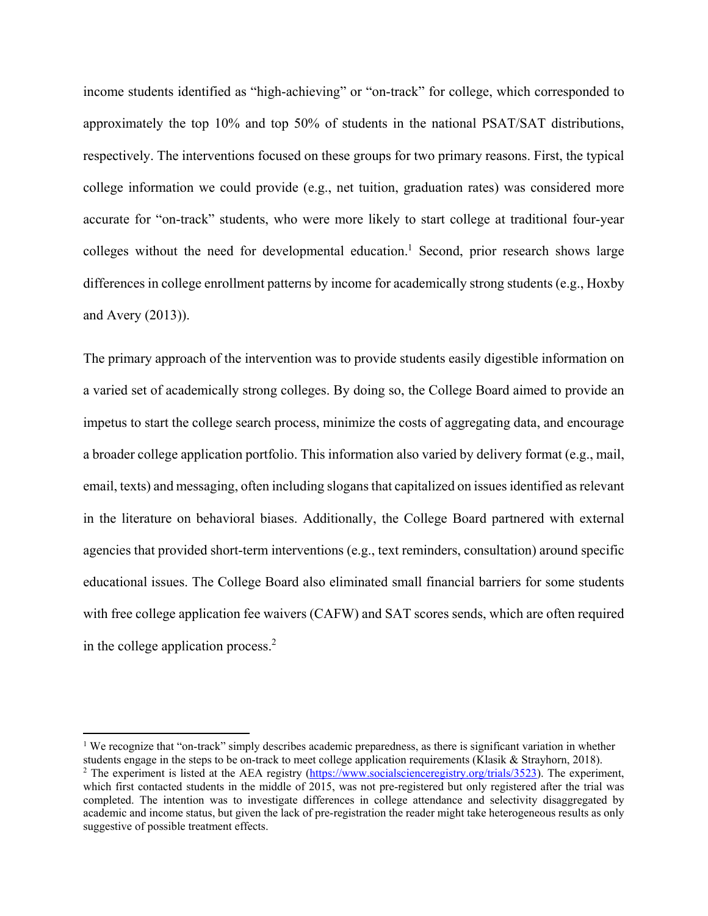income students identified as "high-achieving" or "on-track" for college, which corresponded to approximately the top 10% and top 50% of students in the national PSAT/SAT distributions, respectively. The interventions focused on these groups for two primary reasons. First, the typical college information we could provide (e.g., net tuition, graduation rates) was considered more accurate for "on-track" students, who were more likely to start college at traditional four-year colleges without the need for developmental education.<sup>1</sup> Second, prior research shows large differences in college enrollment patterns by income for academically strong students (e.g., Hoxby and Avery (2013)).

The primary approach of the intervention was to provide students easily digestible information on a varied set of academically strong colleges. By doing so, the College Board aimed to provide an impetus to start the college search process, minimize the costs of aggregating data, and encourage a broader college application portfolio. This information also varied by delivery format (e.g., mail, email, texts) and messaging, often including slogans that capitalized on issues identified as relevant in the literature on behavioral biases. Additionally, the College Board partnered with external agencies that provided short-term interventions (e.g., text reminders, consultation) around specific educational issues. The College Board also eliminated small financial barriers for some students with free college application fee waivers (CAFW) and SAT scores sends, which are often required in the college application process.<sup>2</sup>

<sup>&</sup>lt;sup>1</sup> We recognize that "on-track" simply describes academic preparedness, as there is significant variation in whether students engage in the steps to be on-track to meet college application requirements (Klasik & Strayhorn, 2018).

<sup>&</sup>lt;sup>2</sup> The experiment is listed at the AEA registry ( $\frac{https://www.socialscience registry.org/trials/3523)}{https://www.socialscience registry.org/trials/3523)}$ . The experiment, which first contacted students in the middle of 2015, was not pre-registered but only registered after the trial was completed. The intention was to investigate differences in college attendance and selectivity disaggregated by academic and income status, but given the lack of pre-registration the reader might take heterogeneous results as only suggestive of possible treatment effects.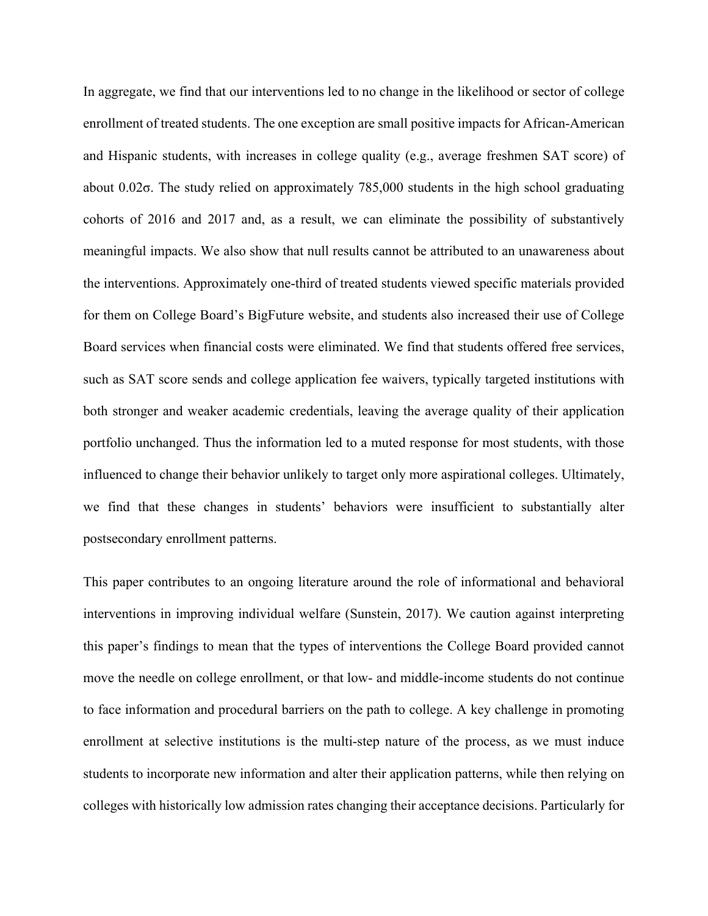In aggregate, we find that our interventions led to no change in the likelihood or sector of college enrollment of treated students. The one exception are small positive impacts for African-American and Hispanic students, with increases in college quality (e.g., average freshmen SAT score) of about 0.02σ. The study relied on approximately 785,000 students in the high school graduating cohorts of 2016 and 2017 and, as a result, we can eliminate the possibility of substantively meaningful impacts. We also show that null results cannot be attributed to an unawareness about the interventions. Approximately one-third of treated students viewed specific materials provided for them on College Board's BigFuture website, and students also increased their use of College Board services when financial costs were eliminated. We find that students offered free services, such as SAT score sends and college application fee waivers, typically targeted institutions with both stronger and weaker academic credentials, leaving the average quality of their application portfolio unchanged. Thus the information led to a muted response for most students, with those influenced to change their behavior unlikely to target only more aspirational colleges. Ultimately, we find that these changes in students' behaviors were insufficient to substantially alter postsecondary enrollment patterns.

This paper contributes to an ongoing literature around the role of informational and behavioral interventions in improving individual welfare (Sunstein, 2017). We caution against interpreting this paper's findings to mean that the types of interventions the College Board provided cannot move the needle on college enrollment, or that low- and middle-income students do not continue to face information and procedural barriers on the path to college. A key challenge in promoting enrollment at selective institutions is the multi-step nature of the process, as we must induce students to incorporate new information and alter their application patterns, while then relying on colleges with historically low admission rates changing their acceptance decisions. Particularly for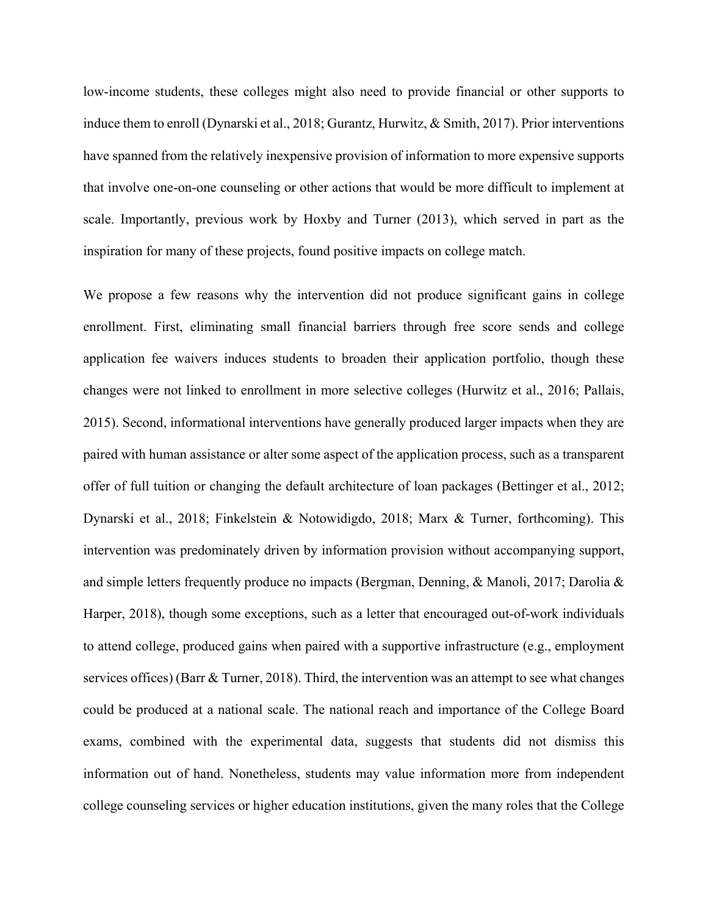low-income students, these colleges might also need to provide financial or other supports to induce them to enroll (Dynarski et al., 2018; Gurantz, Hurwitz, & Smith, 2017). Prior interventions have spanned from the relatively inexpensive provision of information to more expensive supports that involve one-on-one counseling or other actions that would be more difficult to implement at scale. Importantly, previous work by Hoxby and Turner (2013), which served in part as the inspiration for many of these projects, found positive impacts on college match.

We propose a few reasons why the intervention did not produce significant gains in college enrollment. First, eliminating small financial barriers through free score sends and college application fee waivers induces students to broaden their application portfolio, though these changes were not linked to enrollment in more selective colleges (Hurwitz et al., 2016; Pallais, 2015). Second, informational interventions have generally produced larger impacts when they are paired with human assistance or alter some aspect of the application process, such as a transparent offer of full tuition or changing the default architecture of loan packages (Bettinger et al., 2012; Dynarski et al., 2018; Finkelstein & Notowidigdo, 2018; Marx & Turner, forthcoming). This intervention was predominately driven by information provision without accompanying support, and simple letters frequently produce no impacts (Bergman, Denning, & Manoli, 2017; Darolia & Harper, 2018), though some exceptions, such as a letter that encouraged out-of-work individuals to attend college, produced gains when paired with a supportive infrastructure (e.g., employment services offices) (Barr & Turner, 2018). Third, the intervention was an attempt to see what changes could be produced at a national scale. The national reach and importance of the College Board exams, combined with the experimental data, suggests that students did not dismiss this information out of hand. Nonetheless, students may value information more from independent college counseling services or higher education institutions, given the many roles that the College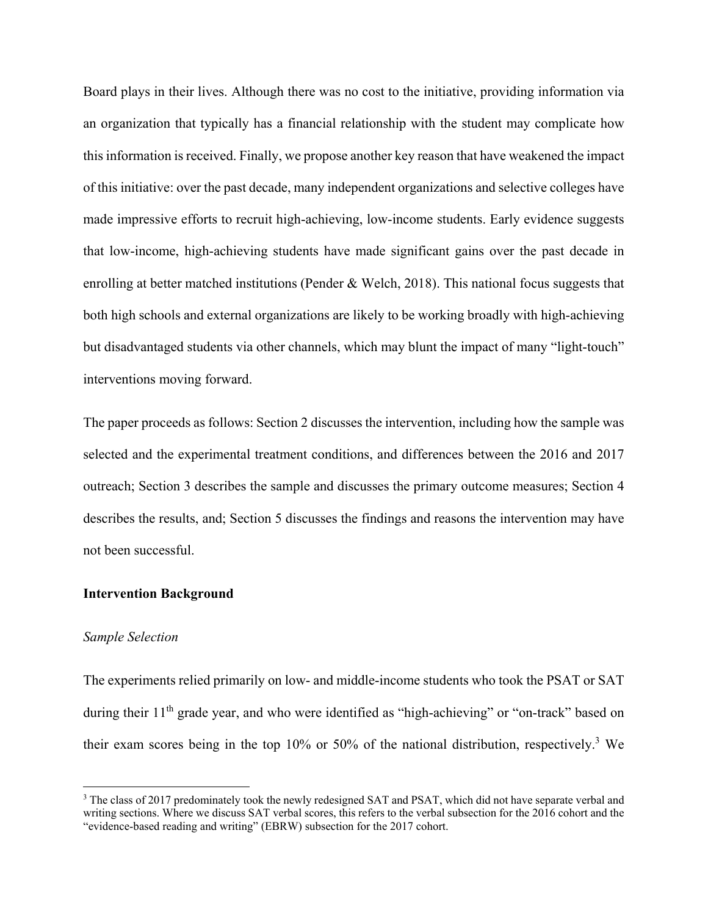Board plays in their lives. Although there was no cost to the initiative, providing information via an organization that typically has a financial relationship with the student may complicate how this information is received. Finally, we propose another key reason that have weakened the impact of this initiative: over the past decade, many independent organizations and selective colleges have made impressive efforts to recruit high-achieving, low-income students. Early evidence suggests that low-income, high-achieving students have made significant gains over the past decade in enrolling at better matched institutions (Pender & Welch, 2018). This national focus suggests that both high schools and external organizations are likely to be working broadly with high-achieving but disadvantaged students via other channels, which may blunt the impact of many "light-touch" interventions moving forward.

The paper proceeds as follows: Section 2 discusses the intervention, including how the sample was selected and the experimental treatment conditions, and differences between the 2016 and 2017 outreach; Section 3 describes the sample and discusses the primary outcome measures; Section 4 describes the results, and; Section 5 discusses the findings and reasons the intervention may have not been successful.

### **Intervention Background**

### *Sample Selection*

The experiments relied primarily on low- and middle-income students who took the PSAT or SAT during their 11<sup>th</sup> grade year, and who were identified as "high-achieving" or "on-track" based on their exam scores being in the top  $10\%$  or 50% of the national distribution, respectively.<sup>3</sup> We

<sup>&</sup>lt;sup>3</sup> The class of 2017 predominately took the newly redesigned SAT and PSAT, which did not have separate verbal and writing sections. Where we discuss SAT verbal scores, this refers to the verbal subsection for the 2016 cohort and the "evidence-based reading and writing" (EBRW) subsection for the 2017 cohort.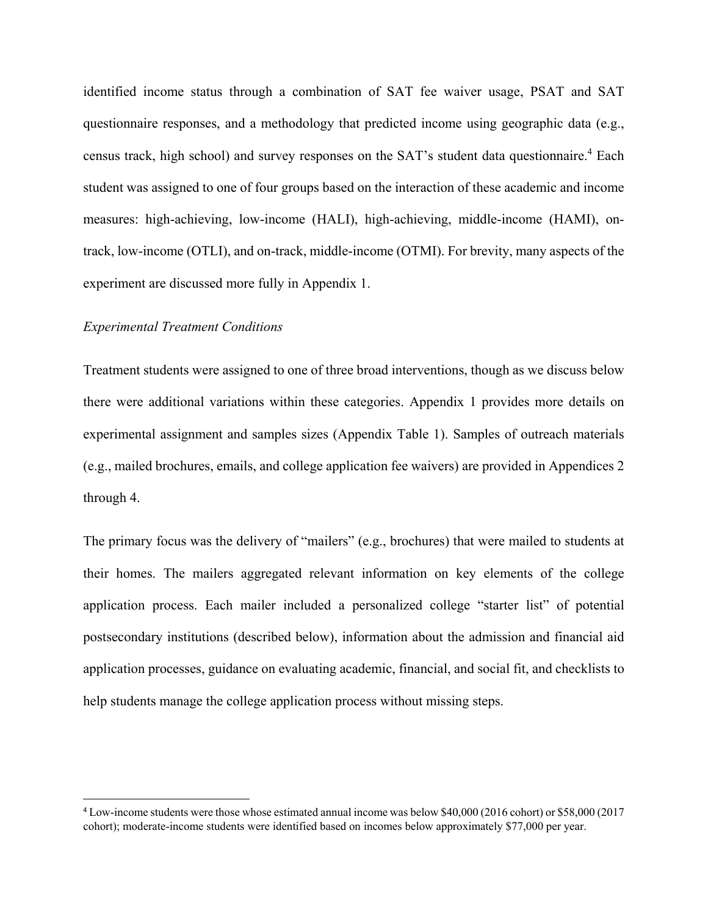identified income status through a combination of SAT fee waiver usage, PSAT and SAT questionnaire responses, and a methodology that predicted income using geographic data (e.g., census track, high school) and survey responses on the SAT's student data questionnaire.<sup>4</sup> Each student was assigned to one of four groups based on the interaction of these academic and income measures: high-achieving, low-income (HALI), high-achieving, middle-income (HAMI), ontrack, low-income (OTLI), and on-track, middle-income (OTMI). For brevity, many aspects of the experiment are discussed more fully in Appendix 1.

### *Experimental Treatment Conditions*

Treatment students were assigned to one of three broad interventions, though as we discuss below there were additional variations within these categories. Appendix 1 provides more details on experimental assignment and samples sizes (Appendix Table 1). Samples of outreach materials (e.g., mailed brochures, emails, and college application fee waivers) are provided in Appendices 2 through 4.

The primary focus was the delivery of "mailers" (e.g., brochures) that were mailed to students at their homes. The mailers aggregated relevant information on key elements of the college application process. Each mailer included a personalized college "starter list" of potential postsecondary institutions (described below), information about the admission and financial aid application processes, guidance on evaluating academic, financial, and social fit, and checklists to help students manage the college application process without missing steps.

<sup>4</sup> Low-income students were those whose estimated annual income was below \$40,000 (2016 cohort) or \$58,000 (2017 cohort); moderate-income students were identified based on incomes below approximately \$77,000 per year.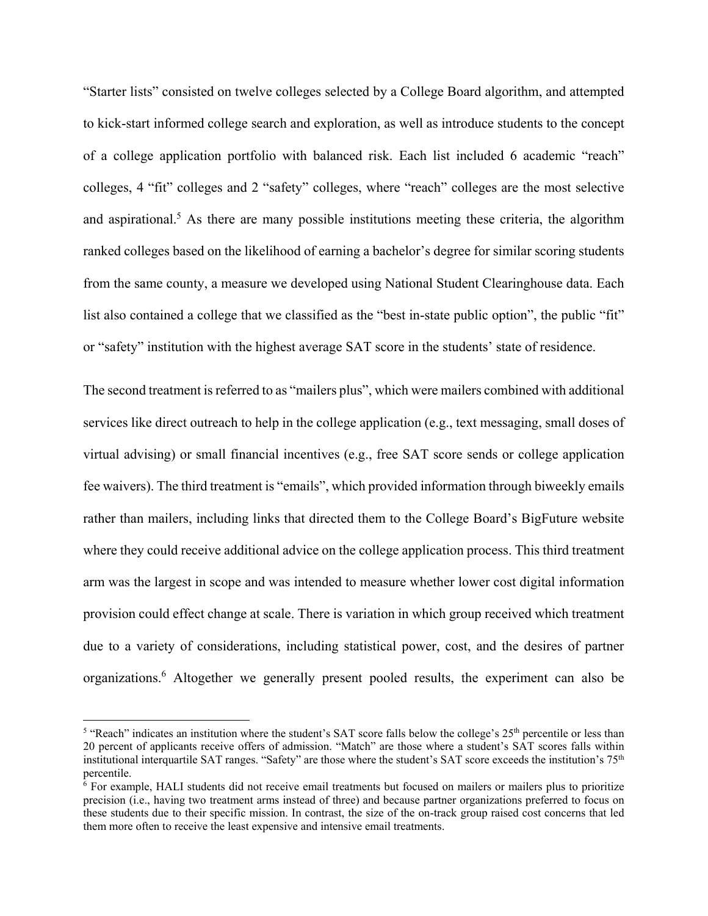"Starter lists" consisted on twelve colleges selected by a College Board algorithm, and attempted to kick-start informed college search and exploration, as well as introduce students to the concept of a college application portfolio with balanced risk. Each list included 6 academic "reach" colleges, 4 "fit" colleges and 2 "safety" colleges, where "reach" colleges are the most selective and aspirational.<sup>5</sup> As there are many possible institutions meeting these criteria, the algorithm ranked colleges based on the likelihood of earning a bachelor's degree for similar scoring students from the same county, a measure we developed using National Student Clearinghouse data. Each list also contained a college that we classified as the "best in-state public option", the public "fit" or "safety" institution with the highest average SAT score in the students' state of residence.

The second treatment is referred to as "mailers plus", which were mailers combined with additional services like direct outreach to help in the college application (e.g., text messaging, small doses of virtual advising) or small financial incentives (e.g., free SAT score sends or college application fee waivers). The third treatment is "emails", which provided information through biweekly emails rather than mailers, including links that directed them to the College Board's BigFuture website where they could receive additional advice on the college application process. This third treatment arm was the largest in scope and was intended to measure whether lower cost digital information provision could effect change at scale. There is variation in which group received which treatment due to a variety of considerations, including statistical power, cost, and the desires of partner organizations.<sup>6</sup> Altogether we generally present pooled results, the experiment can also be

<sup>&</sup>lt;sup>5</sup> "Reach" indicates an institution where the student's SAT score falls below the college's  $25<sup>th</sup>$  percentile or less than 20 percent of applicants receive offers of admission. "Match" are those where a student's SAT scores falls within institutional interquartile SAT ranges. "Safety" are those where the student's SAT score exceeds the institution's 75<sup>th</sup> percentile.

<sup>6</sup> For example, HALI students did not receive email treatments but focused on mailers or mailers plus to prioritize precision (i.e., having two treatment arms instead of three) and because partner organizations preferred to focus on these students due to their specific mission. In contrast, the size of the on-track group raised cost concerns that led them more often to receive the least expensive and intensive email treatments.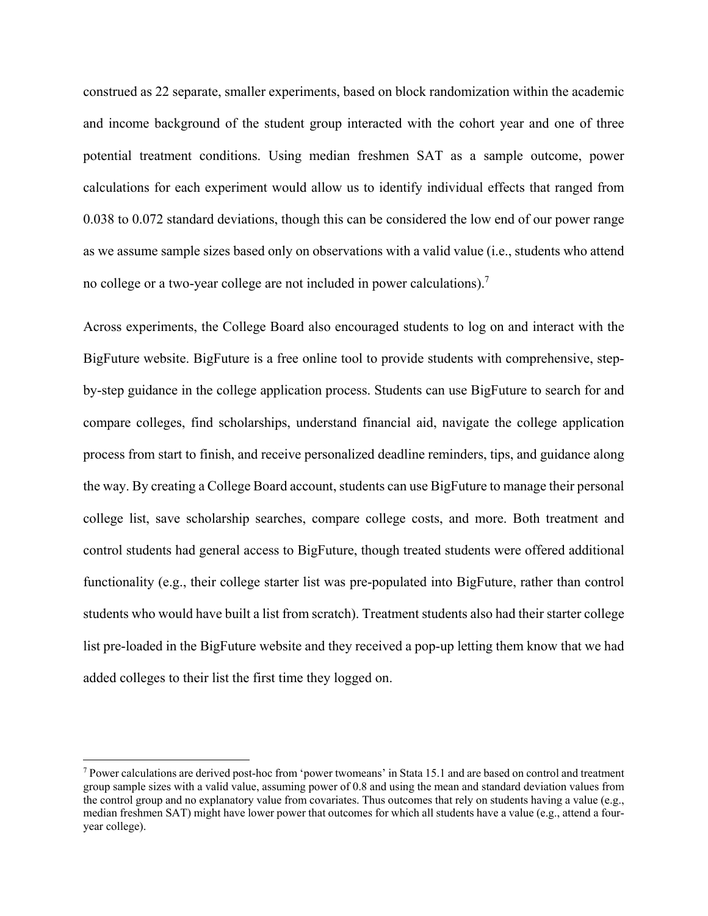construed as 22 separate, smaller experiments, based on block randomization within the academic and income background of the student group interacted with the cohort year and one of three potential treatment conditions. Using median freshmen SAT as a sample outcome, power calculations for each experiment would allow us to identify individual effects that ranged from 0.038 to 0.072 standard deviations, though this can be considered the low end of our power range as we assume sample sizes based only on observations with a valid value (i.e., students who attend no college or a two-year college are not included in power calculations).<sup>7</sup>

Across experiments, the College Board also encouraged students to log on and interact with the BigFuture website. BigFuture is a free online tool to provide students with comprehensive, stepby-step guidance in the college application process. Students can use BigFuture to search for and compare colleges, find scholarships, understand financial aid, navigate the college application process from start to finish, and receive personalized deadline reminders, tips, and guidance along the way. By creating a College Board account, students can use BigFuture to manage their personal college list, save scholarship searches, compare college costs, and more. Both treatment and control students had general access to BigFuture, though treated students were offered additional functionality (e.g., their college starter list was pre-populated into BigFuture, rather than control students who would have built a list from scratch). Treatment students also had their starter college list pre-loaded in the BigFuture website and they received a pop-up letting them know that we had added colleges to their list the first time they logged on.

 $<sup>7</sup>$  Power calculations are derived post-hoc from 'power twomeans' in Stata 15.1 and are based on control and treatment</sup> group sample sizes with a valid value, assuming power of 0.8 and using the mean and standard deviation values from the control group and no explanatory value from covariates. Thus outcomes that rely on students having a value (e.g., median freshmen SAT) might have lower power that outcomes for which all students have a value (e.g., attend a fouryear college).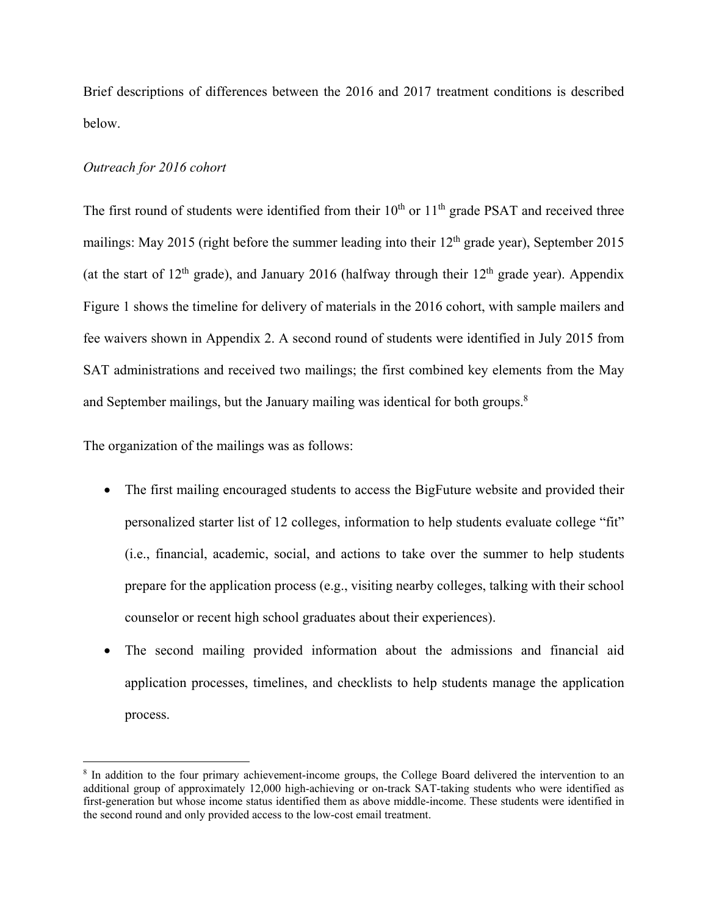Brief descriptions of differences between the 2016 and 2017 treatment conditions is described below.

### *Outreach for 2016 cohort*

The first round of students were identified from their 10<sup>th</sup> or 11<sup>th</sup> grade PSAT and received three mailings: May 2015 (right before the summer leading into their  $12<sup>th</sup>$  grade year), September 2015 (at the start of  $12<sup>th</sup>$  grade), and January 2016 (halfway through their  $12<sup>th</sup>$  grade year). Appendix Figure 1 shows the timeline for delivery of materials in the 2016 cohort, with sample mailers and fee waivers shown in Appendix 2. A second round of students were identified in July 2015 from SAT administrations and received two mailings; the first combined key elements from the May and September mailings, but the January mailing was identical for both groups.<sup>8</sup>

The organization of the mailings was as follows:

- The first mailing encouraged students to access the BigFuture website and provided their personalized starter list of 12 colleges, information to help students evaluate college "fit" (i.e., financial, academic, social, and actions to take over the summer to help students prepare for the application process (e.g., visiting nearby colleges, talking with their school counselor or recent high school graduates about their experiences).
- The second mailing provided information about the admissions and financial aid application processes, timelines, and checklists to help students manage the application process.

<sup>&</sup>lt;sup>8</sup> In addition to the four primary achievement-income groups, the College Board delivered the intervention to an additional group of approximately 12,000 high-achieving or on-track SAT-taking students who were identified as first-generation but whose income status identified them as above middle-income. These students were identified in the second round and only provided access to the low-cost email treatment.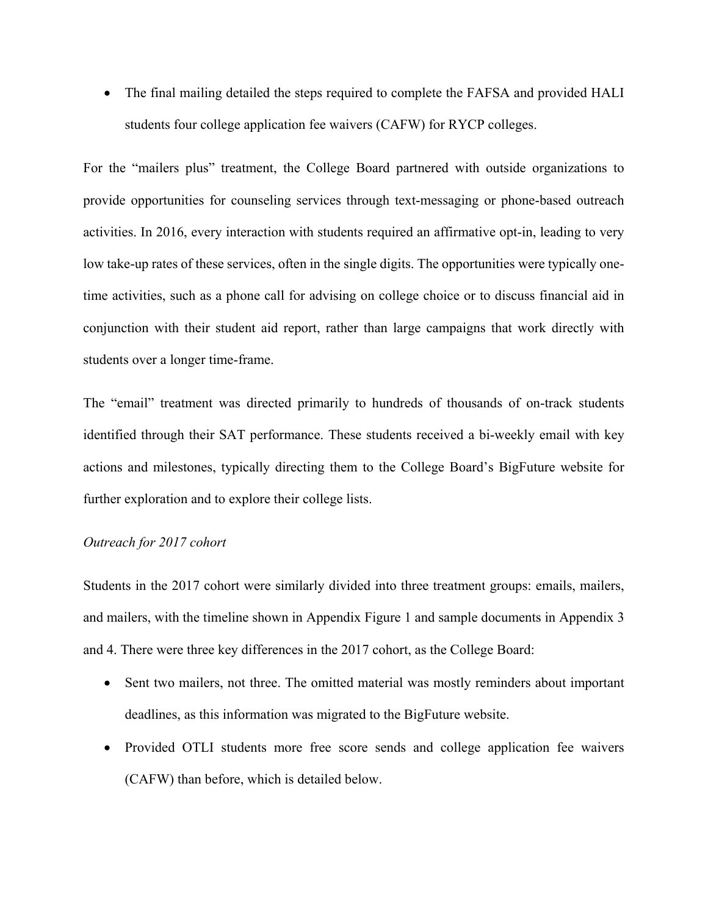• The final mailing detailed the steps required to complete the FAFSA and provided HALI students four college application fee waivers (CAFW) for RYCP colleges.

For the "mailers plus" treatment, the College Board partnered with outside organizations to provide opportunities for counseling services through text-messaging or phone-based outreach activities. In 2016, every interaction with students required an affirmative opt-in, leading to very low take-up rates of these services, often in the single digits. The opportunities were typically onetime activities, such as a phone call for advising on college choice or to discuss financial aid in conjunction with their student aid report, rather than large campaigns that work directly with students over a longer time-frame.

The "email" treatment was directed primarily to hundreds of thousands of on-track students identified through their SAT performance. These students received a bi-weekly email with key actions and milestones, typically directing them to the College Board's BigFuture website for further exploration and to explore their college lists.

# *Outreach for 2017 cohort*

Students in the 2017 cohort were similarly divided into three treatment groups: emails, mailers, and mailers, with the timeline shown in Appendix Figure 1 and sample documents in Appendix 3 and 4. There were three key differences in the 2017 cohort, as the College Board:

- Sent two mailers, not three. The omitted material was mostly reminders about important deadlines, as this information was migrated to the BigFuture website.
- Provided OTLI students more free score sends and college application fee waivers (CAFW) than before, which is detailed below.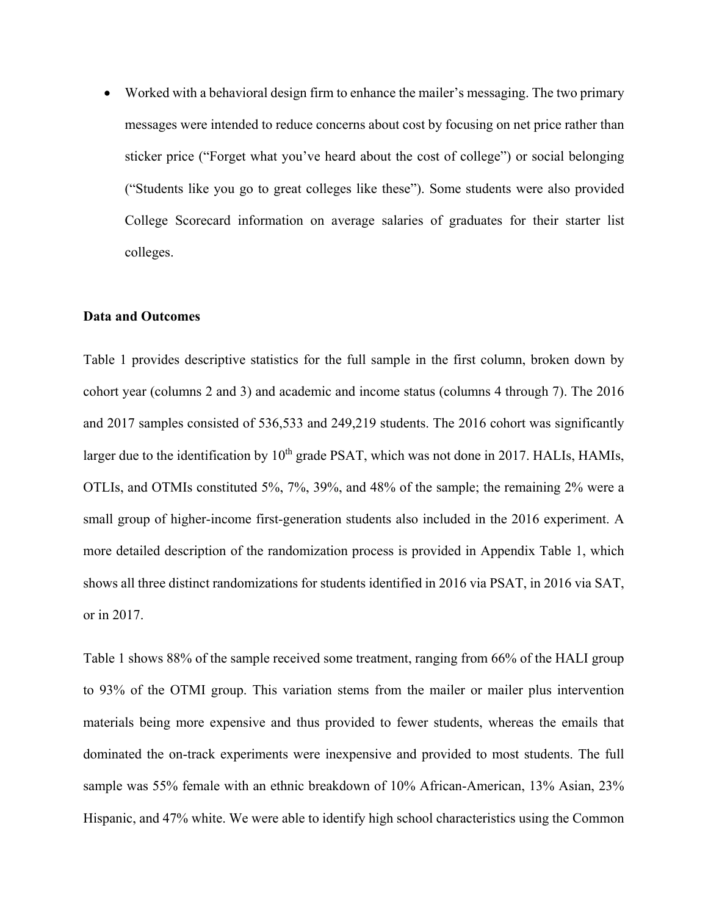Worked with a behavioral design firm to enhance the mailer's messaging. The two primary messages were intended to reduce concerns about cost by focusing on net price rather than sticker price ("Forget what you've heard about the cost of college") or social belonging ("Students like you go to great colleges like these"). Some students were also provided College Scorecard information on average salaries of graduates for their starter list colleges.

### **Data and Outcomes**

Table 1 provides descriptive statistics for the full sample in the first column, broken down by cohort year (columns 2 and 3) and academic and income status (columns 4 through 7). The 2016 and 2017 samples consisted of 536,533 and 249,219 students. The 2016 cohort was significantly larger due to the identification by 10<sup>th</sup> grade PSAT, which was not done in 2017. HALIs, HAMIs, OTLIs, and OTMIs constituted 5%, 7%, 39%, and 48% of the sample; the remaining 2% were a small group of higher-income first-generation students also included in the 2016 experiment. A more detailed description of the randomization process is provided in Appendix Table 1, which shows all three distinct randomizations for students identified in 2016 via PSAT, in 2016 via SAT, or in 2017.

Table 1 shows 88% of the sample received some treatment, ranging from 66% of the HALI group to 93% of the OTMI group. This variation stems from the mailer or mailer plus intervention materials being more expensive and thus provided to fewer students, whereas the emails that dominated the on-track experiments were inexpensive and provided to most students. The full sample was 55% female with an ethnic breakdown of 10% African-American, 13% Asian, 23% Hispanic, and 47% white. We were able to identify high school characteristics using the Common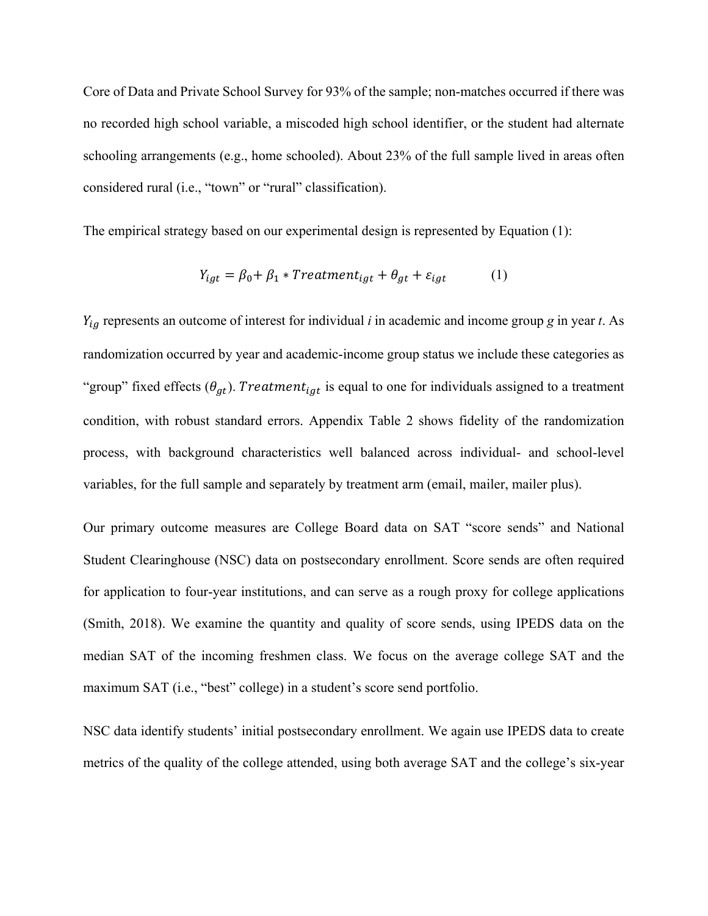Core of Data and Private School Survey for 93% of the sample; non-matches occurred if there was no recorded high school variable, a miscoded high school identifier, or the student had alternate schooling arrangements (e.g., home schooled). About 23% of the full sample lived in areas often considered rural (i.e., "town" or "rural" classification).

The empirical strategy based on our experimental design is represented by Equation (1):

$$
Y_{igt} = \beta_0 + \beta_1 * Treatment_{igt} + \theta_{gt} + \varepsilon_{igt}
$$
 (1)

 $Y_{ig}$  represents an outcome of interest for individual *i* in academic and income group *g* in year *t*. As randomization occurred by year and academic-income group status we include these categories as "group" fixed effects  $(\theta_{gt})$ . Treatment<sub>igt</sub> is equal to one for individuals assigned to a treatment condition, with robust standard errors. Appendix Table 2 shows fidelity of the randomization process, with background characteristics well balanced across individual- and school-level variables, for the full sample and separately by treatment arm (email, mailer, mailer plus).

Our primary outcome measures are College Board data on SAT "score sends" and National Student Clearinghouse (NSC) data on postsecondary enrollment. Score sends are often required for application to four-year institutions, and can serve as a rough proxy for college applications (Smith, 2018). We examine the quantity and quality of score sends, using IPEDS data on the median SAT of the incoming freshmen class. We focus on the average college SAT and the maximum SAT (i.e., "best" college) in a student's score send portfolio.

NSC data identify students' initial postsecondary enrollment. We again use IPEDS data to create metrics of the quality of the college attended, using both average SAT and the college's six-year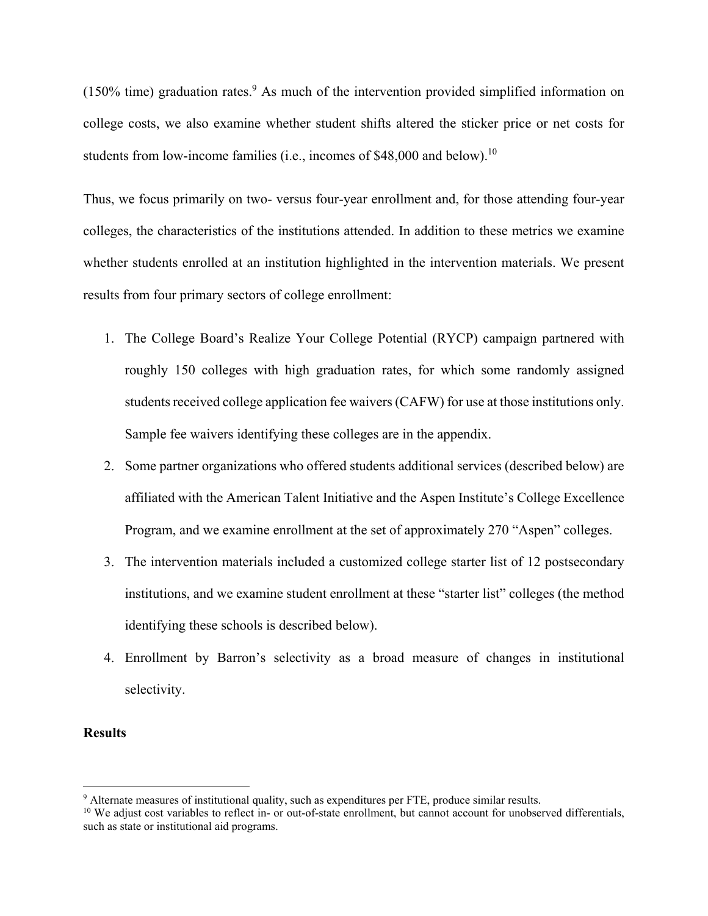$(150\%$  time) graduation rates.<sup>9</sup> As much of the intervention provided simplified information on college costs, we also examine whether student shifts altered the sticker price or net costs for students from low-income families (i.e., incomes of \$48,000 and below).<sup>10</sup>

Thus, we focus primarily on two- versus four-year enrollment and, for those attending four-year colleges, the characteristics of the institutions attended. In addition to these metrics we examine whether students enrolled at an institution highlighted in the intervention materials. We present results from four primary sectors of college enrollment:

- 1. The College Board's Realize Your College Potential (RYCP) campaign partnered with roughly 150 colleges with high graduation rates, for which some randomly assigned students received college application fee waivers (CAFW) for use at those institutions only. Sample fee waivers identifying these colleges are in the appendix.
- 2. Some partner organizations who offered students additional services (described below) are affiliated with the American Talent Initiative and the Aspen Institute's College Excellence Program, and we examine enrollment at the set of approximately 270 "Aspen" colleges.
- 3. The intervention materials included a customized college starter list of 12 postsecondary institutions, and we examine student enrollment at these "starter list" colleges (the method identifying these schools is described below).
- 4. Enrollment by Barron's selectivity as a broad measure of changes in institutional selectivity.

# **Results**

<sup>&</sup>lt;sup>9</sup> Alternate measures of institutional quality, such as expenditures per FTE, produce similar results.

 $10$  We adjust cost variables to reflect in- or out-of-state enrollment, but cannot account for unobserved differentials, such as state or institutional aid programs.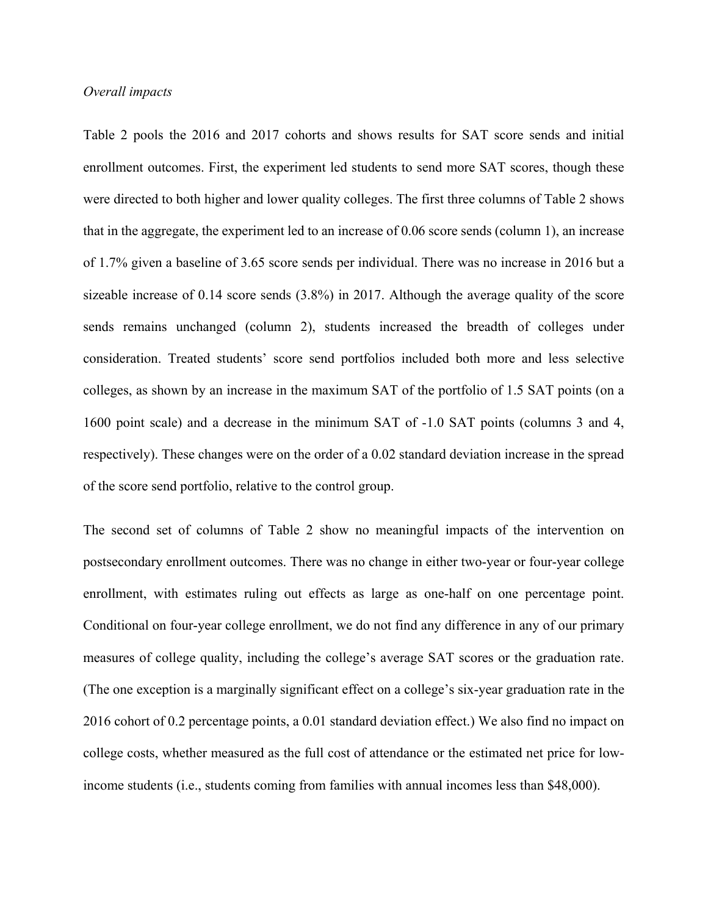### *Overall impacts*

Table 2 pools the 2016 and 2017 cohorts and shows results for SAT score sends and initial enrollment outcomes. First, the experiment led students to send more SAT scores, though these were directed to both higher and lower quality colleges. The first three columns of Table 2 shows that in the aggregate, the experiment led to an increase of 0.06 score sends (column 1), an increase of 1.7% given a baseline of 3.65 score sends per individual. There was no increase in 2016 but a sizeable increase of 0.14 score sends (3.8%) in 2017. Although the average quality of the score sends remains unchanged (column 2), students increased the breadth of colleges under consideration. Treated students' score send portfolios included both more and less selective colleges, as shown by an increase in the maximum SAT of the portfolio of 1.5 SAT points (on a 1600 point scale) and a decrease in the minimum SAT of -1.0 SAT points (columns 3 and 4, respectively). These changes were on the order of a 0.02 standard deviation increase in the spread of the score send portfolio, relative to the control group.

The second set of columns of Table 2 show no meaningful impacts of the intervention on postsecondary enrollment outcomes. There was no change in either two-year or four-year college enrollment, with estimates ruling out effects as large as one-half on one percentage point. Conditional on four-year college enrollment, we do not find any difference in any of our primary measures of college quality, including the college's average SAT scores or the graduation rate. (The one exception is a marginally significant effect on a college's six-year graduation rate in the 2016 cohort of 0.2 percentage points, a 0.01 standard deviation effect.) We also find no impact on college costs, whether measured as the full cost of attendance or the estimated net price for lowincome students (i.e., students coming from families with annual incomes less than \$48,000).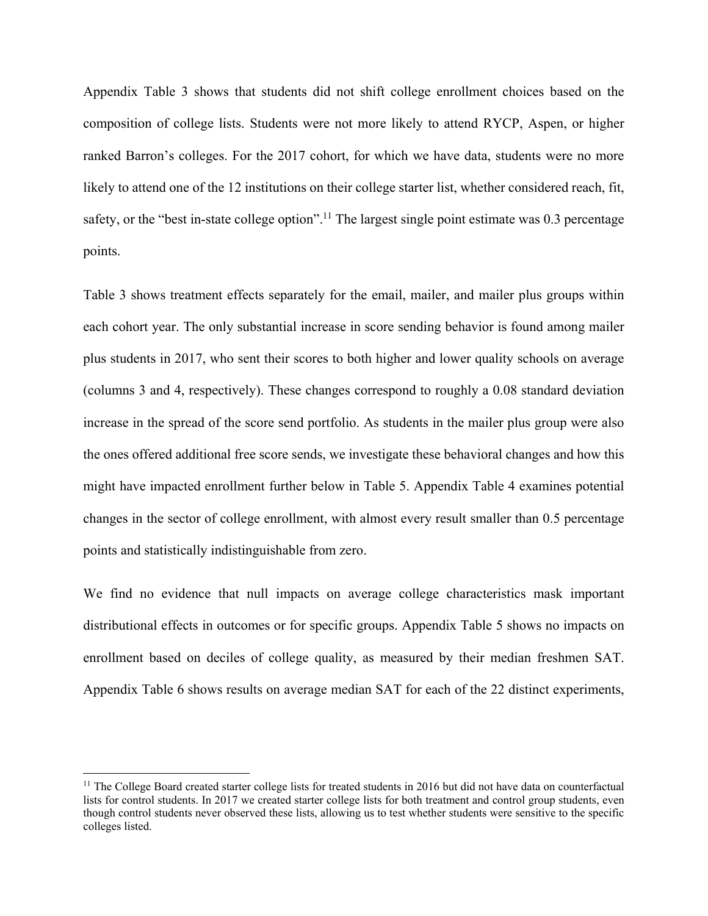Appendix Table 3 shows that students did not shift college enrollment choices based on the composition of college lists. Students were not more likely to attend RYCP, Aspen, or higher ranked Barron's colleges. For the 2017 cohort, for which we have data, students were no more likely to attend one of the 12 institutions on their college starter list, whether considered reach, fit, safety, or the "best in-state college option".<sup>11</sup> The largest single point estimate was 0.3 percentage points.

Table 3 shows treatment effects separately for the email, mailer, and mailer plus groups within each cohort year. The only substantial increase in score sending behavior is found among mailer plus students in 2017, who sent their scores to both higher and lower quality schools on average (columns 3 and 4, respectively). These changes correspond to roughly a 0.08 standard deviation increase in the spread of the score send portfolio. As students in the mailer plus group were also the ones offered additional free score sends, we investigate these behavioral changes and how this might have impacted enrollment further below in Table 5. Appendix Table 4 examines potential changes in the sector of college enrollment, with almost every result smaller than 0.5 percentage points and statistically indistinguishable from zero.

We find no evidence that null impacts on average college characteristics mask important distributional effects in outcomes or for specific groups. Appendix Table 5 shows no impacts on enrollment based on deciles of college quality, as measured by their median freshmen SAT. Appendix Table 6 shows results on average median SAT for each of the 22 distinct experiments,

<sup>&</sup>lt;sup>11</sup> The College Board created starter college lists for treated students in 2016 but did not have data on counterfactual lists for control students. In 2017 we created starter college lists for both treatment and control group students, even though control students never observed these lists, allowing us to test whether students were sensitive to the specific colleges listed.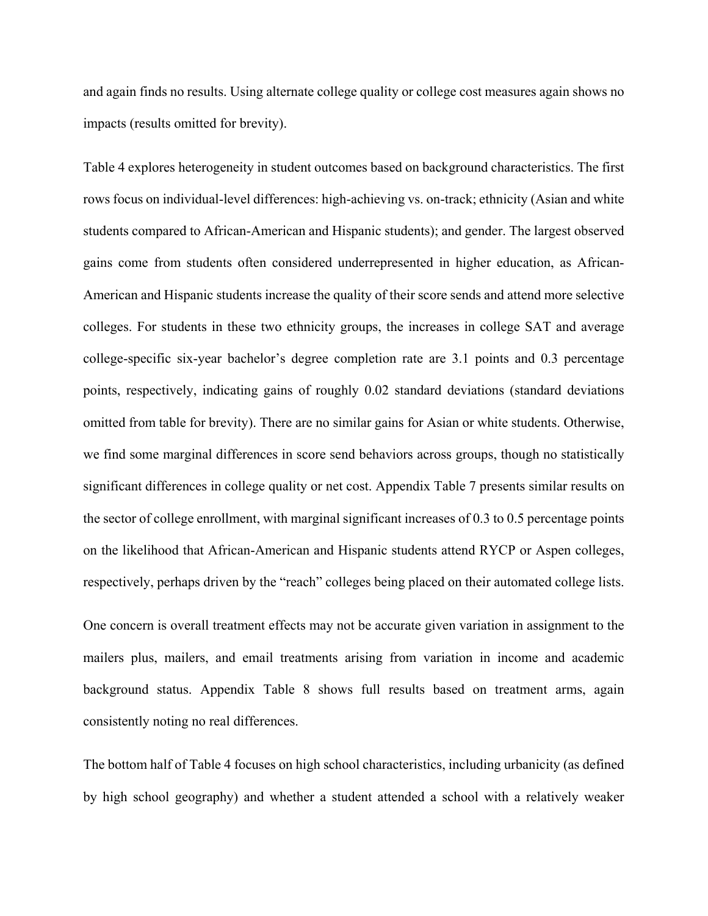and again finds no results. Using alternate college quality or college cost measures again shows no impacts (results omitted for brevity).

Table 4 explores heterogeneity in student outcomes based on background characteristics. The first rows focus on individual-level differences: high-achieving vs. on-track; ethnicity (Asian and white students compared to African-American and Hispanic students); and gender. The largest observed gains come from students often considered underrepresented in higher education, as African-American and Hispanic students increase the quality of their score sends and attend more selective colleges. For students in these two ethnicity groups, the increases in college SAT and average college-specific six-year bachelor's degree completion rate are 3.1 points and 0.3 percentage points, respectively, indicating gains of roughly 0.02 standard deviations (standard deviations omitted from table for brevity). There are no similar gains for Asian or white students. Otherwise, we find some marginal differences in score send behaviors across groups, though no statistically significant differences in college quality or net cost. Appendix Table 7 presents similar results on the sector of college enrollment, with marginal significant increases of 0.3 to 0.5 percentage points on the likelihood that African-American and Hispanic students attend RYCP or Aspen colleges, respectively, perhaps driven by the "reach" colleges being placed on their automated college lists.

One concern is overall treatment effects may not be accurate given variation in assignment to the mailers plus, mailers, and email treatments arising from variation in income and academic background status. Appendix Table 8 shows full results based on treatment arms, again consistently noting no real differences.

The bottom half of Table 4 focuses on high school characteristics, including urbanicity (as defined by high school geography) and whether a student attended a school with a relatively weaker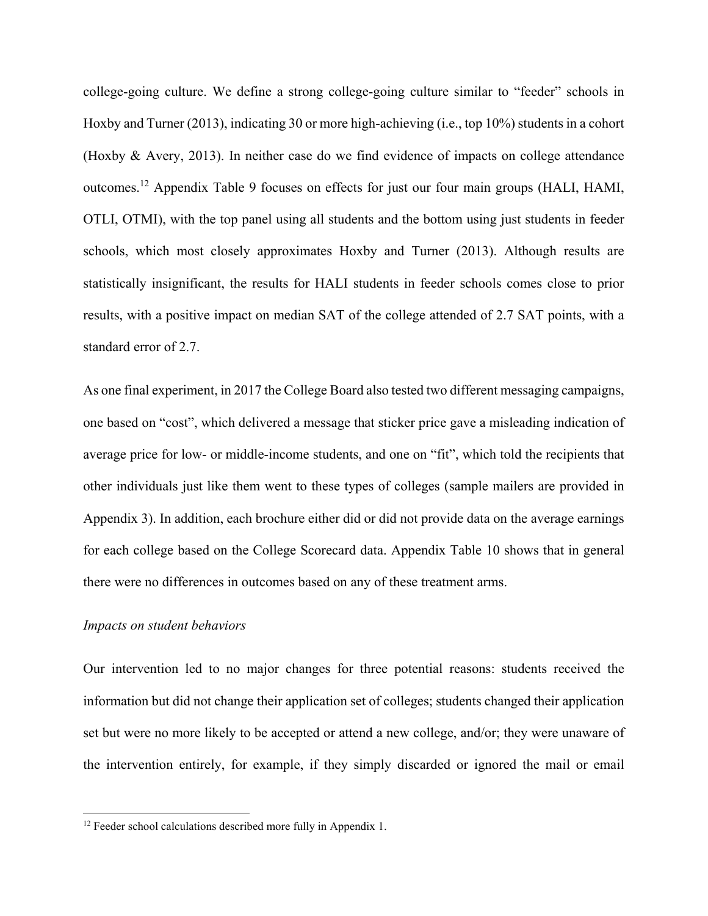college-going culture. We define a strong college-going culture similar to "feeder" schools in Hoxby and Turner (2013), indicating 30 or more high-achieving (i.e., top 10%) students in a cohort (Hoxby & Avery, 2013). In neither case do we find evidence of impacts on college attendance outcomes.12 Appendix Table 9 focuses on effects for just our four main groups (HALI, HAMI, OTLI, OTMI), with the top panel using all students and the bottom using just students in feeder schools, which most closely approximates Hoxby and Turner (2013). Although results are statistically insignificant, the results for HALI students in feeder schools comes close to prior results, with a positive impact on median SAT of the college attended of 2.7 SAT points, with a standard error of 2.7.

As one final experiment, in 2017 the College Board also tested two different messaging campaigns, one based on "cost", which delivered a message that sticker price gave a misleading indication of average price for low- or middle-income students, and one on "fit", which told the recipients that other individuals just like them went to these types of colleges (sample mailers are provided in Appendix 3). In addition, each brochure either did or did not provide data on the average earnings for each college based on the College Scorecard data. Appendix Table 10 shows that in general there were no differences in outcomes based on any of these treatment arms.

### *Impacts on student behaviors*

Our intervention led to no major changes for three potential reasons: students received the information but did not change their application set of colleges; students changed their application set but were no more likely to be accepted or attend a new college, and/or; they were unaware of the intervention entirely, for example, if they simply discarded or ignored the mail or email

<sup>&</sup>lt;sup>12</sup> Feeder school calculations described more fully in Appendix 1.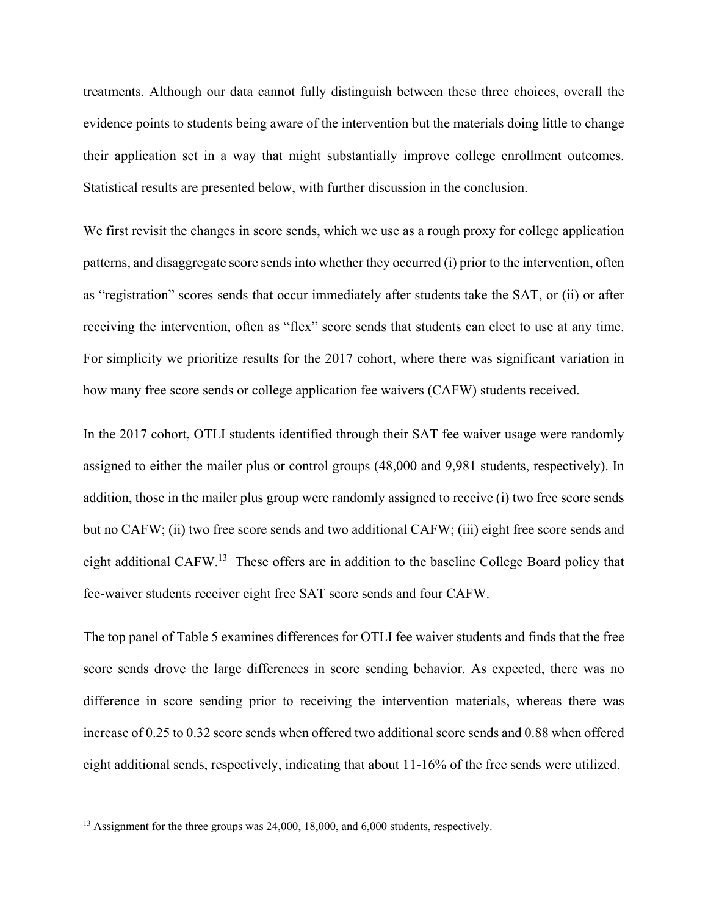treatments. Although our data cannot fully distinguish between these three choices, overall the evidence points to students being aware of the intervention but the materials doing little to change their application set in a way that might substantially improve college enrollment outcomes. Statistical results are presented below, with further discussion in the conclusion.

We first revisit the changes in score sends, which we use as a rough proxy for college application patterns, and disaggregate score sends into whether they occurred (i) prior to the intervention, often as "registration" scores sends that occur immediately after students take the SAT, or (ii) or after receiving the intervention, often as "flex" score sends that students can elect to use at any time. For simplicity we prioritize results for the 2017 cohort, where there was significant variation in how many free score sends or college application fee waivers (CAFW) students received.

In the 2017 cohort, OTLI students identified through their SAT fee waiver usage were randomly assigned to either the mailer plus or control groups (48,000 and 9,981 students, respectively). In addition, those in the mailer plus group were randomly assigned to receive (i) two free score sends but no CAFW; (ii) two free score sends and two additional CAFW; (iii) eight free score sends and eight additional CAFW.13 These offers are in addition to the baseline College Board policy that fee-waiver students receiver eight free SAT score sends and four CAFW.

The top panel of Table 5 examines differences for OTLI fee waiver students and finds that the free score sends drove the large differences in score sending behavior. As expected, there was no difference in score sending prior to receiving the intervention materials, whereas there was increase of 0.25 to 0.32 score sends when offered two additional score sends and 0.88 when offered eight additional sends, respectively, indicating that about 11-16% of the free sends were utilized.

<sup>&</sup>lt;sup>13</sup> Assignment for the three groups was 24,000, 18,000, and 6,000 students, respectively.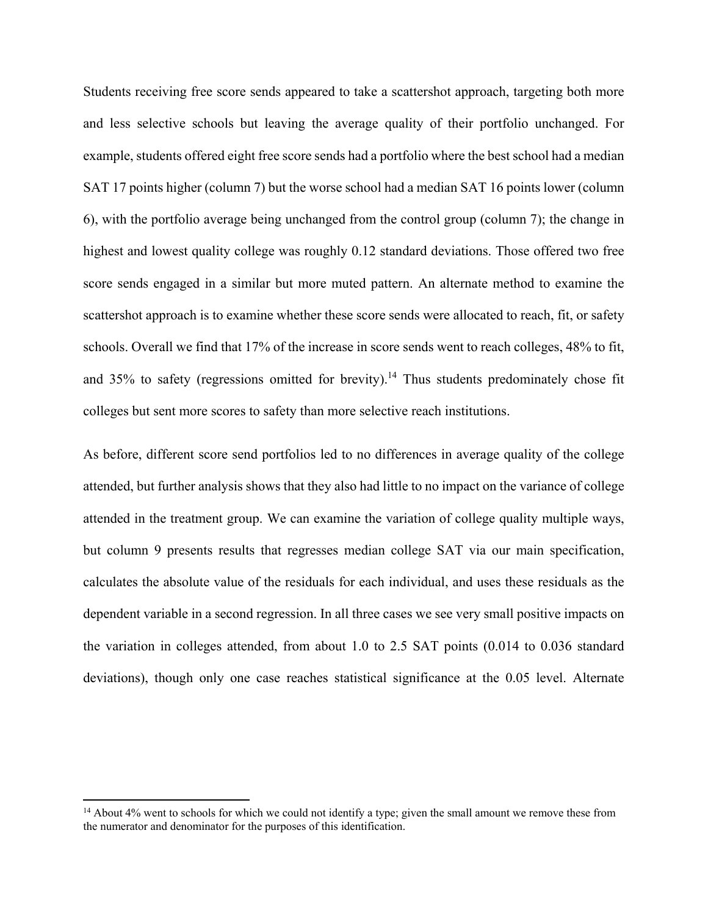Students receiving free score sends appeared to take a scattershot approach, targeting both more and less selective schools but leaving the average quality of their portfolio unchanged. For example, students offered eight free score sends had a portfolio where the best school had a median SAT 17 points higher (column 7) but the worse school had a median SAT 16 points lower (column 6), with the portfolio average being unchanged from the control group (column 7); the change in highest and lowest quality college was roughly  $0.12$  standard deviations. Those offered two free score sends engaged in a similar but more muted pattern. An alternate method to examine the scattershot approach is to examine whether these score sends were allocated to reach, fit, or safety schools. Overall we find that 17% of the increase in score sends went to reach colleges, 48% to fit, and  $35%$  to safety (regressions omitted for brevity).<sup>14</sup> Thus students predominately chose fit colleges but sent more scores to safety than more selective reach institutions.

As before, different score send portfolios led to no differences in average quality of the college attended, but further analysis shows that they also had little to no impact on the variance of college attended in the treatment group. We can examine the variation of college quality multiple ways, but column 9 presents results that regresses median college SAT via our main specification, calculates the absolute value of the residuals for each individual, and uses these residuals as the dependent variable in a second regression. In all three cases we see very small positive impacts on the variation in colleges attended, from about 1.0 to 2.5 SAT points (0.014 to 0.036 standard deviations), though only one case reaches statistical significance at the 0.05 level. Alternate

<sup>&</sup>lt;sup>14</sup> About 4% went to schools for which we could not identify a type; given the small amount we remove these from the numerator and denominator for the purposes of this identification.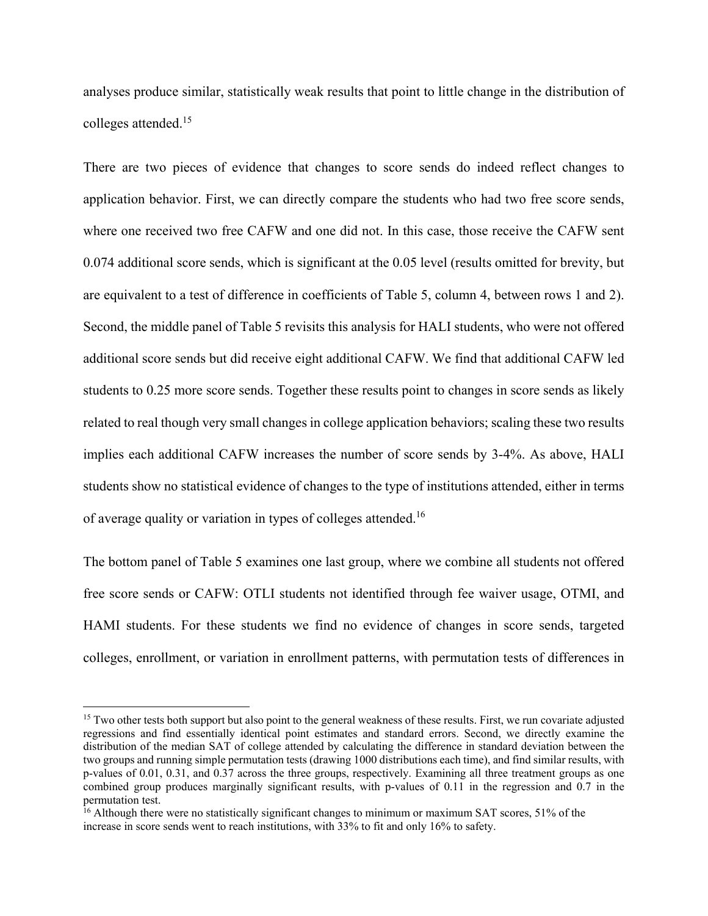analyses produce similar, statistically weak results that point to little change in the distribution of colleges attended.15

There are two pieces of evidence that changes to score sends do indeed reflect changes to application behavior. First, we can directly compare the students who had two free score sends, where one received two free CAFW and one did not. In this case, those receive the CAFW sent 0.074 additional score sends, which is significant at the 0.05 level (results omitted for brevity, but are equivalent to a test of difference in coefficients of Table 5, column 4, between rows 1 and 2). Second, the middle panel of Table 5 revisits this analysis for HALI students, who were not offered additional score sends but did receive eight additional CAFW. We find that additional CAFW led students to 0.25 more score sends. Together these results point to changes in score sends as likely related to real though very small changes in college application behaviors; scaling these two results implies each additional CAFW increases the number of score sends by 3-4%. As above, HALI students show no statistical evidence of changes to the type of institutions attended, either in terms of average quality or variation in types of colleges attended.16

The bottom panel of Table 5 examines one last group, where we combine all students not offered free score sends or CAFW: OTLI students not identified through fee waiver usage, OTMI, and HAMI students. For these students we find no evidence of changes in score sends, targeted colleges, enrollment, or variation in enrollment patterns, with permutation tests of differences in

<sup>&</sup>lt;sup>15</sup> Two other tests both support but also point to the general weakness of these results. First, we run covariate adjusted regressions and find essentially identical point estimates and standard errors. Second, we directly examine the distribution of the median SAT of college attended by calculating the difference in standard deviation between the two groups and running simple permutation tests (drawing 1000 distributions each time), and find similar results, with p-values of 0.01, 0.31, and 0.37 across the three groups, respectively. Examining all three treatment groups as one combined group produces marginally significant results, with p-values of 0.11 in the regression and 0.7 in the permutation test.

<sup>&</sup>lt;sup>16</sup> Although there were no statistically significant changes to minimum or maximum SAT scores, 51% of the increase in score sends went to reach institutions, with 33% to fit and only 16% to safety.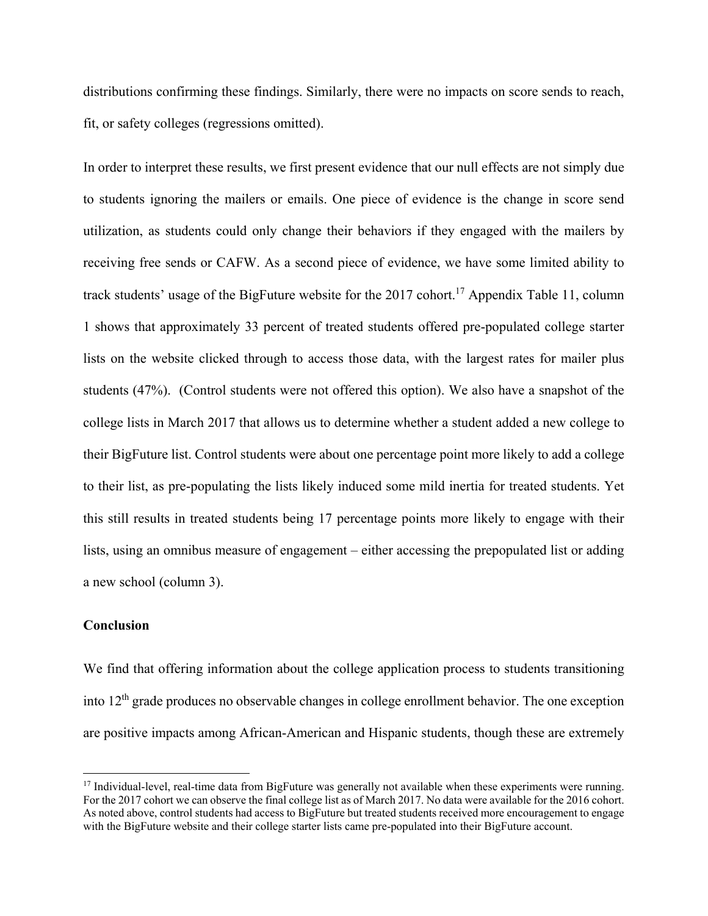distributions confirming these findings. Similarly, there were no impacts on score sends to reach, fit, or safety colleges (regressions omitted).

In order to interpret these results, we first present evidence that our null effects are not simply due to students ignoring the mailers or emails. One piece of evidence is the change in score send utilization, as students could only change their behaviors if they engaged with the mailers by receiving free sends or CAFW. As a second piece of evidence, we have some limited ability to track students' usage of the BigFuture website for the 2017 cohort.<sup>17</sup> Appendix Table 11, column 1 shows that approximately 33 percent of treated students offered pre-populated college starter lists on the website clicked through to access those data, with the largest rates for mailer plus students (47%). (Control students were not offered this option). We also have a snapshot of the college lists in March 2017 that allows us to determine whether a student added a new college to their BigFuture list. Control students were about one percentage point more likely to add a college to their list, as pre-populating the lists likely induced some mild inertia for treated students. Yet this still results in treated students being 17 percentage points more likely to engage with their lists, using an omnibus measure of engagement – either accessing the prepopulated list or adding a new school (column 3).

## **Conclusion**

We find that offering information about the college application process to students transitioning into 12th grade produces no observable changes in college enrollment behavior. The one exception are positive impacts among African-American and Hispanic students, though these are extremely

<sup>&</sup>lt;sup>17</sup> Individual-level, real-time data from BigFuture was generally not available when these experiments were running. For the 2017 cohort we can observe the final college list as of March 2017. No data were available for the 2016 cohort. As noted above, control students had access to BigFuture but treated students received more encouragement to engage with the BigFuture website and their college starter lists came pre-populated into their BigFuture account.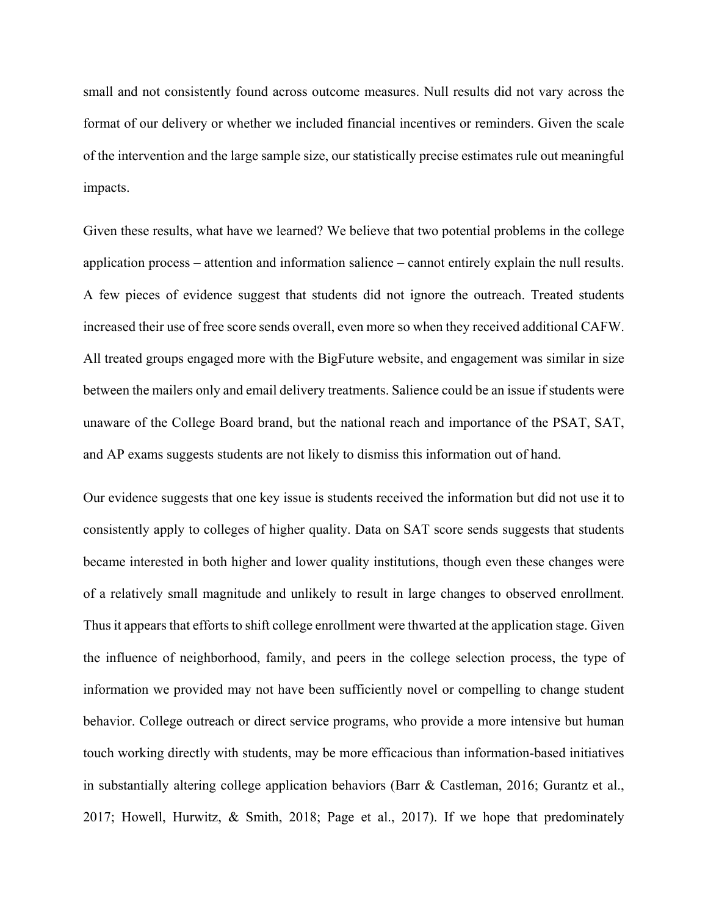small and not consistently found across outcome measures. Null results did not vary across the format of our delivery or whether we included financial incentives or reminders. Given the scale of the intervention and the large sample size, our statistically precise estimates rule out meaningful impacts.

Given these results, what have we learned? We believe that two potential problems in the college application process – attention and information salience – cannot entirely explain the null results. A few pieces of evidence suggest that students did not ignore the outreach. Treated students increased their use of free score sends overall, even more so when they received additional CAFW. All treated groups engaged more with the BigFuture website, and engagement was similar in size between the mailers only and email delivery treatments. Salience could be an issue if students were unaware of the College Board brand, but the national reach and importance of the PSAT, SAT, and AP exams suggests students are not likely to dismiss this information out of hand.

Our evidence suggests that one key issue is students received the information but did not use it to consistently apply to colleges of higher quality. Data on SAT score sends suggests that students became interested in both higher and lower quality institutions, though even these changes were of a relatively small magnitude and unlikely to result in large changes to observed enrollment. Thus it appears that efforts to shift college enrollment were thwarted at the application stage. Given the influence of neighborhood, family, and peers in the college selection process, the type of information we provided may not have been sufficiently novel or compelling to change student behavior. College outreach or direct service programs, who provide a more intensive but human touch working directly with students, may be more efficacious than information-based initiatives in substantially altering college application behaviors (Barr & Castleman, 2016; Gurantz et al., 2017; Howell, Hurwitz, & Smith, 2018; Page et al., 2017). If we hope that predominately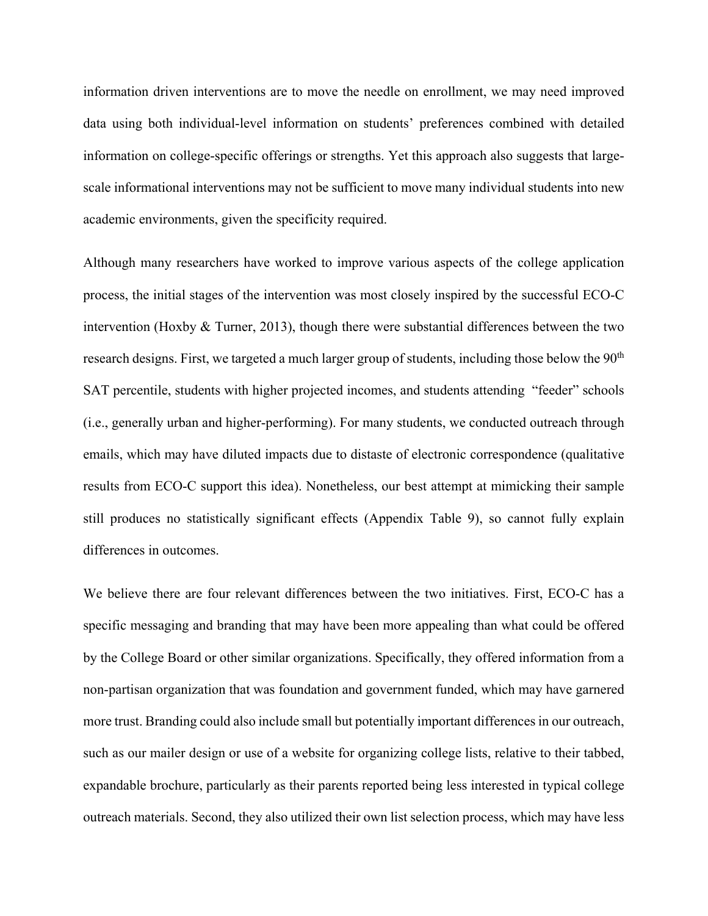information driven interventions are to move the needle on enrollment, we may need improved data using both individual-level information on students' preferences combined with detailed information on college-specific offerings or strengths. Yet this approach also suggests that largescale informational interventions may not be sufficient to move many individual students into new academic environments, given the specificity required.

Although many researchers have worked to improve various aspects of the college application process, the initial stages of the intervention was most closely inspired by the successful ECO-C intervention (Hoxby  $\&$  Turner, 2013), though there were substantial differences between the two research designs. First, we targeted a much larger group of students, including those below the 90<sup>th</sup> SAT percentile, students with higher projected incomes, and students attending "feeder" schools (i.e., generally urban and higher-performing). For many students, we conducted outreach through emails, which may have diluted impacts due to distaste of electronic correspondence (qualitative results from ECO-C support this idea). Nonetheless, our best attempt at mimicking their sample still produces no statistically significant effects (Appendix Table 9), so cannot fully explain differences in outcomes.

We believe there are four relevant differences between the two initiatives. First, ECO-C has a specific messaging and branding that may have been more appealing than what could be offered by the College Board or other similar organizations. Specifically, they offered information from a non-partisan organization that was foundation and government funded, which may have garnered more trust. Branding could also include small but potentially important differences in our outreach, such as our mailer design or use of a website for organizing college lists, relative to their tabbed, expandable brochure, particularly as their parents reported being less interested in typical college outreach materials. Second, they also utilized their own list selection process, which may have less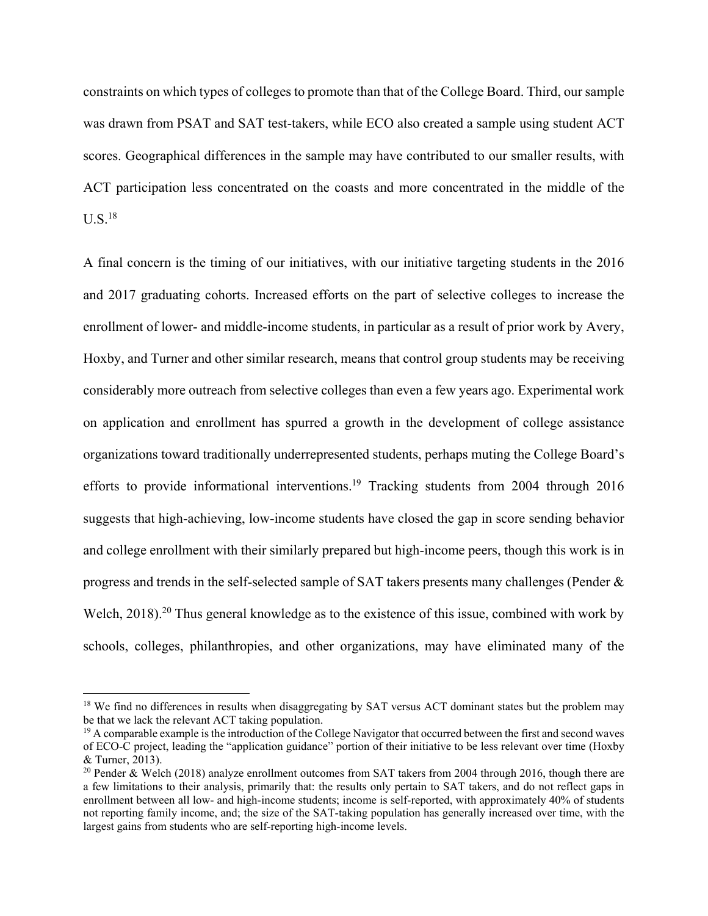constraints on which types of colleges to promote than that of the College Board. Third, our sample was drawn from PSAT and SAT test-takers, while ECO also created a sample using student ACT scores. Geographical differences in the sample may have contributed to our smaller results, with ACT participation less concentrated on the coasts and more concentrated in the middle of the  $U.S.$ <sup>18</sup>

A final concern is the timing of our initiatives, with our initiative targeting students in the 2016 and 2017 graduating cohorts. Increased efforts on the part of selective colleges to increase the enrollment of lower- and middle-income students, in particular as a result of prior work by Avery, Hoxby, and Turner and other similar research, means that control group students may be receiving considerably more outreach from selective colleges than even a few years ago. Experimental work on application and enrollment has spurred a growth in the development of college assistance organizations toward traditionally underrepresented students, perhaps muting the College Board's efforts to provide informational interventions.<sup>19</sup> Tracking students from 2004 through 2016 suggests that high-achieving, low-income students have closed the gap in score sending behavior and college enrollment with their similarly prepared but high-income peers, though this work is in progress and trends in the self-selected sample of SAT takers presents many challenges (Pender & Welch,  $2018$ ).<sup>20</sup> Thus general knowledge as to the existence of this issue, combined with work by schools, colleges, philanthropies, and other organizations, may have eliminated many of the

<sup>&</sup>lt;sup>18</sup> We find no differences in results when disaggregating by SAT versus ACT dominant states but the problem may be that we lack the relevant ACT taking population.

 $19$  A comparable example is the introduction of the College Navigator that occurred between the first and second waves of ECO-C project, leading the "application guidance" portion of their initiative to be less relevant over time (Hoxby & Turner, 2013).

<sup>&</sup>lt;sup>20</sup> Pender & Welch (2018) analyze enrollment outcomes from SAT takers from 2004 through 2016, though there are a few limitations to their analysis, primarily that: the results only pertain to SAT takers, and do not reflect gaps in enrollment between all low- and high-income students; income is self-reported, with approximately 40% of students not reporting family income, and; the size of the SAT-taking population has generally increased over time, with the largest gains from students who are self-reporting high-income levels.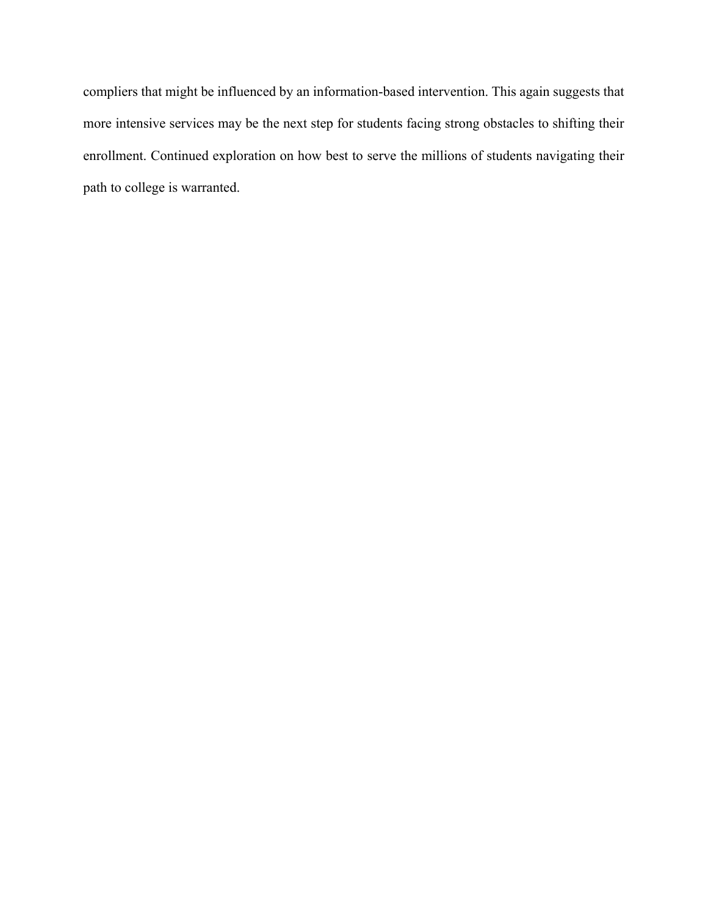compliers that might be influenced by an information-based intervention. This again suggests that more intensive services may be the next step for students facing strong obstacles to shifting their enrollment. Continued exploration on how best to serve the millions of students navigating their path to college is warranted.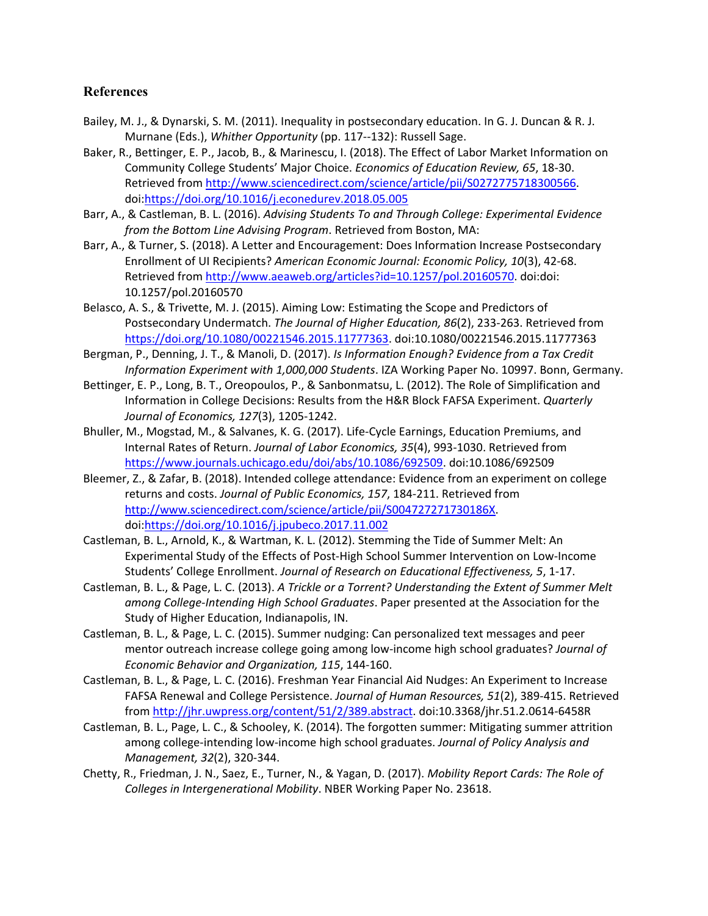# **References**

- Bailey, M. J., & Dynarski, S. M. (2011). Inequality in postsecondary education. In G. J. Duncan & R. J. Murnane (Eds.), *Whither Opportunity* (pp. 117‐‐132): Russell Sage.
- Baker, R., Bettinger, E. P., Jacob, B., & Marinescu, I. (2018). The Effect of Labor Market Information on Community College Students' Major Choice. *Economics of Education Review, 65*, 18‐30. Retrieved from http://www.sciencedirect.com/science/article/pii/S0272775718300566. doi:https://doi.org/10.1016/j.econedurev.2018.05.005
- Barr, A., & Castleman, B. L. (2016). *Advising Students To and Through College: Experimental Evidence from the Bottom Line Advising Program*. Retrieved from Boston, MA:
- Barr, A., & Turner, S. (2018). A Letter and Encouragement: Does Information Increase Postsecondary Enrollment of UI Recipients? *American Economic Journal: Economic Policy, 10*(3), 42‐68. Retrieved from http://www.aeaweb.org/articles?id=10.1257/pol.20160570. doi:doi: 10.1257/pol.20160570
- Belasco, A. S., & Trivette, M. J. (2015). Aiming Low: Estimating the Scope and Predictors of Postsecondary Undermatch. *The Journal of Higher Education, 86*(2), 233‐263. Retrieved from https://doi.org/10.1080/00221546.2015.11777363. doi:10.1080/00221546.2015.11777363
- Bergman, P., Denning, J. T., & Manoli, D. (2017). *Is Information Enough? Evidence from a Tax Credit Information Experiment with 1,000,000 Students*. IZA Working Paper No. 10997. Bonn, Germany.
- Bettinger, E. P., Long, B. T., Oreopoulos, P., & Sanbonmatsu, L. (2012). The Role of Simplification and Information in College Decisions: Results from the H&R Block FAFSA Experiment. *Quarterly Journal of Economics, 127*(3), 1205‐1242.
- Bhuller, M., Mogstad, M., & Salvanes, K. G. (2017). Life‐Cycle Earnings, Education Premiums, and Internal Rates of Return. *Journal of Labor Economics, 35*(4), 993‐1030. Retrieved from https://www.journals.uchicago.edu/doi/abs/10.1086/692509. doi:10.1086/692509
- Bleemer, Z., & Zafar, B. (2018). Intended college attendance: Evidence from an experiment on college returns and costs. *Journal of Public Economics, 157*, 184‐211. Retrieved from http://www.sciencedirect.com/science/article/pii/S004727271730186X. doi:https://doi.org/10.1016/j.jpubeco.2017.11.002
- Castleman, B. L., Arnold, K., & Wartman, K. L. (2012). Stemming the Tide of Summer Melt: An Experimental Study of the Effects of Post‐High School Summer Intervention on Low‐Income Students' College Enrollment. *Journal of Research on Educational Effectiveness, 5*, 1‐17.
- Castleman, B. L., & Page, L. C. (2013). *A Trickle or a Torrent? Understanding the Extent of Summer Melt among College‐Intending High School Graduates*. Paper presented at the Association for the Study of Higher Education, Indianapolis, IN.
- Castleman, B. L., & Page, L. C. (2015). Summer nudging: Can personalized text messages and peer mentor outreach increase college going among low‐income high school graduates? *Journal of Economic Behavior and Organization, 115*, 144‐160.
- Castleman, B. L., & Page, L. C. (2016). Freshman Year Financial Aid Nudges: An Experiment to Increase FAFSA Renewal and College Persistence. *Journal of Human Resources, 51*(2), 389‐415. Retrieved from http://jhr.uwpress.org/content/51/2/389.abstract. doi:10.3368/jhr.51.2.0614‐6458R
- Castleman, B. L., Page, L. C., & Schooley, K. (2014). The forgotten summer: Mitigating summer attrition among college‐intending low‐income high school graduates. *Journal of Policy Analysis and Management, 32*(2), 320‐344.
- Chetty, R., Friedman, J. N., Saez, E., Turner, N., & Yagan, D. (2017). *Mobility Report Cards: The Role of Colleges in Intergenerational Mobility*. NBER Working Paper No. 23618.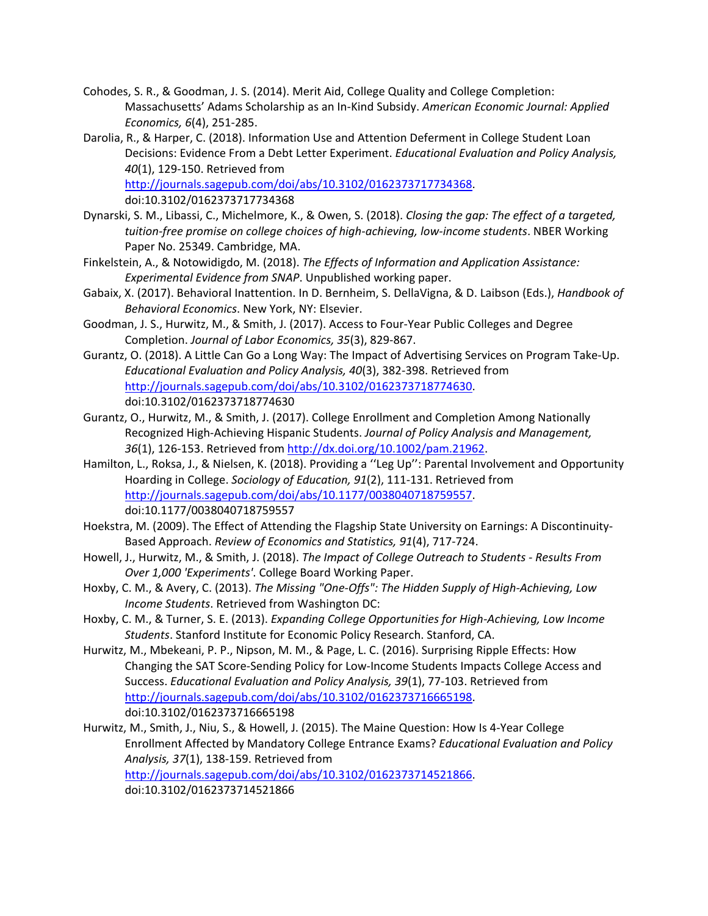- Cohodes, S. R., & Goodman, J. S. (2014). Merit Aid, College Quality and College Completion: Massachusetts' Adams Scholarship as an In‐Kind Subsidy. *American Economic Journal: Applied Economics, 6*(4), 251‐285.
- Darolia, R., & Harper, C. (2018). Information Use and Attention Deferment in College Student Loan Decisions: Evidence From a Debt Letter Experiment. *Educational Evaluation and Policy Analysis, 40*(1), 129‐150. Retrieved from http://journals.sagepub.com/doi/abs/10.3102/0162373717734368.

doi:10.3102/0162373717734368

- Dynarski, S. M., Libassi, C., Michelmore, K., & Owen, S. (2018). *Closing the gap: The effect of a targeted, tuition‐free promise on college choices of high‐achieving, low‐income students*. NBER Working Paper No. 25349. Cambridge, MA.
- Finkelstein, A., & Notowidigdo, M. (2018). *The Effects of Information and Application Assistance: Experimental Evidence from SNAP*. Unpublished working paper.
- Gabaix, X. (2017). Behavioral Inattention. In D. Bernheim, S. DellaVigna, & D. Laibson (Eds.), *Handbook of Behavioral Economics*. New York, NY: Elsevier.
- Goodman, J. S., Hurwitz, M., & Smith, J. (2017). Access to Four‐Year Public Colleges and Degree Completion. *Journal of Labor Economics, 35*(3), 829‐867.
- Gurantz, O. (2018). A Little Can Go a Long Way: The Impact of Advertising Services on Program Take‐Up. *Educational Evaluation and Policy Analysis, 40*(3), 382‐398. Retrieved from http://journals.sagepub.com/doi/abs/10.3102/0162373718774630. doi:10.3102/0162373718774630
- Gurantz, O., Hurwitz, M., & Smith, J. (2017). College Enrollment and Completion Among Nationally Recognized High‐Achieving Hispanic Students. *Journal of Policy Analysis and Management, 36*(1), 126‐153. Retrieved from http://dx.doi.org/10.1002/pam.21962.
- Hamilton, L., Roksa, J., & Nielsen, K. (2018). Providing a ''Leg Up'': Parental Involvement and Opportunity Hoarding in College. *Sociology of Education, 91*(2), 111‐131. Retrieved from http://journals.sagepub.com/doi/abs/10.1177/0038040718759557. doi:10.1177/0038040718759557
- Hoekstra, M. (2009). The Effect of Attending the Flagship State University on Earnings: A Discontinuity‐ Based Approach. *Review of Economics and Statistics, 91*(4), 717‐724.
- Howell, J., Hurwitz, M., & Smith, J. (2018). *The Impact of College Outreach to Students ‐ Results From Over 1,000 'Experiments'*. College Board Working Paper.
- Hoxby, C. M., & Avery, C. (2013). *The Missing "One‐Offs": The Hidden Supply of High‐Achieving, Low Income Students*. Retrieved from Washington DC:
- Hoxby, C. M., & Turner, S. E. (2013). *Expanding College Opportunities for High‐Achieving, Low Income Students*. Stanford Institute for Economic Policy Research. Stanford, CA.
- Hurwitz, M., Mbekeani, P. P., Nipson, M. M., & Page, L. C. (2016). Surprising Ripple Effects: How Changing the SAT Score‐Sending Policy for Low‐Income Students Impacts College Access and Success. *Educational Evaluation and Policy Analysis, 39*(1), 77‐103. Retrieved from http://journals.sagepub.com/doi/abs/10.3102/0162373716665198. doi:10.3102/0162373716665198
- Hurwitz, M., Smith, J., Niu, S., & Howell, J. (2015). The Maine Question: How Is 4‐Year College Enrollment Affected by Mandatory College Entrance Exams? *Educational Evaluation and Policy Analysis, 37*(1), 138‐159. Retrieved from

http://journals.sagepub.com/doi/abs/10.3102/0162373714521866. doi:10.3102/0162373714521866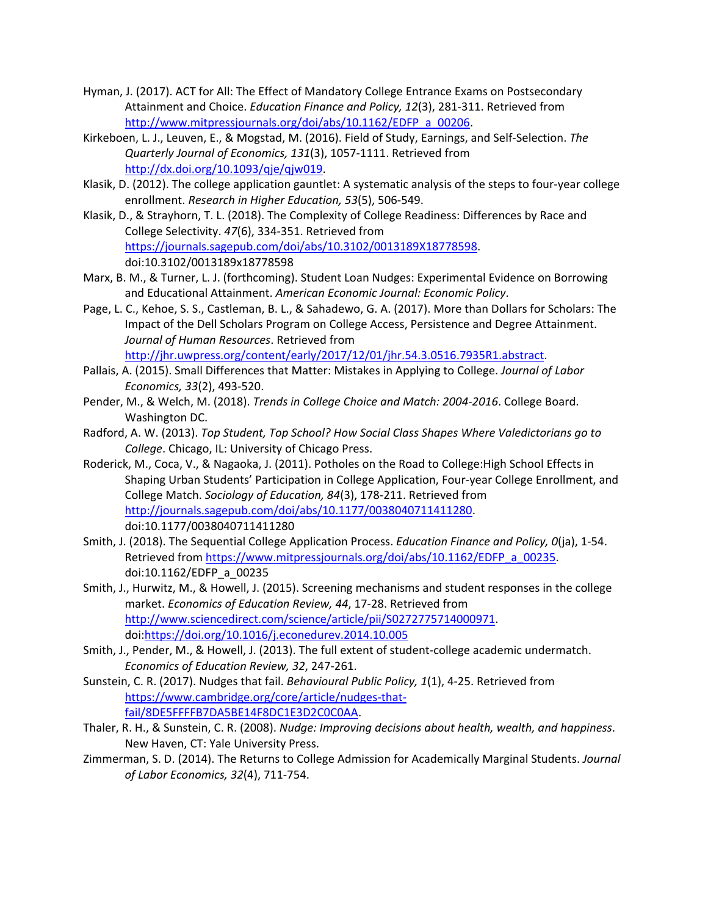- Hyman, J. (2017). ACT for All: The Effect of Mandatory College Entrance Exams on Postsecondary Attainment and Choice. *Education Finance and Policy, 12*(3), 281‐311. Retrieved from http://www.mitpressjournals.org/doi/abs/10.1162/EDFP\_a\_00206.
- Kirkeboen, L. J., Leuven, E., & Mogstad, M. (2016). Field of Study, Earnings, and Self‐Selection. *The Quarterly Journal of Economics, 131*(3), 1057‐1111. Retrieved from http://dx.doi.org/10.1093/qje/qjw019.
- Klasik, D. (2012). The college application gauntlet: A systematic analysis of the steps to four‐year college enrollment. *Research in Higher Education, 53*(5), 506‐549.
- Klasik, D., & Strayhorn, T. L. (2018). The Complexity of College Readiness: Differences by Race and College Selectivity. *47*(6), 334‐351. Retrieved from https://journals.sagepub.com/doi/abs/10.3102/0013189X18778598. doi:10.3102/0013189x18778598
- Marx, B. M., & Turner, L. J. (forthcoming). Student Loan Nudges: Experimental Evidence on Borrowing and Educational Attainment. *American Economic Journal: Economic Policy*.
- Page, L. C., Kehoe, S. S., Castleman, B. L., & Sahadewo, G. A. (2017). More than Dollars for Scholars: The Impact of the Dell Scholars Program on College Access, Persistence and Degree Attainment. *Journal of Human Resources*. Retrieved from http://jhr.uwpress.org/content/early/2017/12/01/jhr.54.3.0516.7935R1.abstract.
- Pallais, A. (2015). Small Differences that Matter: Mistakes in Applying to College. *Journal of Labor Economics, 33*(2), 493‐520.
- Pender, M., & Welch, M. (2018). *Trends in College Choice and Match: 2004‐2016*. College Board. Washington DC.
- Radford, A. W. (2013). *Top Student, Top School? How Social Class Shapes Where Valedictorians go to College*. Chicago, IL: University of Chicago Press.
- Roderick, M., Coca, V., & Nagaoka, J. (2011). Potholes on the Road to College:High School Effects in Shaping Urban Students' Participation in College Application, Four‐year College Enrollment, and College Match. *Sociology of Education, 84*(3), 178‐211. Retrieved from http://journals.sagepub.com/doi/abs/10.1177/0038040711411280. doi:10.1177/0038040711411280
- Smith, J. (2018). The Sequential College Application Process. *Education Finance and Policy, 0*(ja), 1‐54. Retrieved from https://www.mitpressjournals.org/doi/abs/10.1162/EDFP\_a\_00235. doi:10.1162/EDFP\_a\_00235
- Smith, J., Hurwitz, M., & Howell, J. (2015). Screening mechanisms and student responses in the college market. *Economics of Education Review, 44*, 17‐28. Retrieved from http://www.sciencedirect.com/science/article/pii/S0272775714000971. doi:https://doi.org/10.1016/j.econedurev.2014.10.005
- Smith, J., Pender, M., & Howell, J. (2013). The full extent of student‐college academic undermatch. *Economics of Education Review, 32*, 247‐261.
- Sunstein, C. R. (2017). Nudges that fail. *Behavioural Public Policy, 1*(1), 4‐25. Retrieved from https://www.cambridge.org/core/article/nudges-thatfail/8DE5FFFFB7DA5BE14F8DC1E3D2C0C0AA.
- Thaler, R. H., & Sunstein, C. R. (2008). *Nudge: Improving decisions about health, wealth, and happiness*. New Haven, CT: Yale University Press.
- Zimmerman, S. D. (2014). The Returns to College Admission for Academically Marginal Students. *Journal of Labor Economics, 32*(4), 711‐754.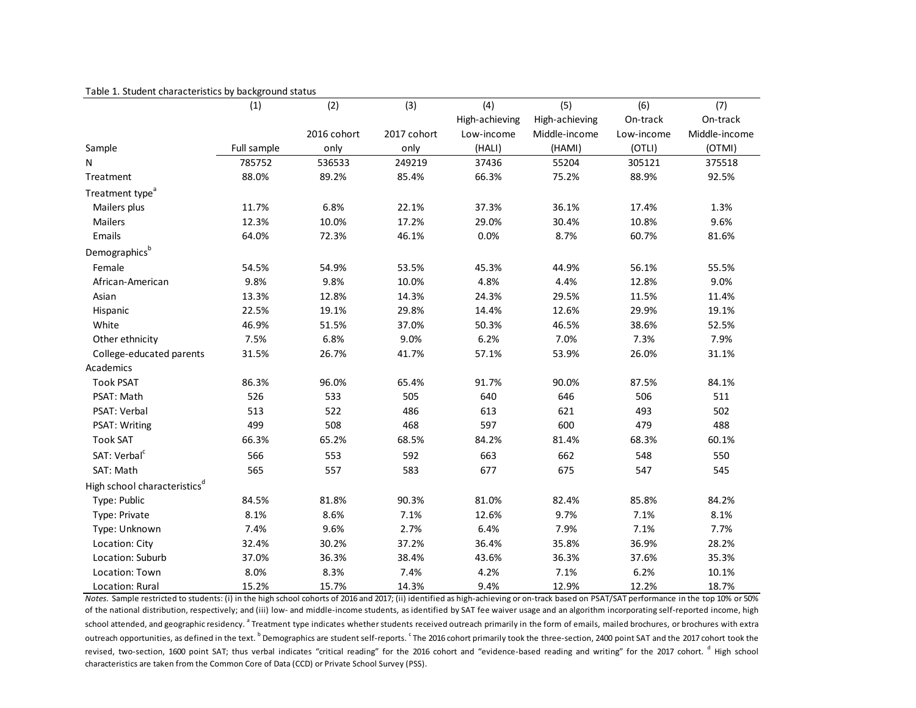|                                          | (1)         | (2)         | (3)         | (4)            | (5)            | (6)        | (7)           |
|------------------------------------------|-------------|-------------|-------------|----------------|----------------|------------|---------------|
|                                          |             |             |             | High-achieving | High-achieving | On-track   | On-track      |
|                                          |             | 2016 cohort | 2017 cohort | Low-income     | Middle-income  | Low-income | Middle-income |
| Sample                                   | Full sample | only        | only        | (HALI)         | (HAMI)         | (OTLI)     | (OTMI)        |
| $\mathsf{N}$                             | 785752      | 536533      | 249219      | 37436          | 55204          | 305121     | 375518        |
| Treatment                                | 88.0%       | 89.2%       | 85.4%       | 66.3%          | 75.2%          | 88.9%      | 92.5%         |
| Treatment type <sup>a</sup>              |             |             |             |                |                |            |               |
| Mailers plus                             | 11.7%       | 6.8%        | 22.1%       | 37.3%          | 36.1%          | 17.4%      | 1.3%          |
| Mailers                                  | 12.3%       | 10.0%       | 17.2%       | 29.0%          | 30.4%          | 10.8%      | 9.6%          |
| Emails                                   | 64.0%       | 72.3%       | 46.1%       | 0.0%           | 8.7%           | 60.7%      | 81.6%         |
| Demographics <sup>b</sup>                |             |             |             |                |                |            |               |
| Female                                   | 54.5%       | 54.9%       | 53.5%       | 45.3%          | 44.9%          | 56.1%      | 55.5%         |
| African-American                         | 9.8%        | 9.8%        | 10.0%       | 4.8%           | 4.4%           | 12.8%      | 9.0%          |
| Asian                                    | 13.3%       | 12.8%       | 14.3%       | 24.3%          | 29.5%          | 11.5%      | 11.4%         |
| Hispanic                                 | 22.5%       | 19.1%       | 29.8%       | 14.4%          | 12.6%          | 29.9%      | 19.1%         |
| White                                    | 46.9%       | 51.5%       | 37.0%       | 50.3%          | 46.5%          | 38.6%      | 52.5%         |
| Other ethnicity                          | 7.5%        | 6.8%        | 9.0%        | 6.2%           | 7.0%           | 7.3%       | 7.9%          |
| College-educated parents                 | 31.5%       | 26.7%       | 41.7%       | 57.1%          | 53.9%          | 26.0%      | 31.1%         |
| Academics                                |             |             |             |                |                |            |               |
| <b>Took PSAT</b>                         | 86.3%       | 96.0%       | 65.4%       | 91.7%          | 90.0%          | 87.5%      | 84.1%         |
| PSAT: Math                               | 526         | 533         | 505         | 640            | 646            | 506        | 511           |
| PSAT: Verbal                             | 513         | 522         | 486         | 613            | 621            | 493        | 502           |
| PSAT: Writing                            | 499         | 508         | 468         | 597            | 600            | 479        | 488           |
| <b>Took SAT</b>                          | 66.3%       | 65.2%       | 68.5%       | 84.2%          | 81.4%          | 68.3%      | 60.1%         |
| SAT: Verbal <sup>c</sup>                 | 566         | 553         | 592         | 663            | 662            | 548        | 550           |
| SAT: Math                                | 565         | 557         | 583         | 677            | 675            | 547        | 545           |
| High school characteristics <sup>d</sup> |             |             |             |                |                |            |               |
| Type: Public                             | 84.5%       | 81.8%       | 90.3%       | 81.0%          | 82.4%          | 85.8%      | 84.2%         |
| Type: Private                            | 8.1%        | 8.6%        | 7.1%        | 12.6%          | 9.7%           | 7.1%       | 8.1%          |
| Type: Unknown                            | 7.4%        | 9.6%        | 2.7%        | 6.4%           | 7.9%           | 7.1%       | 7.7%          |
| Location: City                           | 32.4%       | 30.2%       | 37.2%       | 36.4%          | 35.8%          | 36.9%      | 28.2%         |
| Location: Suburb                         | 37.0%       | 36.3%       | 38.4%       | 43.6%          | 36.3%          | 37.6%      | 35.3%         |
| Location: Town                           | 8.0%        | 8.3%        | 7.4%        | 4.2%           | 7.1%           | 6.2%       | 10.1%         |
| Location: Rural                          | 15.2%       | 15.7%       | 14.3%       | 9.4%           | 12.9%          | 12.2%      | 18.7%         |

Table 1. Student characteristics by background status

*Notes.* Sample restricted to students: (i) in the high school cohorts of 2016 and 2017; (ii) identified as high‐achieving or on‐track based on PSAT/SAT performance in the top 10% or 50% of the national distribution, respectively; and (iii) low‐ and middle‐income students, as identified by SAT fee waiver usage and an algorithm incorporating self‐reported income, high school attended, and geographic residency. <sup>a</sup> Treatment type indicates whether students received outreach primarily in the form of emails, mailed brochures, or brochures with extra outreach opportunities, as defined in the text. <sup>b</sup> Demographics are student self-reports. <sup>c</sup> The 2016 cohort primarily took the three-section, 2400 point SAT and the 2017 cohort took the revised, two-section, 1600 point SAT; thus verbal indicates "critical reading" for the 2016 cohort and "evidence-based reading and writing" for the 2017 cohort. <sup>d</sup> High school characteristics are taken from the Common Core of Data (CCD) or Private School Survey (PSS).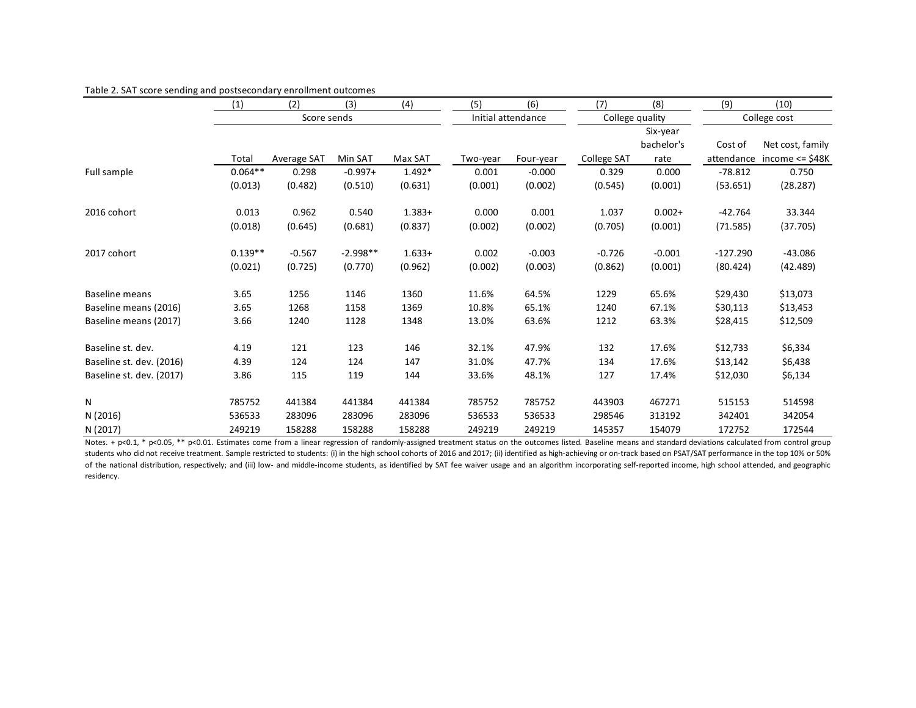|                          | (1)       | (2)         | (3)        | (4)      | (5)      | (6)                | (7)             | (8)                    | (9)        | (10)              |
|--------------------------|-----------|-------------|------------|----------|----------|--------------------|-----------------|------------------------|------------|-------------------|
|                          |           | Score sends |            |          |          | Initial attendance | College quality |                        |            | College cost      |
|                          |           |             |            |          |          |                    |                 | Six-year<br>bachelor's | Cost of    | Net cost, family  |
|                          | Total     | Average SAT | Min SAT    | Max SAT  | Two-year | Four-year          | College SAT     | rate                   | attendance | income $\le$ 548K |
| Full sample              | $0.064**$ | 0.298       | $-0.997+$  | 1.492*   | 0.001    | $-0.000$           | 0.329           | 0.000                  | $-78.812$  | 0.750             |
|                          | (0.013)   | (0.482)     | (0.510)    | (0.631)  | (0.001)  | (0.002)            | (0.545)         | (0.001)                | (53.651)   | (28.287)          |
| 2016 cohort              | 0.013     | 0.962       | 0.540      | $1.383+$ | 0.000    | 0.001              | 1.037           | $0.002 +$              | $-42.764$  | 33.344            |
|                          | (0.018)   | (0.645)     | (0.681)    | (0.837)  | (0.002)  | (0.002)            | (0.705)         | (0.001)                | (71.585)   | (37.705)          |
| 2017 cohort              | $0.139**$ | $-0.567$    | $-2.998**$ | $1.633+$ | 0.002    | $-0.003$           | $-0.726$        | $-0.001$               | $-127.290$ | $-43.086$         |
|                          | (0.021)   | (0.725)     | (0.770)    | (0.962)  | (0.002)  | (0.003)            | (0.862)         | (0.001)                | (80.424)   | (42.489)          |
| <b>Baseline means</b>    | 3.65      | 1256        | 1146       | 1360     | 11.6%    | 64.5%              | 1229            | 65.6%                  | \$29,430   | \$13,073          |
| Baseline means (2016)    | 3.65      | 1268        | 1158       | 1369     | 10.8%    | 65.1%              | 1240            | 67.1%                  | \$30,113   | \$13,453          |
| Baseline means (2017)    | 3.66      | 1240        | 1128       | 1348     | 13.0%    | 63.6%              | 1212            | 63.3%                  | \$28,415   | \$12,509          |
| Baseline st. dev.        | 4.19      | 121         | 123        | 146      | 32.1%    | 47.9%              | 132             | 17.6%                  | \$12,733   | \$6,334           |
| Baseline st. dev. (2016) | 4.39      | 124         | 124        | 147      | 31.0%    | 47.7%              | 134             | 17.6%                  | \$13,142   | \$6,438           |
| Baseline st. dev. (2017) | 3.86      | 115         | 119        | 144      | 33.6%    | 48.1%              | 127             | 17.4%                  | \$12,030   | \$6,134           |
| N                        | 785752    | 441384      | 441384     | 441384   | 785752   | 785752             | 443903          | 467271                 | 515153     | 514598            |
| N (2016)                 | 536533    | 283096      | 283096     | 283096   | 536533   | 536533             | 298546          | 313192                 | 342401     | 342054            |
| N (2017)                 | 249219    | 158288      | 158288     | 158288   | 249219   | 249219             | 145357          | 154079                 | 172752     | 172544            |

#### Table 2. SAT score sending and postsecondary enrollment outcomes

Notes. + p<0.1, \* p<0.05, \*\* p<0.01. Estimates come from a linear regression of randomly-assigned treatment status on the outcomes listed. Baseline means and standard deviations calculated from control group students who did not receive treatment. Sample restricted to students: (i) in the high school cohorts of 2016 and 2017; (ii) identified as high-achieving or on-track based on PSAT/SAT performance in the top 10% or 50% of the national distribution, respectively; and (iii) low- and middle-income students, as identified by SAT fee waiver usage and an algorithm incorporating self-reported income, high school attended, and geographic residency.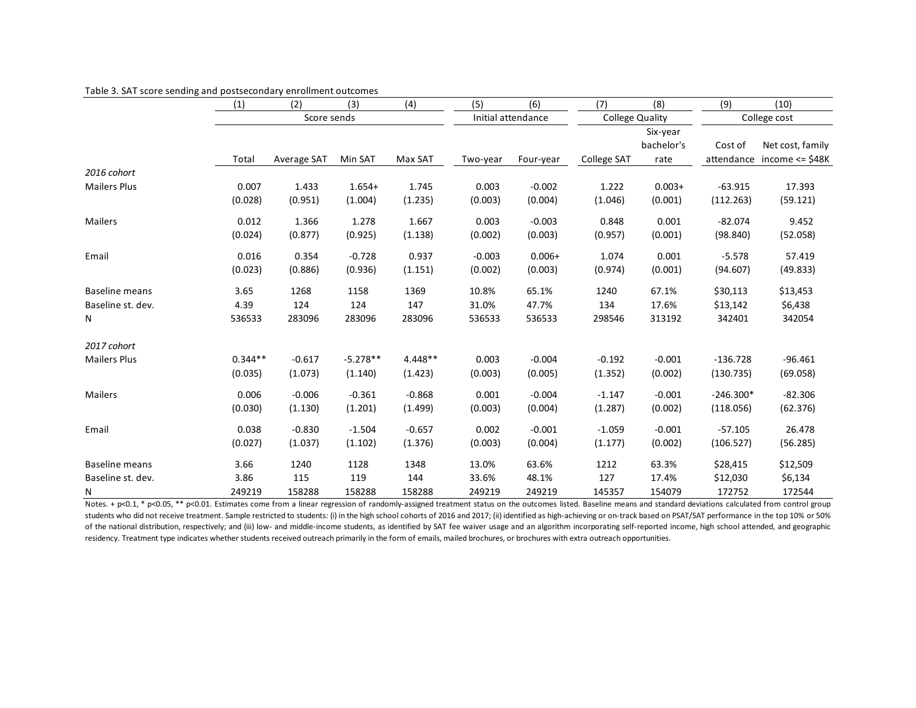|                     | (1)       | (2)         | (3)        | (4)       | (5)      | (6)                | (7)                    | (8)                    | (9)         | (10)               |
|---------------------|-----------|-------------|------------|-----------|----------|--------------------|------------------------|------------------------|-------------|--------------------|
|                     |           | Score sends |            |           |          | Initial attendance | <b>College Quality</b> |                        |             | College cost       |
|                     |           |             |            |           |          |                    |                        | Six-year<br>bachelor's | Cost of     | Net cost, family   |
|                     | Total     | Average SAT | Min SAT    | Max SAT   | Two-year | Four-year          | College SAT            | rate                   | attendance  | $income \leq 548K$ |
| 2016 cohort         |           |             |            |           |          |                    |                        |                        |             |                    |
| <b>Mailers Plus</b> | 0.007     | 1.433       | $1.654+$   | 1.745     | 0.003    | $-0.002$           | 1.222                  | $0.003+$               | $-63.915$   | 17.393             |
|                     | (0.028)   | (0.951)     | (1.004)    | (1.235)   | (0.003)  | (0.004)            | (1.046)                | (0.001)                | (112.263)   | (59.121)           |
| <b>Mailers</b>      | 0.012     | 1.366       | 1.278      | 1.667     | 0.003    | $-0.003$           | 0.848                  | 0.001                  | $-82.074$   | 9.452              |
|                     | (0.024)   | (0.877)     | (0.925)    | (1.138)   | (0.002)  | (0.003)            | (0.957)                | (0.001)                | (98.840)    | (52.058)           |
| Email               | 0.016     | 0.354       | $-0.728$   | 0.937     | $-0.003$ | $0.006+$           | 1.074                  | 0.001                  | $-5.578$    | 57.419             |
|                     | (0.023)   | (0.886)     | (0.936)    | (1.151)   | (0.002)  | (0.003)            | (0.974)                | (0.001)                | (94.607)    | (49.833)           |
| Baseline means      | 3.65      | 1268        | 1158       | 1369      | 10.8%    | 65.1%              | 1240                   | 67.1%                  | \$30,113    | \$13,453           |
| Baseline st. dev.   | 4.39      | 124         | 124        | 147       | 31.0%    | 47.7%              | 134                    | 17.6%                  | \$13,142    | \$6,438            |
| Ν                   | 536533    | 283096      | 283096     | 283096    | 536533   | 536533             | 298546                 | 313192                 | 342401      | 342054             |
| 2017 cohort         |           |             |            |           |          |                    |                        |                        |             |                    |
| <b>Mailers Plus</b> | $0.344**$ | $-0.617$    | $-5.278**$ | $4.448**$ | 0.003    | $-0.004$           | $-0.192$               | $-0.001$               | $-136.728$  | $-96.461$          |
|                     | (0.035)   | (1.073)     | (1.140)    | (1.423)   | (0.003)  | (0.005)            | (1.352)                | (0.002)                | (130.735)   | (69.058)           |
| Mailers             | 0.006     | $-0.006$    | $-0.361$   | $-0.868$  | 0.001    | $-0.004$           | $-1.147$               | $-0.001$               | $-246.300*$ | $-82.306$          |
|                     | (0.030)   | (1.130)     | (1.201)    | (1.499)   | (0.003)  | (0.004)            | (1.287)                | (0.002)                | (118.056)   | (62.376)           |
| Email               | 0.038     | $-0.830$    | $-1.504$   | $-0.657$  | 0.002    | $-0.001$           | $-1.059$               | $-0.001$               | $-57.105$   | 26.478             |
|                     | (0.027)   | (1.037)     | (1.102)    | (1.376)   | (0.003)  | (0.004)            | (1.177)                | (0.002)                | (106.527)   | (56.285)           |
| Baseline means      | 3.66      | 1240        | 1128       | 1348      | 13.0%    | 63.6%              | 1212                   | 63.3%                  | \$28,415    | \$12,509           |
| Baseline st. dev.   | 3.86      | 115         | 119        | 144       | 33.6%    | 48.1%              | 127                    | 17.4%                  | \$12,030    | \$6,134            |
| N.                  | 249219    | 158288      | 158288     | 158288    | 249219   | 249219             | 145357                 | 154079                 | 172752      | 172544             |

Table 3. SAT score sending and postsecondary enrollment outcomes

Notes. + p<0.1, \* p<0.05, \*\* p<0.01. Estimates come from a linear regression of randomly-assigned treatment status on the outcomes listed. Baseline means and standard deviations calculated from control group students who did not receive treatment. Sample restricted to students: (i) in the high school cohorts of 2016 and 2017; (ii) identified as high-achieving or on-track based on PSAT/SAT performance in the top 10% or 50% of the national distribution, respectively; and (iii) low‐ and middle‐income students, as identified by SAT fee waiver usage and an algorithm incorporating self‐reported income, high school attended, and geographic residency. Treatment type indicates whether students received outreach primarily in the form of emails, mailed brochures, or brochures with extra outreach opportunities.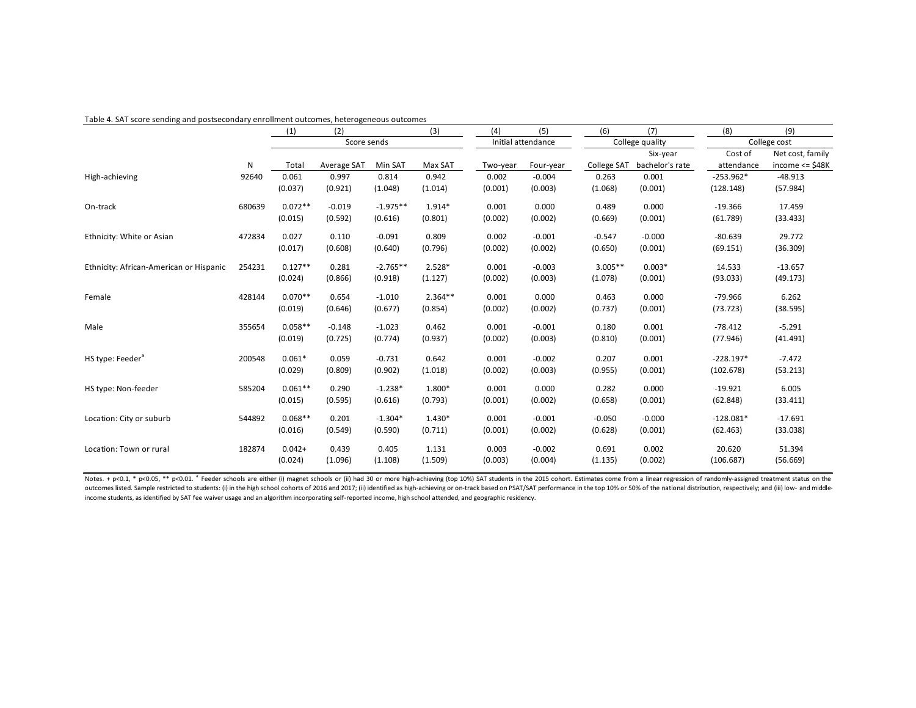| able 4. Shin seore senamg and posisecondary em omnem outcomes, neterogeneous outcomes |        | (1)       | (2)         |            | (3)       | (4)      | (5)                | (6)         | (7)             | (8)         | (9)                |
|---------------------------------------------------------------------------------------|--------|-----------|-------------|------------|-----------|----------|--------------------|-------------|-----------------|-------------|--------------------|
|                                                                                       |        |           | Score sends |            |           |          | Initial attendance |             | College quality |             | College cost       |
|                                                                                       |        |           |             |            |           |          |                    |             | Six-year        | Cost of     | Net cost, family   |
|                                                                                       | N      | Total     | Average SAT | Min SAT    | Max SAT   | Two-year | Four-year          | College SAT | bachelor's rate | attendance  | $income \leq $48K$ |
| High-achieving                                                                        | 92640  | 0.061     | 0.997       | 0.814      | 0.942     | 0.002    | $-0.004$           | 0.263       | 0.001           | $-253.962*$ | $-48.913$          |
|                                                                                       |        | (0.037)   | (0.921)     | (1.048)    | (1.014)   | (0.001)  | (0.003)            | (1.068)     | (0.001)         | (128.148)   | (57.984)           |
| On-track                                                                              | 680639 | $0.072**$ | $-0.019$    | $-1.975**$ | 1.914*    | 0.001    | 0.000              | 0.489       | 0.000           | $-19.366$   | 17.459             |
|                                                                                       |        | (0.015)   | (0.592)     | (0.616)    | (0.801)   | (0.002)  | (0.002)            | (0.669)     | (0.001)         | (61.789)    | (33.433)           |
| Ethnicity: White or Asian                                                             | 472834 | 0.027     | 0.110       | $-0.091$   | 0.809     | 0.002    | $-0.001$           | $-0.547$    | $-0.000$        | $-80.639$   | 29.772             |
|                                                                                       |        | (0.017)   | (0.608)     | (0.640)    | (0.796)   | (0.002)  | (0.002)            | (0.650)     | (0.001)         | (69.151)    | (36.309)           |
| Ethnicity: African-American or Hispanic                                               | 254231 | $0.127**$ | 0.281       | $-2.765**$ | 2.528*    | 0.001    | $-0.003$           | $3.005**$   | $0.003*$        | 14.533      | $-13.657$          |
|                                                                                       |        | (0.024)   | (0.866)     | (0.918)    | (1.127)   | (0.002)  | (0.003)            | (1.078)     | (0.001)         | (93.033)    | (49.173)           |
| Female                                                                                | 428144 | $0.070**$ | 0.654       | $-1.010$   | $2.364**$ | 0.001    | 0.000              | 0.463       | 0.000           | $-79.966$   | 6.262              |
|                                                                                       |        | (0.019)   | (0.646)     | (0.677)    | (0.854)   | (0.002)  | (0.002)            | (0.737)     | (0.001)         | (73.723)    | (38.595)           |
| Male                                                                                  | 355654 | $0.058**$ | $-0.148$    | $-1.023$   | 0.462     | 0.001    | $-0.001$           | 0.180       | 0.001           | $-78.412$   | $-5.291$           |
|                                                                                       |        | (0.019)   | (0.725)     | (0.774)    | (0.937)   | (0.002)  | (0.003)            | (0.810)     | (0.001)         | (77.946)    | (41.491)           |
| HS type: Feeder <sup>a</sup>                                                          | 200548 | $0.061*$  | 0.059       | $-0.731$   | 0.642     | 0.001    | $-0.002$           | 0.207       | 0.001           | $-228.197*$ | $-7.472$           |
|                                                                                       |        | (0.029)   | (0.809)     | (0.902)    | (1.018)   | (0.002)  | (0.003)            | (0.955)     | (0.001)         | (102.678)   | (53.213)           |
| HS type: Non-feeder                                                                   | 585204 | $0.061**$ | 0.290       | $-1.238*$  | 1.800*    | 0.001    | 0.000              | 0.282       | 0.000           | $-19.921$   | 6.005              |
|                                                                                       |        | (0.015)   | (0.595)     | (0.616)    | (0.793)   | (0.001)  | (0.002)            | (0.658)     | (0.001)         | (62.848)    | (33.411)           |
| Location: City or suburb                                                              | 544892 | $0.068**$ | 0.201       | $-1.304*$  | 1.430*    | 0.001    | $-0.001$           | $-0.050$    | $-0.000$        | $-128.081*$ | $-17.691$          |
|                                                                                       |        | (0.016)   | (0.549)     | (0.590)    | (0.711)   | (0.001)  | (0.002)            | (0.628)     | (0.001)         | (62.463)    | (33.038)           |
| Location: Town or rural                                                               | 182874 | $0.042 +$ | 0.439       | 0.405      | 1.131     | 0.003    | $-0.002$           | 0.691       | 0.002           | 20.620      | 51.394             |
|                                                                                       |        | (0.024)   | (1.096)     | (1.108)    | (1.509)   | (0.003)  | (0.004)            | (1.135)     | (0.002)         | (106.687)   | (56.669)           |

#### Table 4. SAT score sending and postsecondary enrollment outcomes, heterogeneous outcomes

Notes. + p<0.05, \* p<0.05, \*\* p<0.01. <sup>3</sup> Feeder schools are either (i) magnet schools or (ii) had 30 or more high-achieving (top 10%) SAT students in the 2015 cohort. Estimates come from a linear regression of randomly-as outcomes listed. Sample restricted to students: (i) in the high school cohorts of 2016 and 2017; (ii) identified as high-achieving or on-track based on PSAT/SAT performance in the top 10% or 50% of the national distributio income students, as identified by SAT fee waiver usage and an algorithm incorporating self‐reported income, high school attended, and geographic residency.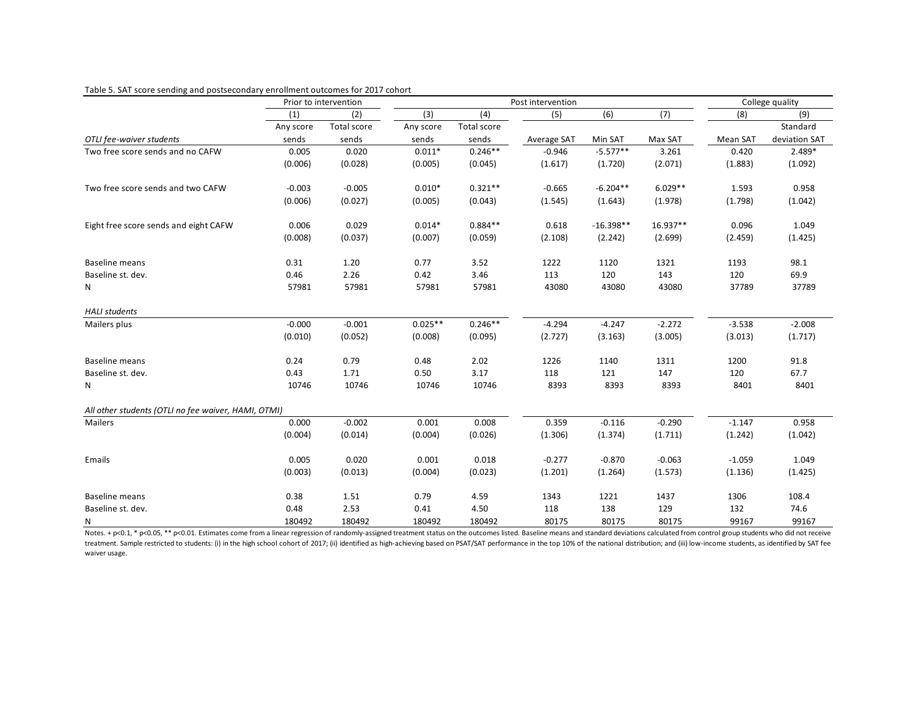#### Table 5. SAT score sending and postsecondary enrollment outcomes for 2017 cohort

|                                                     |           | Prior to intervention |           |             | Post intervention |             |           |          | College quality |
|-----------------------------------------------------|-----------|-----------------------|-----------|-------------|-------------------|-------------|-----------|----------|-----------------|
|                                                     | (1)       | (2)                   | (3)       | (4)         | (5)               | (6)         | (7)       | (8)      | (9)             |
|                                                     | Any score | Total score           | Any score | Total score |                   |             |           |          | Standard        |
| OTLI fee-waiver students                            | sends     | sends                 | sends     | sends       | Average SAT       | Min SAT     | Max SAT   | Mean SAT | deviation SAT   |
| Two free score sends and no CAFW                    | 0.005     | 0.020                 | $0.011*$  | $0.246**$   | $-0.946$          | $-5.577**$  | 3.261     | 0.420    | 2.489*          |
|                                                     | (0.006)   | (0.028)               | (0.005)   | (0.045)     | (1.617)           | (1.720)     | (2.071)   | (1.883)  | (1.092)         |
| Two free score sends and two CAFW                   | $-0.003$  | $-0.005$              | $0.010*$  | $0.321**$   | $-0.665$          | $-6.204**$  | $6.029**$ | 1.593    | 0.958           |
|                                                     | (0.006)   | (0.027)               | (0.005)   | (0.043)     | (1.545)           | (1.643)     | (1.978)   | (1.798)  | (1.042)         |
| Eight free score sends and eight CAFW               | 0.006     | 0.029                 | $0.014*$  | $0.884**$   | 0.618             | $-16.398**$ | 16.937**  | 0.096    | 1.049           |
|                                                     | (0.008)   | (0.037)               | (0.007)   | (0.059)     | (2.108)           | (2.242)     | (2.699)   | (2.459)  | (1.425)         |
| <b>Baseline means</b>                               | 0.31      | 1.20                  | 0.77      | 3.52        | 1222              | 1120        | 1321      | 1193     | 98.1            |
| Baseline st. dev.                                   | 0.46      | 2.26                  | 0.42      | 3.46        | 113               | 120         | 143       | 120      | 69.9            |
| N                                                   | 57981     | 57981                 | 57981     | 57981       | 43080             | 43080       | 43080     | 37789    | 37789           |
| <b>HALI</b> students                                |           |                       |           |             |                   |             |           |          |                 |
| Mailers plus                                        | $-0.000$  | $-0.001$              | $0.025**$ | $0.246**$   | $-4.294$          | $-4.247$    | $-2.272$  | $-3.538$ | $-2.008$        |
|                                                     | (0.010)   | (0.052)               | (0.008)   | (0.095)     | (2.727)           | (3.163)     | (3.005)   | (3.013)  | (1.717)         |
| Baseline means                                      | 0.24      | 0.79                  | 0.48      | 2.02        | 1226              | 1140        | 1311      | 1200     | 91.8            |
| Baseline st. dev.                                   | 0.43      | 1.71                  | 0.50      | 3.17        | 118               | 121         | 147       | 120      | 67.7            |
| N                                                   | 10746     | 10746                 | 10746     | 10746       | 8393              | 8393        | 8393      | 8401     | 8401            |
| All other students (OTLI no fee waiver, HAMI, OTMI) |           |                       |           |             |                   |             |           |          |                 |
| Mailers                                             | 0.000     | $-0.002$              | 0.001     | 0.008       | 0.359             | $-0.116$    | $-0.290$  | $-1.147$ | 0.958           |
|                                                     | (0.004)   | (0.014)               | (0.004)   | (0.026)     | (1.306)           | (1.374)     | (1.711)   | (1.242)  | (1.042)         |
| Emails                                              | 0.005     | 0.020                 | 0.001     | 0.018       | $-0.277$          | $-0.870$    | $-0.063$  | $-1.059$ | 1.049           |
|                                                     | (0.003)   | (0.013)               | (0.004)   | (0.023)     | (1.201)           | (1.264)     | (1.573)   | (1.136)  | (1.425)         |
| <b>Baseline means</b>                               | 0.38      | 1.51                  | 0.79      | 4.59        | 1343              | 1221        | 1437      | 1306     | 108.4           |
| Baseline st. dev.                                   | 0.48      | 2.53                  | 0.41      | 4.50        | 118               | 138         | 129       | 132      | 74.6            |
| Ν                                                   | 180492    | 180492                | 180492    | 180492      | 80175             | 80175       | 80175     | 99167    | 99167           |

Notes. + p<0.1, \* p<0.05, \*\* p<0.01. Estimates come from a linear regression of randomly-assigned treatment status on the outcomes listed. Baseline means and standard deviations calculated from control group students who treatment. Sample restricted to students: (i) in the high school cohort of 2017; (ii) identified as high-achieving based on PSAT/SAT performance in the top 10% of the national distribution; and (iii) low-income students, a waiver usage.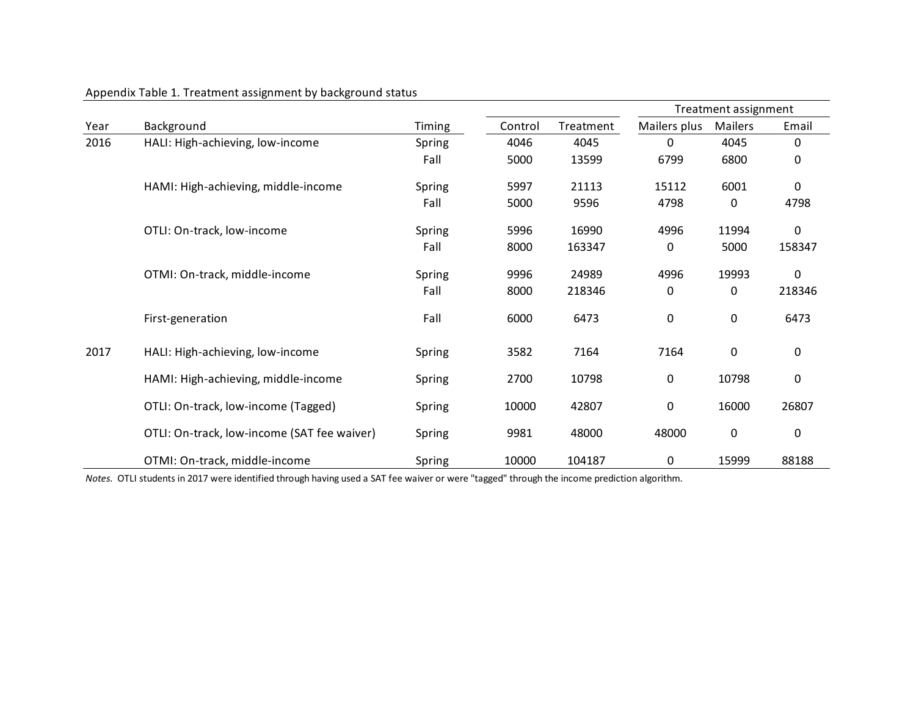|      |                                             |               |         |           |                  | Treatment assignment |           |
|------|---------------------------------------------|---------------|---------|-----------|------------------|----------------------|-----------|
| Year | Background                                  | <b>Timing</b> | Control | Treatment | Mailers plus     | Mailers              | Email     |
| 2016 | HALI: High-achieving, low-income            | Spring        | 4046    | 4045      | 0                | 4045                 | 0         |
|      |                                             | Fall          | 5000    | 13599     | 6799             | 6800                 | 0         |
|      | HAMI: High-achieving, middle-income         | Spring        | 5997    | 21113     | 15112            | 6001                 | $\Omega$  |
|      |                                             | Fall          | 5000    | 9596      | 4798             | 0                    | 4798      |
|      | OTLI: On-track, low-income                  | Spring        | 5996    | 16990     | 4996             | 11994                | $\pmb{0}$ |
|      |                                             | Fall          | 8000    | 163347    | 0                | 5000                 | 158347    |
|      | OTMI: On-track, middle-income               | Spring        | 9996    | 24989     | 4996             | 19993                | $\Omega$  |
|      |                                             | Fall          | 8000    | 218346    | 0                | 0                    | 218346    |
|      | First-generation                            | Fall          | 6000    | 6473      | 0                | 0                    | 6473      |
| 2017 | HALI: High-achieving, low-income            | Spring        | 3582    | 7164      | 7164             | 0                    | 0         |
|      | HAMI: High-achieving, middle-income         | Spring        | 2700    | 10798     | $\boldsymbol{0}$ | 10798                | 0         |
|      | OTLI: On-track, low-income (Tagged)         | Spring        | 10000   | 42807     | 0                | 16000                | 26807     |
|      | OTLI: On-track, low-income (SAT fee waiver) | Spring        | 9981    | 48000     | 48000            | 0                    | 0         |
|      | OTMI: On-track, middle-income               | Spring        | 10000   | 104187    | 0                | 15999                | 88188     |

# Appendix Table 1. Treatment assignment by background status

*Notes.* OTLI students in 2017 were identified through having used <sup>a</sup> SAT fee waiver or were "tagged" through the income prediction algorithm.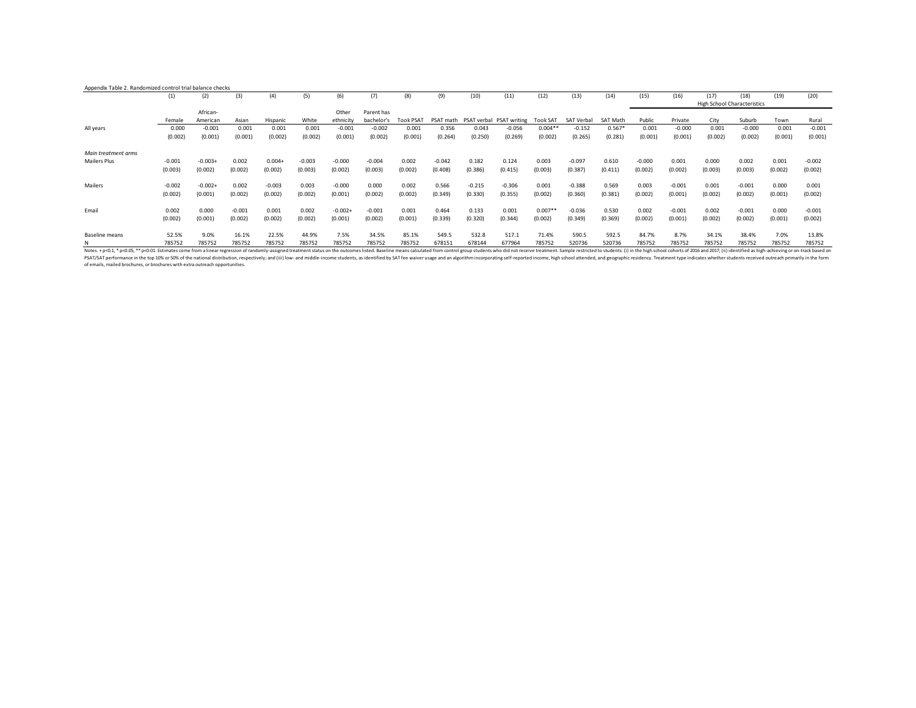| Appendix Table 2. Randomized control trial balance checks |          |           |          |          |          |           |            |                  |           |             |                     |                 |                   |                 |          |          |                                    |          |         |          |
|-----------------------------------------------------------|----------|-----------|----------|----------|----------|-----------|------------|------------------|-----------|-------------|---------------------|-----------------|-------------------|-----------------|----------|----------|------------------------------------|----------|---------|----------|
|                                                           | (1)      | (2)       | (3)      | (4)      | (5)      | (6)       |            | (8)              | (9)       | (10)        | (11)                | (12)            | (13)              | (14)            | (15)     | (16)     | (17)                               | (18)     | (19)    | (20)     |
|                                                           |          |           |          |          |          |           |            |                  |           |             |                     |                 |                   |                 |          |          | <b>High School Characteristics</b> |          |         |          |
|                                                           |          | African-  |          |          |          | Other     | Parent has |                  |           |             |                     |                 |                   |                 |          |          |                                    |          |         |          |
|                                                           | Female   | American  | Asian    | Hispanic | White    | ethnicity | bachelor's | <b>Took PSAT</b> | PSAT math | PSAT verbal | <b>PSAT writing</b> | <b>Took SAT</b> | <b>SAT Verbal</b> | <b>SAT Math</b> | Public   | Private  | City                               | Suburb   | Town    | Rural    |
| All years                                                 | 0.000    | $-0.001$  | 0.001    | 0.001    | 0.001    | $-0.001$  | $-0.002$   | 0.001            | 0.356     | 0.043       | $-0.056$            | $0.004**$       | $-0.152$          | $0.567*$        | 0.001    | $-0.000$ | 0.001                              | $-0.000$ | 0.001   | $-0.001$ |
|                                                           | (0.002)  | (0.001)   | (0.001)  | (0.002)  | (0.002)  | (0.001)   | (0.002)    | (0.001)          | (0.264)   | (0.250)     | (0.269)             | (0.002)         | (0.265)           | (0.281)         | (0.001)  | (0.001)  | (0.002)                            | (0.002)  | (0.001) | (0.001)  |
| Main treatment arms                                       |          |           |          |          |          |           |            |                  |           |             |                     |                 |                   |                 |          |          |                                    |          |         |          |
| <b>Mailers Plus</b>                                       | $-0.001$ | $-0.003+$ | 0.002    | $0.004+$ | $-0.003$ | $-0.000$  | $-0.004$   | 0.002            | $-0.042$  | 0.182       | 0.124               | 0.003           | $-0.097$          | 0.610           | $-0.000$ | 0.001    | 0.000                              | 0.002    | 0.001   | $-0.002$ |
|                                                           | (0.003)  | (0.002)   | (0.002)  | (0.002)  | (0.003)  | (0.002)   | (0.003)    | (0.002)          | (0.408)   | (0.386)     | (0.415)             | (0.003)         | (0.387)           | (0.411)         | (0.002)  | (0.002)  | (0.003)                            | (0.003)  | (0.002) | (0.002)  |
|                                                           |          |           |          |          |          |           |            |                  |           |             |                     |                 |                   |                 |          |          |                                    |          |         |          |
| Mailers                                                   | $-0.002$ | $-0.002+$ | 0.002    | $-0.003$ | 0.003    | $-0.000$  | 0.000      | 0.002            | 0.566     | $-0.215$    | $-0.306$            | 0.001           | $-0.388$          | 0.569           | 0.003    | $-0.001$ | 0.001                              | $-0.001$ | 0.000   | 0.001    |
|                                                           | (0.002)  | (0.001)   | (0.002)  | (0.002)  | (0.002)  | (0.001)   | (0.002)    | (0.002)          | (0.349)   | (0.330)     | (0.355)             | (0.002)         | (0.360)           | (0.381)         | (0.002)  | (0.001)  | (0.002)                            | (0.002)  | (0.001) | (0.002)  |
| Email                                                     | 0.002    | 0.000     | $-0.001$ | 0.001    | 0.002    | $-0.002+$ | $-0.001$   | 0.001            | 0.464     | 0.133       | 0.001               | $0.007**$       | $-0.036$          | 0.530           | 0.002    | $-0.001$ | 0.002                              | $-0.001$ | 0.000   | $-0.001$ |
|                                                           | (0.002)  | (0.001)   | (0.002)  | (0.002)  | (0.002)  | (0.001)   | (0.002)    | (0.001)          | (0.339)   | (0.320)     | (0.344)             | (0.002)         | (0.349)           | (0.369)         | (0.002)  | (0.001)  | (0.002)                            | (0.002)  | (0.001) | (0.002)  |
|                                                           |          |           |          |          |          |           |            |                  |           |             |                     |                 |                   |                 |          |          |                                    |          |         |          |
| Baseline means                                            | 52.5%    | 9.0%      | 16.1%    | 22.5%    | 44.9%    | 7.5%      | 34.5%      | 85.1%            | 549.5     | 532.8       | 517.1               | 71.4%           | 590.5             | 592.5           | 84.7%    | 8.7%     | 34.1%                              | 38.4%    | 7.0%    | 13.8%    |
| N                                                         | 785752   | 785752    | 785752   | 785752   | 785752   | 785752    | 785752     | 785752           | 678151    | 678144      | 677964              | 785752          | 520736            | 520736          | 785752   | 785752   | 785752                             | 785752   | 785752  | 785752   |

785752 785752 785752 785752 785752 785752 785752 785752 785752 785752 785752 785752 785752 785752 785752 785752 785752 785752 785752 785752 785752 785752 785752 785752 785752 785752 785752 785752 785752 785752 785752 78575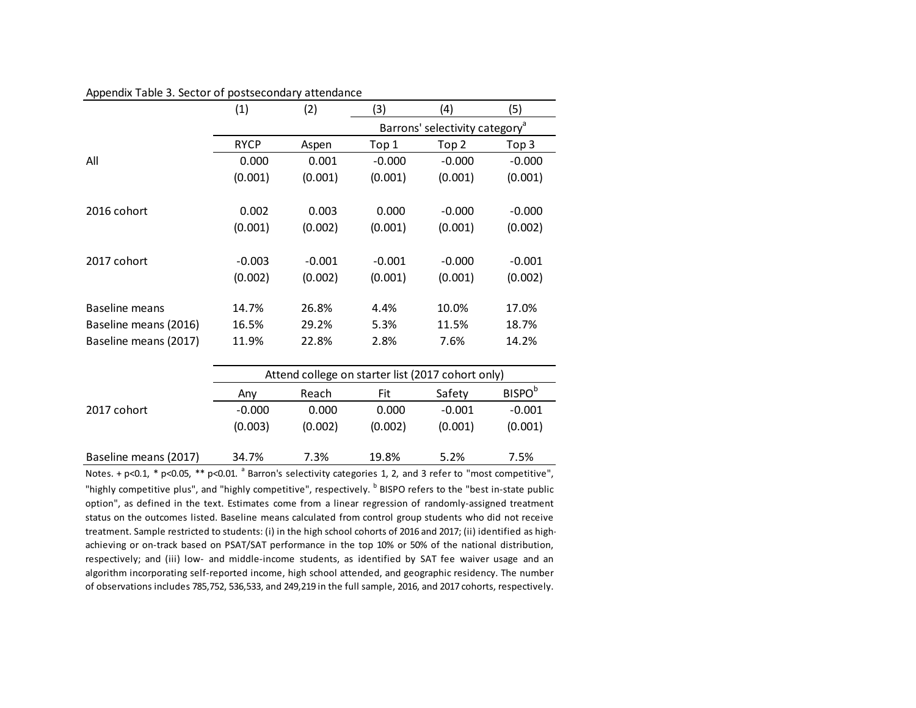### Appendix Table 3. Sector of postsecondary attendance

|                       | (1)         | (2)                                               | (3)      | (4)                                        | (5)                       |
|-----------------------|-------------|---------------------------------------------------|----------|--------------------------------------------|---------------------------|
|                       |             |                                                   |          | Barrons' selectivity category <sup>a</sup> |                           |
|                       | <b>RYCP</b> | Aspen                                             | Top 1    | Top <sub>2</sub>                           | Top 3                     |
| All                   | 0.000       | 0.001                                             | $-0.000$ | $-0.000$                                   | $-0.000$                  |
|                       | (0.001)     | (0.001)                                           | (0.001)  | (0.001)                                    | (0.001)                   |
| 2016 cohort           | 0.002       | 0.003                                             | 0.000    | $-0.000$                                   | $-0.000$                  |
|                       | (0.001)     | (0.002)                                           | (0.001)  | (0.001)                                    | (0.002)                   |
| 2017 cohort           | $-0.003$    | $-0.001$                                          | $-0.001$ | $-0.000$                                   | $-0.001$                  |
|                       | (0.002)     | (0.002)                                           | (0.001)  | (0.001)                                    | (0.002)                   |
| Baseline means        | 14.7%       | 26.8%                                             | 4.4%     | 10.0%                                      | 17.0%                     |
| Baseline means (2016) | 16.5%       | 29.2%                                             | 5.3%     | 11.5%                                      | 18.7%                     |
| Baseline means (2017) | 11.9%       | 22.8%                                             | 2.8%     | 7.6%                                       | 14.2%                     |
|                       |             | Attend college on starter list (2017 cohort only) |          |                                            |                           |
|                       | Any         | Reach                                             | Fit      | Safety                                     | <b>BISPO</b> <sup>b</sup> |
| 2017 cohort           | $-0.000$    | 0.000                                             | 0.000    | $-0.001$                                   | $-0.001$                  |
|                       | (0.003)     | (0.002)                                           | (0.002)  | (0.001)                                    | (0.001)                   |

Notes. + p<0.1,  $*$  p<0.05,  $**$  p<0.01. <sup>a</sup> Barron's selectivity categories 1, 2, and 3 refer to "most competitive", "highly competitive plus", and "highly competitive", respectively. <sup>b</sup> BISPO refers to the "best in-state public option", as defined in the text. Estimates come from <sup>a</sup> linear regression of randomly‐assigned treatment status on the outcomes listed. Baseline means calculated from control group students who did not receive treatment. Sample restricted to students: (i) in the high school cohorts of 2016 and 2017; (ii) identified as high‐ achieving or on‐track based on PSAT/SAT performance in the top 10% or 50% of the national distribution, respectively; and (iii) low‐ and middle‐income students, as identified by SAT fee waiver usage and an algorithm incorporating self‐reported income, high school attended, and geographic residency. The number of observations includes 785,752, 536,533, and 249,219 in the full sample, 2016, and 2017 cohorts, respectively.

Baseline means (2017) 34.7% 7.3% 19.8% 5.2% 7.5%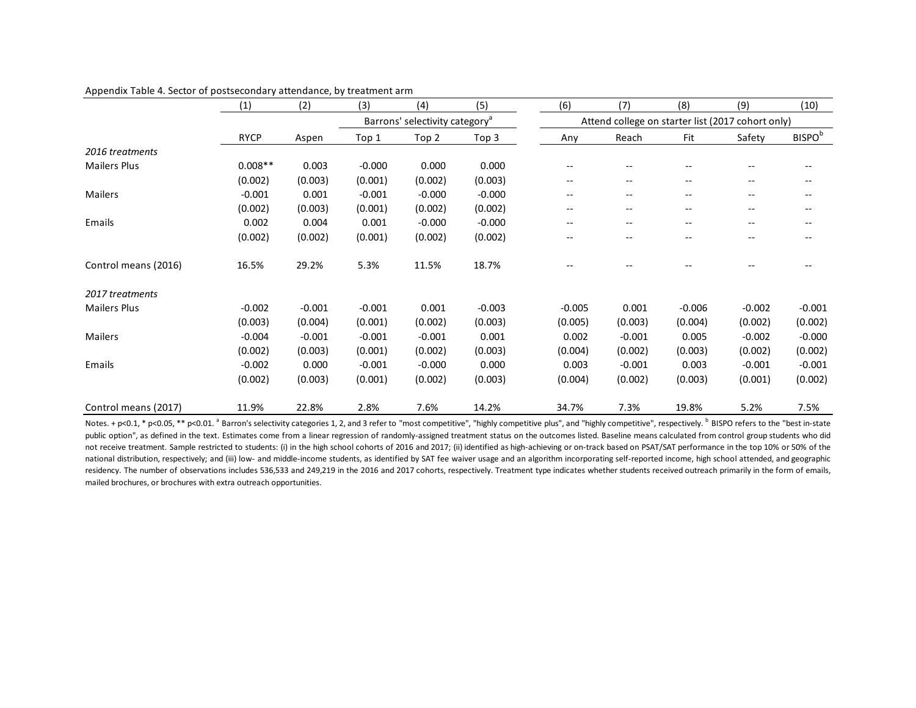|                      | (1)         | (2)      | (3)      | (4)                                        | (5)      | (6)           | (7)                                               | (8)      | (9)      | (10)              |
|----------------------|-------------|----------|----------|--------------------------------------------|----------|---------------|---------------------------------------------------|----------|----------|-------------------|
|                      |             |          |          | Barrons' selectivity category <sup>a</sup> |          |               | Attend college on starter list (2017 cohort only) |          |          |                   |
|                      | <b>RYCP</b> | Aspen    | Top 1    | Top 2                                      | Top 3    | Any           | Reach                                             | Fit      | Safety   | <b>BISPO</b> b    |
| 2016 treatments      |             |          |          |                                            |          |               |                                                   |          |          |                   |
| <b>Mailers Plus</b>  | $0.008**$   | 0.003    | $-0.000$ | 0.000                                      | 0.000    |               |                                                   |          |          |                   |
|                      | (0.002)     | (0.003)  | (0.001)  | (0.002)                                    | (0.003)  | $\sim$ $\sim$ | $\overline{\phantom{a}}$                          | $- -$    | --       | $\qquad \qquad -$ |
| Mailers              | $-0.001$    | 0.001    | $-0.001$ | $-0.000$                                   | $-0.000$ | $\sim$ $\sim$ | $- -$                                             | $- -$    | --       | $- -$             |
|                      | (0.002)     | (0.003)  | (0.001)  | (0.002)                                    | (0.002)  | --            | $- -$                                             | --       | $- -$    |                   |
| Emails               | 0.002       | 0.004    | 0.001    | $-0.000$                                   | $-0.000$ | $\sim$ $\sim$ | $\qquad \qquad \cdots$                            | $- -$    | --       | $\qquad \qquad -$ |
|                      | (0.002)     | (0.002)  | (0.001)  | (0.002)                                    | (0.002)  | $\sim$ $\sim$ | $- -$                                             | $- -$    | --       |                   |
| Control means (2016) | 16.5%       | 29.2%    | 5.3%     | 11.5%                                      | 18.7%    |               |                                                   |          |          |                   |
| 2017 treatments      |             |          |          |                                            |          |               |                                                   |          |          |                   |
| <b>Mailers Plus</b>  | $-0.002$    | $-0.001$ | $-0.001$ | 0.001                                      | $-0.003$ | $-0.005$      | 0.001                                             | $-0.006$ | $-0.002$ | $-0.001$          |
|                      | (0.003)     | (0.004)  | (0.001)  | (0.002)                                    | (0.003)  | (0.005)       | (0.003)                                           | (0.004)  | (0.002)  | (0.002)           |
| Mailers              | $-0.004$    | $-0.001$ | $-0.001$ | $-0.001$                                   | 0.001    | 0.002         | $-0.001$                                          | 0.005    | $-0.002$ | $-0.000$          |
|                      | (0.002)     | (0.003)  | (0.001)  | (0.002)                                    | (0.003)  | (0.004)       | (0.002)                                           | (0.003)  | (0.002)  | (0.002)           |
| Emails               | $-0.002$    | 0.000    | $-0.001$ | $-0.000$                                   | 0.000    | 0.003         | $-0.001$                                          | 0.003    | $-0.001$ | $-0.001$          |
|                      | (0.002)     | (0.003)  | (0.001)  | (0.002)                                    | (0.003)  | (0.004)       | (0.002)                                           | (0.003)  | (0.001)  | (0.002)           |
| Control means (2017) | 11.9%       | 22.8%    | 2.8%     | 7.6%                                       | 14.2%    | 34.7%         | 7.3%                                              | 19.8%    | 5.2%     | 7.5%              |

Appendix Table 4. Sector of postsecondary attendance, by treatment arm

Notes. + p<0.1, \* p<0.05, \*\* p<0.01. <sup>a</sup> Barron's selectivity categories 1, 2, and 3 refer to "most competitive", "highly competitive plus", and "highly competitive", respectively. <sup>b</sup> BISPO refers to the "best in-state public option", as defined in the text. Estimates come from a linear regression of randomly-assigned treatment status on the outcomes listed. Baseline means calculated from control group students who did not receive treatment. Sample restricted to students: (i) in the high school cohorts of 2016 and 2017; (ii) identified as high-achieving or on-track based on PSAT/SAT performance in the top 10% or 50% of the national distribution, respectively; and (iii) low‐ and middle‐income students, as identified by SAT fee waiver usage and an algorithm incorporating self‐reported income, high school attended, and geographic residency. The number of observations includes 536,533 and 249,219 in the 2016 and 2017 cohorts, respectively. Treatment type indicates whether students received outreach primarily in the form of emails, mailed brochures, or brochures with extra outreach opportunities.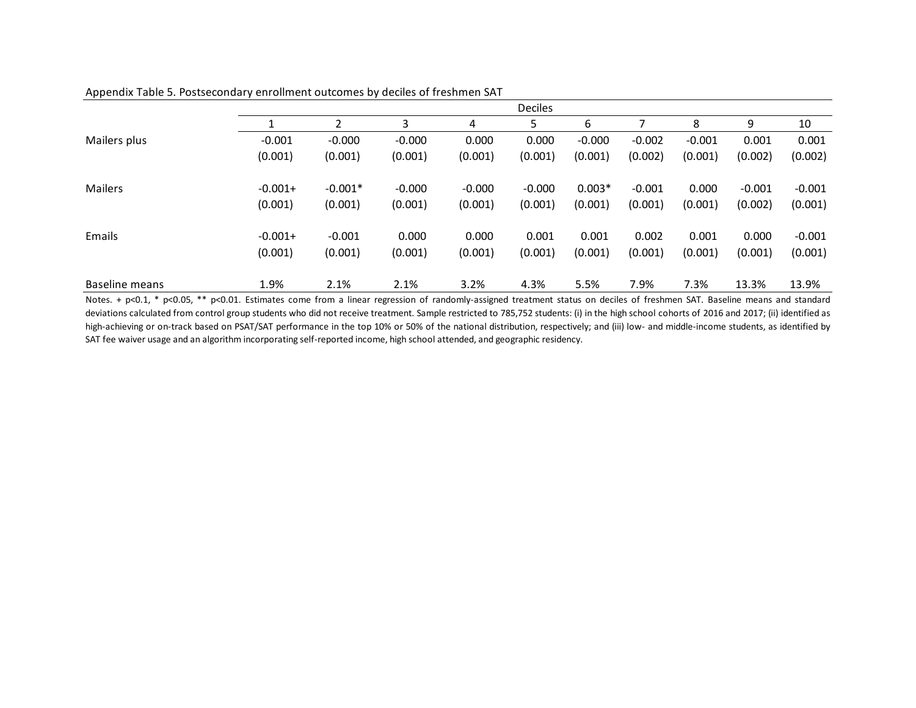|                | <b>Deciles</b> |           |          |          |          |          |          |          |          |          |
|----------------|----------------|-----------|----------|----------|----------|----------|----------|----------|----------|----------|
|                |                |           | 3        | 4        |          | b        |          | 8        | 9        | 10       |
| Mailers plus   | $-0.001$       | $-0.000$  | $-0.000$ | 0.000    | 0.000    | $-0.000$ | $-0.002$ | $-0.001$ | 0.001    | 0.001    |
|                | (0.001)        | (0.001)   | (0.001)  | (0.001)  | (0.001)  | (0.001)  | (0.002)  | (0.001)  | (0.002)  | (0.002)  |
| <b>Mailers</b> | $-0.001+$      | $-0.001*$ | $-0.000$ | $-0.000$ | $-0.000$ | $0.003*$ | $-0.001$ | 0.000    | $-0.001$ | $-0.001$ |
|                | (0.001)        | (0.001)   | (0.001)  | (0.001)  | (0.001)  | (0.001)  | (0.001)  | (0.001)  | (0.002)  | (0.001)  |
| Emails         | $-0.001+$      | $-0.001$  | 0.000    | 0.000    | 0.001    | 0.001    | 0.002    | 0.001    | 0.000    | $-0.001$ |
|                | (0.001)        | (0.001)   | (0.001)  | (0.001)  | (0.001)  | (0.001)  | (0.001)  | (0.001)  | (0.001)  | (0.001)  |
| Baseline means | 1.9%           | 2.1%      | 2.1%     | 3.2%     | 4.3%     | 5.5%     | 7.9%     | 7.3%     | 13.3%    | 13.9%    |

Appendix Table 5. Postsecondary enrollment outcomes by deciles of freshmen SAT

Notes. + p<0.1, \* p<0.05, \*\* p<0.01. Estimates come from a linear regression of randomly-assigned treatment status on deciles of freshmen SAT. Baseline means and standard deviations calculated from control group students who did not receive treatment. Sample restricted to 785,752 students: (i) in the high school cohorts of 2016 and 2017; (ii) identified as high-achieving or on-track based on PSAT/SAT performance in the top 10% or 50% of the national distribution, respectively; and (iii) low- and middle-income students, as identified by SAT fee waiver usage and an algorithm incorporating self‐reported income, high school attended, and geographic residency.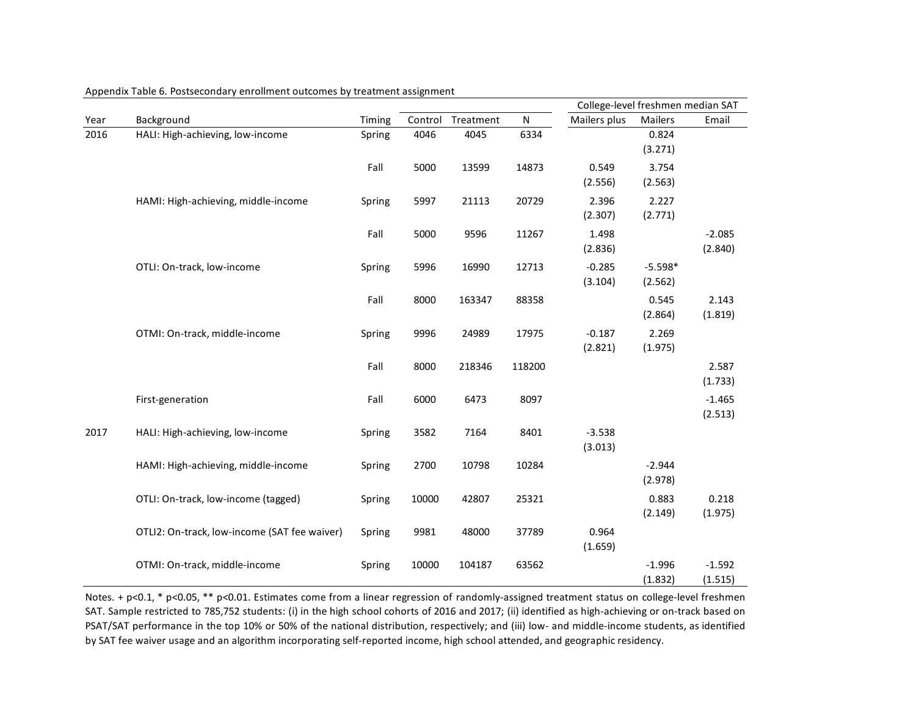|      |                                              |        |         |           |           | College-level freshmen median SAT |           |          |
|------|----------------------------------------------|--------|---------|-----------|-----------|-----------------------------------|-----------|----------|
| Year | Background                                   | Timing | Control | Treatment | ${\sf N}$ | Mailers plus                      | Mailers   | Email    |
| 2016 | HALI: High-achieving, low-income             | Spring | 4046    | 4045      | 6334      |                                   | 0.824     |          |
|      |                                              |        |         |           |           |                                   | (3.271)   |          |
|      |                                              | Fall   | 5000    | 13599     | 14873     | 0.549                             | 3.754     |          |
|      |                                              |        |         |           |           | (2.556)                           | (2.563)   |          |
|      | HAMI: High-achieving, middle-income          | Spring | 5997    | 21113     | 20729     | 2.396                             | 2.227     |          |
|      |                                              |        |         |           |           | (2.307)                           | (2.771)   |          |
|      |                                              | Fall   | 5000    | 9596      | 11267     | 1.498                             |           | $-2.085$ |
|      |                                              |        |         |           |           | (2.836)                           |           | (2.840)  |
|      | OTLI: On-track, low-income                   | Spring | 5996    | 16990     | 12713     | $-0.285$                          | $-5.598*$ |          |
|      |                                              |        |         |           |           | (3.104)                           | (2.562)   |          |
|      |                                              | Fall   | 8000    | 163347    | 88358     |                                   | 0.545     | 2.143    |
|      |                                              |        |         |           |           |                                   | (2.864)   | (1.819)  |
|      | OTMI: On-track, middle-income                | Spring | 9996    | 24989     | 17975     | $-0.187$                          | 2.269     |          |
|      |                                              |        |         |           |           | (2.821)                           | (1.975)   |          |
|      |                                              | Fall   | 8000    | 218346    | 118200    |                                   |           | 2.587    |
|      |                                              |        |         |           |           |                                   |           | (1.733)  |
|      | First-generation                             | Fall   | 6000    | 6473      | 8097      |                                   |           | $-1.465$ |
|      |                                              |        |         |           |           |                                   |           | (2.513)  |
| 2017 | HALI: High-achieving, low-income             | Spring | 3582    | 7164      | 8401      | $-3.538$                          |           |          |
|      |                                              |        |         |           |           | (3.013)                           |           |          |
|      | HAMI: High-achieving, middle-income          | Spring | 2700    | 10798     | 10284     |                                   | $-2.944$  |          |
|      |                                              |        |         |           |           |                                   | (2.978)   |          |
|      | OTLI: On-track, low-income (tagged)          | Spring | 10000   | 42807     | 25321     |                                   | 0.883     | 0.218    |
|      |                                              |        |         |           |           |                                   | (2.149)   | (1.975)  |
|      | OTLI2: On-track, low-income (SAT fee waiver) | Spring | 9981    | 48000     | 37789     | 0.964                             |           |          |
|      |                                              |        |         |           |           | (1.659)                           |           |          |
|      | OTMI: On-track, middle-income                | Spring | 10000   | 104187    | 63562     |                                   | $-1.996$  | $-1.592$ |
|      |                                              |        |         |           |           |                                   | (1.832)   | (1.515)  |

### Appendix Table 6. Postsecondary enrollment outcomes by treatment assignment

Notes. + p<0.1, \* p<0.05, \*\* p<0.01. Estimates come from a linear regression of randomly-assigned treatment status on college-level freshmen SAT. Sample restricted to 785,752 students: (i) in the high school cohorts of 2016 and 2017; (ii) identified as high‐achieving or on‐track based on PSAT/SAT performance in the top 10% or 50% of the national distribution, respectively; and (iii) low- and middle-income students, as identified by SAT fee waiver usage and an algorithm incorporating self‐reported income, high school attended, and geographic residency.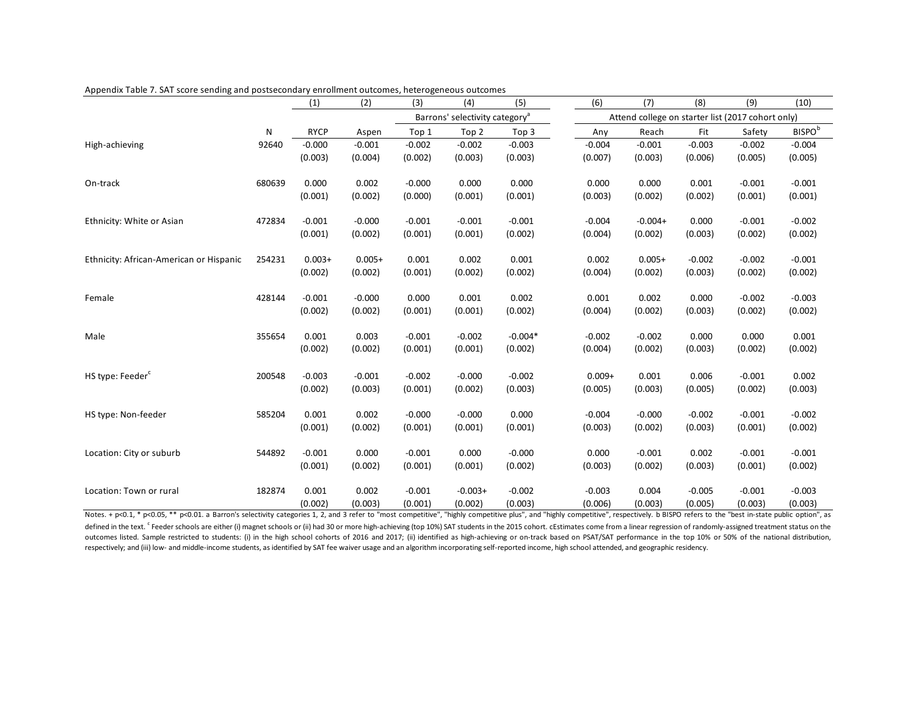|                                         |        | (1)         | (2)      | (3)      | (4)                                        | (5)       | (6)       | (7)                                               | (8)      | (9)      | (10)           |
|-----------------------------------------|--------|-------------|----------|----------|--------------------------------------------|-----------|-----------|---------------------------------------------------|----------|----------|----------------|
|                                         |        |             |          |          | Barrons' selectivity category <sup>a</sup> |           |           | Attend college on starter list (2017 cohort only) |          |          |                |
|                                         | N      | <b>RYCP</b> | Aspen    | Top 1    | Top 2                                      | Top 3     | Any       | Reach                                             | Fit      | Safety   | <b>BISPO</b> b |
| High-achieving                          | 92640  | $-0.000$    | $-0.001$ | $-0.002$ | $-0.002$                                   | $-0.003$  | $-0.004$  | $-0.001$                                          | $-0.003$ | $-0.002$ | $-0.004$       |
|                                         |        | (0.003)     | (0.004)  | (0.002)  | (0.003)                                    | (0.003)   | (0.007)   | (0.003)                                           | (0.006)  | (0.005)  | (0.005)        |
| On-track                                | 680639 | 0.000       | 0.002    | $-0.000$ | 0.000                                      | 0.000     | 0.000     | 0.000                                             | 0.001    | $-0.001$ | $-0.001$       |
|                                         |        | (0.001)     | (0.002)  | (0.000)  | (0.001)                                    | (0.001)   | (0.003)   | (0.002)                                           | (0.002)  | (0.001)  | (0.001)        |
| Ethnicity: White or Asian               | 472834 | $-0.001$    | $-0.000$ | $-0.001$ | $-0.001$                                   | $-0.001$  | $-0.004$  | $-0.004+$                                         | 0.000    | $-0.001$ | $-0.002$       |
|                                         |        | (0.001)     | (0.002)  | (0.001)  | (0.001)                                    | (0.002)   | (0.004)   | (0.002)                                           | (0.003)  | (0.002)  | (0.002)        |
| Ethnicity: African-American or Hispanic | 254231 | $0.003+$    | $0.005+$ | 0.001    | 0.002                                      | 0.001     | 0.002     | $0.005+$                                          | $-0.002$ | $-0.002$ | $-0.001$       |
|                                         |        | (0.002)     | (0.002)  | (0.001)  | (0.002)                                    | (0.002)   | (0.004)   | (0.002)                                           | (0.003)  | (0.002)  | (0.002)        |
| Female                                  | 428144 | $-0.001$    | $-0.000$ | 0.000    | 0.001                                      | 0.002     | 0.001     | 0.002                                             | 0.000    | $-0.002$ | $-0.003$       |
|                                         |        | (0.002)     | (0.002)  | (0.001)  | (0.001)                                    | (0.002)   | (0.004)   | (0.002)                                           | (0.003)  | (0.002)  | (0.002)        |
| Male                                    | 355654 | 0.001       | 0.003    | $-0.001$ | $-0.002$                                   | $-0.004*$ | $-0.002$  | $-0.002$                                          | 0.000    | 0.000    | 0.001          |
|                                         |        | (0.002)     | (0.002)  | (0.001)  | (0.001)                                    | (0.002)   | (0.004)   | (0.002)                                           | (0.003)  | (0.002)  | (0.002)        |
| HS type: Feeder <sup>c</sup>            | 200548 | $-0.003$    | $-0.001$ | $-0.002$ | $-0.000$                                   | $-0.002$  | $0.009 +$ | 0.001                                             | 0.006    | $-0.001$ | 0.002          |
|                                         |        | (0.002)     | (0.003)  | (0.001)  | (0.002)                                    | (0.003)   | (0.005)   | (0.003)                                           | (0.005)  | (0.002)  | (0.003)        |
| HS type: Non-feeder                     | 585204 | 0.001       | 0.002    | $-0.000$ | $-0.000$                                   | 0.000     | $-0.004$  | $-0.000$                                          | $-0.002$ | $-0.001$ | $-0.002$       |
|                                         |        | (0.001)     | (0.002)  | (0.001)  | (0.001)                                    | (0.001)   | (0.003)   | (0.002)                                           | (0.003)  | (0.001)  | (0.002)        |
| Location: City or suburb                | 544892 | $-0.001$    | 0.000    | $-0.001$ | 0.000                                      | $-0.000$  | 0.000     | $-0.001$                                          | 0.002    | $-0.001$ | $-0.001$       |
|                                         |        | (0.001)     | (0.002)  | (0.001)  | (0.001)                                    | (0.002)   | (0.003)   | (0.002)                                           | (0.003)  | (0.001)  | (0.002)        |
| Location: Town or rural                 | 182874 | 0.001       | 0.002    | $-0.001$ | $-0.003+$                                  | $-0.002$  | $-0.003$  | 0.004                                             | $-0.005$ | $-0.001$ | $-0.003$       |
|                                         |        | (0.002)     | (0.003)  | (0.001)  | (0.002)                                    | (0.003)   | (0.006)   | (0.003)                                           | (0.005)  | (0.003)  | (0.003)        |

|  |  |  |  | Appendix Table 7. SAT score sending and postsecondary enrollment outcomes, heterogeneous outcomes |  |
|--|--|--|--|---------------------------------------------------------------------------------------------------|--|
|  |  |  |  |                                                                                                   |  |

Notes. + p<0.1, \* p<0.05, \*\* p<0.05, \*\* p<0.01. a Barron's selectivity categories 1, 2, and 3 refer to "most competitive", "highly competitive plus", and "highly competitive", respectively. b BISPO refers to the "best in-s defined in the text. <sup>c</sup> Feeder schools are either (i) magnet schools or (ii) had 30 or more high-achieving (top 10%) SAT students in the 2015 cohort. cEstimates come from a linear regression of randomly-assigned treatment outcomes listed. Sample restricted to students: (i) in the high school cohorts of 2016 and 2017; (ii) identified as high-achieving or on-track based on PSAT/SAT performance in the top 10% or 50% of the national distributio respectively; and (iii) low- and middle-income students, as identified by SAT fee waiver usage and an algorithm incorporating self-reported income, high school attended, and geographic residency.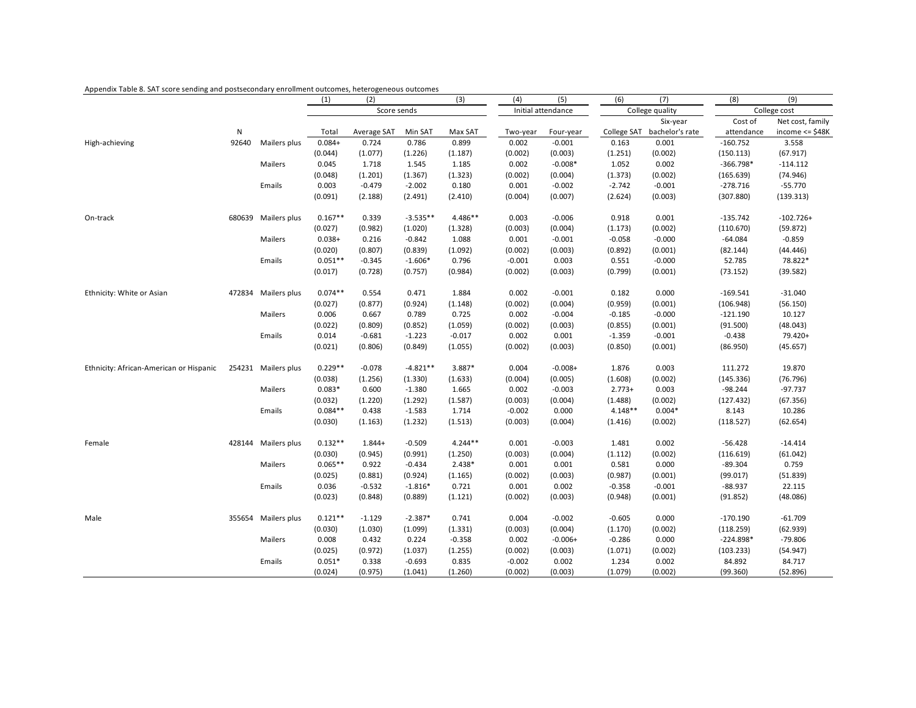|                                         |        |                     | (1)         | (2)         |                    | (3)       | (4)      | (5)             | (6)          | (7)             | (8)         | (9)               |
|-----------------------------------------|--------|---------------------|-------------|-------------|--------------------|-----------|----------|-----------------|--------------|-----------------|-------------|-------------------|
|                                         |        |                     | Score sends |             | Initial attendance |           |          | College quality | College cost |                 |             |                   |
|                                         |        |                     |             |             |                    |           |          |                 | Six-year     |                 | Cost of     | Net cost, family  |
|                                         | N      |                     | Total       | Average SAT | Min SAT            | Max SAT   | Two-year | Four-year       | College SAT  | bachelor's rate | attendance  | $income < = $48K$ |
| High-achieving                          | 92640  | Mailers plus        | $0.084+$    | 0.724       | 0.786              | 0.899     | 0.002    | $-0.001$        | 0.163        | 0.001           | $-160.752$  | 3.558             |
|                                         |        |                     | (0.044)     | (1.077)     | (1.226)            | (1.187)   | (0.002)  | (0.003)         | (1.251)      | (0.002)         | (150.113)   | (67.917)          |
|                                         |        | Mailers             | 0.045       | 1.718       | 1.545              | 1.185     | 0.002    | $-0.008*$       | 1.052        | 0.002           | $-366.798*$ | $-114.112$        |
|                                         |        |                     | (0.048)     | (1.201)     | (1.367)            | (1.323)   | (0.002)  | (0.004)         | (1.373)      | (0.002)         | (165.639)   | (74.946)          |
|                                         |        | Emails              | 0.003       | $-0.479$    | $-2.002$           | 0.180     | 0.001    | $-0.002$        | $-2.742$     | $-0.001$        | $-278.716$  | $-55.770$         |
|                                         |        |                     | (0.091)     | (2.188)     | (2.491)            | (2.410)   | (0.004)  | (0.007)         | (2.624)      | (0.003)         | (307.880)   | (139.313)         |
| On-track                                | 680639 | Mailers plus        | $0.167**$   | 0.339       | $-3.535**$         | 4.486**   | 0.003    | $-0.006$        | 0.918        | 0.001           | $-135.742$  | $-102.726+$       |
|                                         |        |                     | (0.027)     | (0.982)     | (1.020)            | (1.328)   | (0.003)  | (0.004)         | (1.173)      | (0.002)         | (110.670)   | (59.872)          |
|                                         |        | Mailers             | $0.038 +$   | 0.216       | $-0.842$           | 1.088     | 0.001    | $-0.001$        | $-0.058$     | $-0.000$        | $-64.084$   | $-0.859$          |
|                                         |        |                     | (0.020)     | (0.807)     | (0.839)            | (1.092)   | (0.002)  | (0.003)         | (0.892)      | (0.001)         | (82.144)    | (44.446)          |
|                                         |        | Emails              | $0.051**$   | $-0.345$    | $-1.606*$          | 0.796     | $-0.001$ | 0.003           | 0.551        | $-0.000$        | 52.785      | 78.822*           |
|                                         |        |                     | (0.017)     | (0.728)     | (0.757)            | (0.984)   | (0.002)  | (0.003)         | (0.799)      | (0.001)         | (73.152)    | (39.582)          |
| Ethnicity: White or Asian               | 472834 | Mailers plus        | $0.074**$   | 0.554       | 0.471              | 1.884     | 0.002    | $-0.001$        | 0.182        | 0.000           | $-169.541$  | $-31.040$         |
|                                         |        |                     | (0.027)     | (0.877)     | (0.924)            | (1.148)   | (0.002)  | (0.004)         | (0.959)      | (0.001)         | (106.948)   | (56.150)          |
|                                         |        | Mailers             | 0.006       | 0.667       | 0.789              | 0.725     | 0.002    | $-0.004$        | $-0.185$     | $-0.000$        | $-121.190$  | 10.127            |
|                                         |        |                     | (0.022)     | (0.809)     | (0.852)            | (1.059)   | (0.002)  | (0.003)         | (0.855)      | (0.001)         | (91.500)    | (48.043)          |
|                                         |        | Emails              | 0.014       | $-0.681$    | $-1.223$           | $-0.017$  | 0.002    | 0.001           | $-1.359$     | $-0.001$        | $-0.438$    | 79.420+           |
|                                         |        |                     | (0.021)     | (0.806)     | (0.849)            | (1.055)   | (0.002)  | (0.003)         | (0.850)      | (0.001)         | (86.950)    | (45.657)          |
| Ethnicity: African-American or Hispanic |        | 254231 Mailers plus | $0.229**$   | $-0.078$    | $-4.821**$         | 3.887*    | 0.004    | $-0.008+$       | 1.876        | 0.003           | 111.272     | 19.870            |
|                                         |        |                     | (0.038)     | (1.256)     | (1.330)            | (1.633)   | (0.004)  | (0.005)         | (1.608)      | (0.002)         | (145.336)   | (76.796)          |
|                                         |        | Mailers             | $0.083*$    | 0.600       | $-1.380$           | 1.665     | 0.002    | $-0.003$        | $2.773+$     | 0.003           | $-98.244$   | $-97.737$         |
|                                         |        |                     | (0.032)     | (1.220)     | (1.292)            | (1.587)   | (0.003)  | (0.004)         | (1.488)      | (0.002)         | (127.432)   | (67.356)          |
|                                         |        | Emails              | $0.084**$   | 0.438       | $-1.583$           | 1.714     | $-0.002$ | 0.000           | $4.148**$    | $0.004*$        | 8.143       | 10.286            |
|                                         |        |                     | (0.030)     | (1.163)     | (1.232)            | (1.513)   | (0.003)  | (0.004)         | (1.416)      | (0.002)         | (118.527)   | (62.654)          |
| Female                                  |        | 428144 Mailers plus | $0.132**$   | $1.844+$    | $-0.509$           | $4.244**$ | 0.001    | $-0.003$        | 1.481        | 0.002           | $-56.428$   | $-14.414$         |
|                                         |        |                     | (0.030)     | (0.945)     | (0.991)            | (1.250)   | (0.003)  | (0.004)         | (1.112)      | (0.002)         | (116.619)   | (61.042)          |
|                                         |        | Mailers             | $0.065**$   | 0.922       | $-0.434$           | $2.438*$  | 0.001    | 0.001           | 0.581        | 0.000           | $-89.304$   | 0.759             |
|                                         |        |                     | (0.025)     | (0.881)     | (0.924)            | (1.165)   | (0.002)  | (0.003)         | (0.987)      | (0.001)         | (99.017)    | (51.839)          |
|                                         |        | Emails              | 0.036       | $-0.532$    | $-1.816*$          | 0.721     | 0.001    | 0.002           | $-0.358$     | $-0.001$        | $-88.937$   | 22.115            |
|                                         |        |                     | (0.023)     | (0.848)     | (0.889)            | (1.121)   | (0.002)  | (0.003)         | (0.948)      | (0.001)         | (91.852)    | (48.086)          |
| Male                                    |        | 355654 Mailers plus | $0.121**$   | $-1.129$    | $-2.387*$          | 0.741     | 0.004    | $-0.002$        | $-0.605$     | 0.000           | $-170.190$  | $-61.709$         |
|                                         |        |                     | (0.030)     | (1.030)     | (1.099)            | (1.331)   | (0.003)  | (0.004)         | (1.170)      | (0.002)         | (118.259)   | (62.939)          |
|                                         |        | Mailers             | 0.008       | 0.432       | 0.224              | $-0.358$  | 0.002    | $-0.006+$       | $-0.286$     | 0.000           | $-224.898*$ | $-79.806$         |
|                                         |        |                     | (0.025)     | (0.972)     | (1.037)            | (1.255)   | (0.002)  | (0.003)         | (1.071)      | (0.002)         | (103.233)   | (54.947)          |
|                                         |        | Emails              | $0.051*$    | 0.338       | $-0.693$           | 0.835     | $-0.002$ | 0.002           | 1.234        | 0.002           | 84.892      | 84.717            |
|                                         |        |                     | (0.024)     | (0.975)     | (1.041)            | (1.260)   | (0.002)  | (0.003)         | (1.079)      | (0.002)         | (99.360)    | (52.896)          |

#### Appendix Table 8. SAT score sending and postsecondary enrollment outcomes, heterogeneous outcomes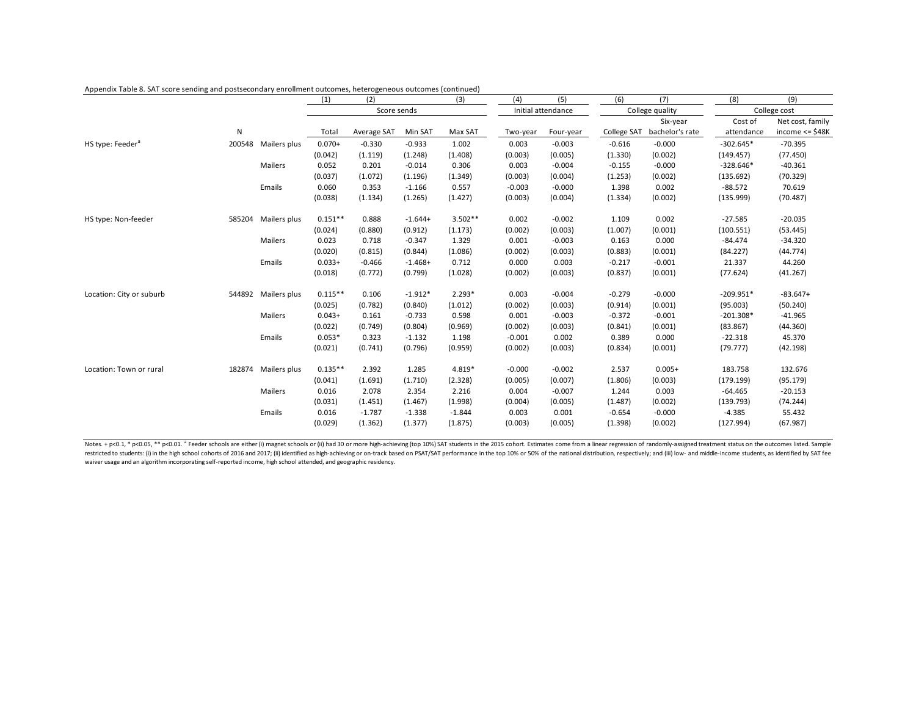|                              |        |                     | (1)         | (2)         |           | (3)       | (4)                | (5)       | (6)             | (7)             | (8)          | (9)               |
|------------------------------|--------|---------------------|-------------|-------------|-----------|-----------|--------------------|-----------|-----------------|-----------------|--------------|-------------------|
|                              |        |                     | Score sends |             |           |           | Initial attendance |           | College quality |                 | College cost |                   |
|                              |        |                     |             |             |           |           |                    |           |                 | Six-year        | Cost of      | Net cost, family  |
|                              | N      |                     | Total       | Average SAT | Min SAT   | Max SAT   | Two-year           | Four-year | College SAT     | bachelor's rate | attendance   | $income < = $48K$ |
| HS type: Feeder <sup>a</sup> | 200548 | Mailers plus        | $0.070+$    | $-0.330$    | $-0.933$  | 1.002     | 0.003              | $-0.003$  | $-0.616$        | $-0.000$        | $-302.645*$  | $-70.395$         |
|                              |        |                     | (0.042)     | (1.119)     | (1.248)   | (1.408)   | (0.003)            | (0.005)   | (1.330)         | (0.002)         | (149.457)    | (77.450)          |
|                              |        | Mailers             | 0.052       | 0.201       | $-0.014$  | 0.306     | 0.003              | $-0.004$  | $-0.155$        | $-0.000$        | $-328.646*$  | $-40.361$         |
|                              |        |                     | (0.037)     | (1.072)     | (1.196)   | (1.349)   | (0.003)            | (0.004)   | (1.253)         | (0.002)         | (135.692)    | (70.329)          |
|                              |        | Emails              | 0.060       | 0.353       | $-1.166$  | 0.557     | $-0.003$           | $-0.000$  | 1.398           | 0.002           | $-88.572$    | 70.619            |
|                              |        |                     | (0.038)     | (1.134)     | (1.265)   | (1.427)   | (0.003)            | (0.004)   | (1.334)         | (0.002)         | (135.999)    | (70.487)          |
| HS type: Non-feeder          | 585204 | Mailers plus        | $0.151**$   | 0.888       | $-1.644+$ | $3.502**$ | 0.002              | $-0.002$  | 1.109           | 0.002           | $-27.585$    | $-20.035$         |
|                              |        |                     | (0.024)     | (0.880)     | (0.912)   | (1.173)   | (0.002)            | (0.003)   | (1.007)         | (0.001)         | (100.551)    | (53.445)          |
|                              |        | Mailers             | 0.023       | 0.718       | $-0.347$  | 1.329     | 0.001              | $-0.003$  | 0.163           | 0.000           | $-84.474$    | $-34.320$         |
|                              |        |                     | (0.020)     | (0.815)     | (0.844)   | (1.086)   | (0.002)            | (0.003)   | (0.883)         | (0.001)         | (84.227)     | (44.774)          |
|                              |        | Emails              | $0.033+$    | $-0.466$    | $-1.468+$ | 0.712     | 0.000              | 0.003     | $-0.217$        | $-0.001$        | 21.337       | 44.260            |
|                              |        |                     | (0.018)     | (0.772)     | (0.799)   | (1.028)   | (0.002)            | (0.003)   | (0.837)         | (0.001)         | (77.624)     | (41.267)          |
| Location: City or suburb     |        | 544892 Mailers plus | $0.115**$   | 0.106       | $-1.912*$ | $2.293*$  | 0.003              | $-0.004$  | $-0.279$        | $-0.000$        | $-209.951*$  | $-83.647+$        |
|                              |        |                     | (0.025)     | (0.782)     | (0.840)   | (1.012)   | (0.002)            | (0.003)   | (0.914)         | (0.001)         | (95.003)     | (50.240)          |
|                              |        | Mailers             | $0.043+$    | 0.161       | $-0.733$  | 0.598     | 0.001              | $-0.003$  | $-0.372$        | $-0.001$        | $-201.308*$  | $-41.965$         |
|                              |        |                     | (0.022)     | (0.749)     | (0.804)   | (0.969)   | (0.002)            | (0.003)   | (0.841)         | (0.001)         | (83.867)     | (44.360)          |
|                              |        | Emails              | $0.053*$    | 0.323       | $-1.132$  | 1.198     | $-0.001$           | 0.002     | 0.389           | 0.000           | $-22.318$    | 45.370            |
|                              |        |                     | (0.021)     | (0.741)     | (0.796)   | (0.959)   | (0.002)            | (0.003)   | (0.834)         | (0.001)         | (79.777)     | (42.198)          |
| Location: Town or rural      | 182874 | Mailers plus        | $0.135**$   | 2.392       | 1.285     | 4.819*    | $-0.000$           | $-0.002$  | 2.537           | $0.005+$        | 183.758      | 132.676           |
|                              |        |                     | (0.041)     | (1.691)     | (1.710)   | (2.328)   | (0.005)            | (0.007)   | (1.806)         | (0.003)         | (179.199)    | (95.179)          |
|                              |        | Mailers             | 0.016       | 2.078       | 2.354     | 2.216     | 0.004              | $-0.007$  | 1.244           | 0.003           | $-64.465$    | $-20.153$         |
|                              |        |                     | (0.031)     | (1.451)     | (1.467)   | (1.998)   | (0.004)            | (0.005)   | (1.487)         | (0.002)         | (139.793)    | (74.244)          |
|                              |        | Emails              | 0.016       | $-1.787$    | $-1.338$  | $-1.844$  | 0.003              | 0.001     | $-0.654$        | $-0.000$        | $-4.385$     | 55.432            |
|                              |        |                     | (0.029)     | (1.362)     | (1.377)   | (1.875)   | (0.003)            | (0.005)   | (1.398)         | (0.002)         | (127.994)    | (67.987)          |

#### Appendix Table 8. SAT score sending and postsecondary enrollment outcomes, heterogeneous outcomes (continued)

Notes. + p<0.1,\* p<0.05,\*\* p<0.05,\*\* p<0.01.<sup>3</sup> Feeder schools are either (i) magnet schools or (ii) had 30 or more high-achieving (top 10%) SAT students in the 2015 cohort. Estimates come from a linear regression of rando restricted to students: (i) in the high school cohorts of 2016 and 2017; (ii) identified as high-achieving or on-track based on PSAT/SAT performance in the top 10% or 50% of the national distribution, respectively; and (ii waiver usage and an algorithm incorporating self‐reported income, high school attended, and geographic residency.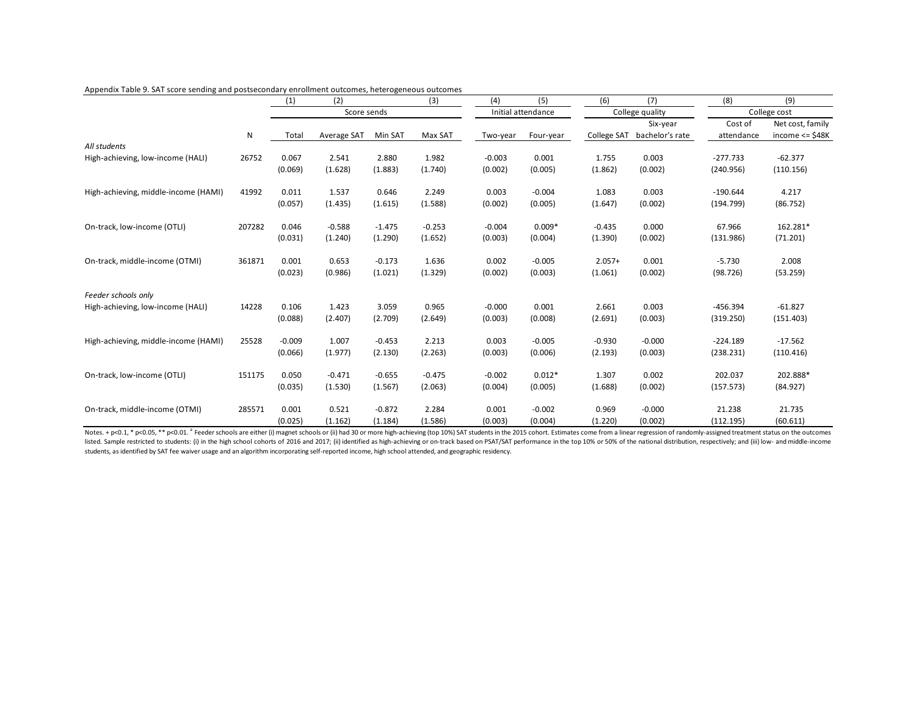|                                      |        | (1)         | (2)         |          | (3)      | (4)      | (5)                | (6)         | (7)             | (8)        | (9)                |  |
|--------------------------------------|--------|-------------|-------------|----------|----------|----------|--------------------|-------------|-----------------|------------|--------------------|--|
|                                      |        | Score sends |             |          |          |          | Initial attendance |             | College quality |            | College cost       |  |
|                                      |        |             |             |          |          |          |                    |             | Six-year        | Cost of    | Net cost, family   |  |
|                                      | N      | Total       | Average SAT | Min SAT  | Max SAT  | Two-year | Four-year          | College SAT | bachelor's rate | attendance | $income \leq $48K$ |  |
| All students                         |        |             |             |          |          |          |                    |             |                 |            |                    |  |
| High-achieving, low-income (HALI)    | 26752  | 0.067       | 2.541       | 2.880    | 1.982    | $-0.003$ | 0.001              | 1.755       | 0.003           | $-277.733$ | $-62.377$          |  |
|                                      |        | (0.069)     | (1.628)     | (1.883)  | (1.740)  | (0.002)  | (0.005)            | (1.862)     | (0.002)         | (240.956)  | (110.156)          |  |
| High-achieving, middle-income (HAMI) | 41992  | 0.011       | 1.537       | 0.646    | 2.249    | 0.003    | $-0.004$           | 1.083       | 0.003           | $-190.644$ | 4.217              |  |
|                                      |        | (0.057)     | (1.435)     | (1.615)  | (1.588)  | (0.002)  | (0.005)            | (1.647)     | (0.002)         | (194.799)  | (86.752)           |  |
| On-track, low-income (OTLI)          | 207282 | 0.046       | $-0.588$    | $-1.475$ | $-0.253$ | $-0.004$ | $0.009*$           | $-0.435$    | 0.000           | 67.966     | 162.281*           |  |
|                                      |        | (0.031)     | (1.240)     | (1.290)  | (1.652)  | (0.003)  | (0.004)            | (1.390)     | (0.002)         | (131.986)  | (71.201)           |  |
| On-track, middle-income (OTMI)       | 361871 | 0.001       | 0.653       | $-0.173$ | 1.636    | 0.002    | $-0.005$           | $2.057+$    | 0.001           | $-5.730$   | 2.008              |  |
|                                      |        | (0.023)     | (0.986)     | (1.021)  | (1.329)  | (0.002)  | (0.003)            | (1.061)     | (0.002)         | (98.726)   | (53.259)           |  |
| Feeder schools only                  |        |             |             |          |          |          |                    |             |                 |            |                    |  |
| High-achieving, low-income (HALI)    | 14228  | 0.106       | 1.423       | 3.059    | 0.965    | $-0.000$ | 0.001              | 2.661       | 0.003           | $-456.394$ | $-61.827$          |  |
|                                      |        | (0.088)     | (2.407)     | (2.709)  | (2.649)  | (0.003)  | (0.008)            | (2.691)     | (0.003)         | (319.250)  | (151.403)          |  |
| High-achieving, middle-income (HAMI) | 25528  | $-0.009$    | 1.007       | $-0.453$ | 2.213    | 0.003    | $-0.005$           | $-0.930$    | $-0.000$        | $-224.189$ | $-17.562$          |  |
|                                      |        | (0.066)     | (1.977)     | (2.130)  | (2.263)  | (0.003)  | (0.006)            | (2.193)     | (0.003)         | (238.231)  | (110.416)          |  |
| On-track, low-income (OTLI)          | 151175 | 0.050       | $-0.471$    | $-0.655$ | $-0.475$ | $-0.002$ | $0.012*$           | 1.307       | 0.002           | 202.037    | 202.888*           |  |
|                                      |        | (0.035)     | (1.530)     | (1.567)  | (2.063)  | (0.004)  | (0.005)            | (1.688)     | (0.002)         | (157.573)  | (84.927)           |  |
| On-track, middle-income (OTMI)       | 285571 | 0.001       | 0.521       | $-0.872$ | 2.284    | 0.001    | $-0.002$           | 0.969       | $-0.000$        | 21.238     | 21.735             |  |
|                                      |        | (0.025)     | (1.162)     | (1.184)  | (1.586)  | (0.003)  | (0.004)            | (1.220)     | (0.002)         | (112.195)  | (60.611)           |  |

#### Appendix Table 9. SAT score sending and postsecondary enrollment outcomes, heterogeneous outcomes

Notes. + p<0.1, \* p<0.05,\*\* p<0.01. <sup>\*</sup> Feder schools are either (i) magnet schools or (ii) had 30 or more high-achieving (top 10%) SAT students in the 2015 cohort. Estimates come from a linear regression of randomly-assig listed. Sample restricted to students: (i) in the high school cohorts of 2016 and 2017; (ii) identified as high-achieving or on-track based on PSAT/SAT performance in the top 10% or 50% of the national distribution, respec students, as identified by SAT fee waiver usage and an algorithm incorporating self‐reported income, high school attended, and geographic residency.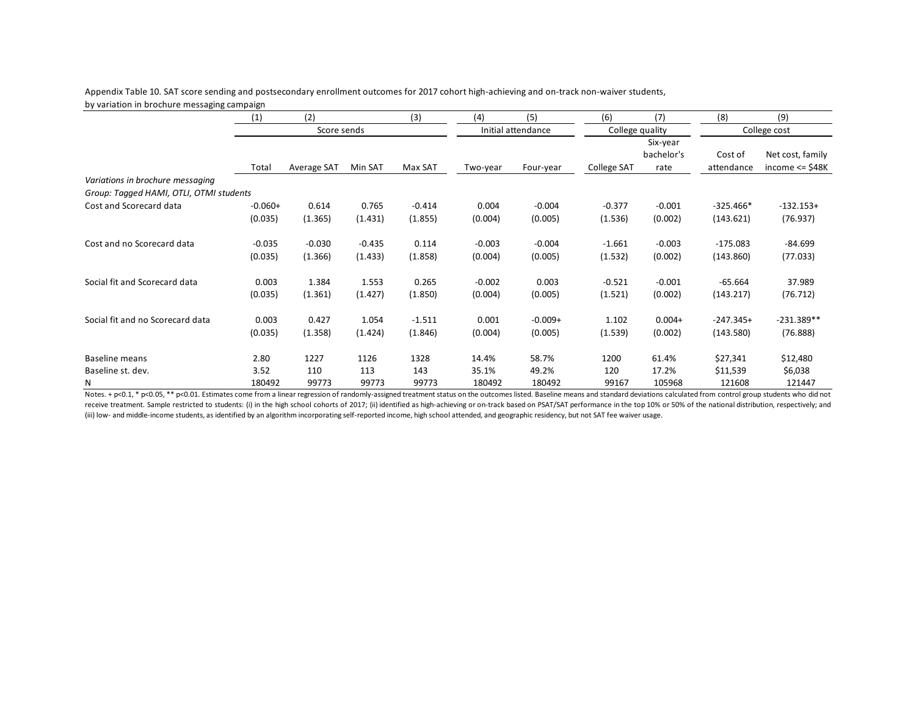### Appendix Table 10. SAT score sending and postsecondary enrollment outcomes for 2017 cohort high-achieving and on-track non-waiver students,

by variation in brochure messaging campaign

|                                         | (1)         | (2)         |          | (3)      | (4)      | (5)                | (6)             | (7)        | (8)          | (9)                |
|-----------------------------------------|-------------|-------------|----------|----------|----------|--------------------|-----------------|------------|--------------|--------------------|
|                                         | Score sends |             |          |          |          | Initial attendance | College quality |            | College cost |                    |
|                                         |             |             |          |          |          |                    |                 | Six-year   |              |                    |
|                                         |             |             |          |          |          |                    |                 | bachelor's | Cost of      | Net cost, family   |
|                                         | Total       | Average SAT | Min SAT  | Max SAT  | Two-year | Four-year          | College SAT     | rate       | attendance   | $income <$ = \$48K |
| Variations in brochure messaging        |             |             |          |          |          |                    |                 |            |              |                    |
| Group: Tagged HAMI, OTLI, OTMI students |             |             |          |          |          |                    |                 |            |              |                    |
| Cost and Scorecard data                 | $-0.060+$   | 0.614       | 0.765    | $-0.414$ | 0.004    | $-0.004$           | $-0.377$        | $-0.001$   | $-325.466*$  | $-132.153+$        |
|                                         | (0.035)     | (1.365)     | (1.431)  | (1.855)  | (0.004)  | (0.005)            | (1.536)         | (0.002)    | (143.621)    | (76.937)           |
|                                         |             |             |          |          |          |                    |                 |            |              |                    |
| Cost and no Scorecard data              | $-0.035$    | $-0.030$    | $-0.435$ | 0.114    | $-0.003$ | $-0.004$           | $-1.661$        | $-0.003$   | $-175.083$   | $-84.699$          |
|                                         | (0.035)     | (1.366)     | (1.433)  | (1.858)  | (0.004)  | (0.005)            | (1.532)         | (0.002)    | (143.860)    | (77.033)           |
| Social fit and Scorecard data           | 0.003       | 1.384       | 1.553    | 0.265    | $-0.002$ | 0.003              | $-0.521$        | $-0.001$   | $-65.664$    | 37.989             |
|                                         | (0.035)     | (1.361)     | (1.427)  | (1.850)  | (0.004)  | (0.005)            | (1.521)         | (0.002)    | (143.217)    | (76.712)           |
| Social fit and no Scorecard data        | 0.003       | 0.427       | 1.054    | $-1.511$ | 0.001    | $-0.009+$          | 1.102           | $0.004+$   | $-247.345+$  | $-231.389**$       |
|                                         | (0.035)     | (1.358)     | (1.424)  | (1.846)  | (0.004)  | (0.005)            | (1.539)         | (0.002)    | (143.580)    | (76.888)           |
|                                         |             |             |          |          |          |                    |                 |            |              |                    |
| <b>Baseline means</b>                   | 2.80        | 1227        | 1126     | 1328     | 14.4%    | 58.7%              | 1200            | 61.4%      | \$27,341     | \$12,480           |
| Baseline st. dev.                       | 3.52        | 110         | 113      | 143      | 35.1%    | 49.2%              | 120             | 17.2%      | \$11,539     | \$6,038            |
| N                                       | 180492      | 99773       | 99773    | 99773    | 180492   | 180492             | 99167           | 105968     | 121608       | 121447             |

Notes. + p<0.1, \* p<0.05, \*\* p<0.01. Estimates come from a linear regression of randomly-assigned treatment status on the outcomes listed. Baseline means and standard deviations calculated from control group students who d receive treatment. Sample restricted to students: (i) in the high school cohorts of 2017; (ii) identified as high-achieving or on-track based on PSAT/SAT performance in the top 10% or 50% of the national distribution, resp (iii) low‐ and middle‐income students, as identified by an algorithm incorporating self‐reported income, high school attended, and geographic residency, but not SAT fee waiver usage.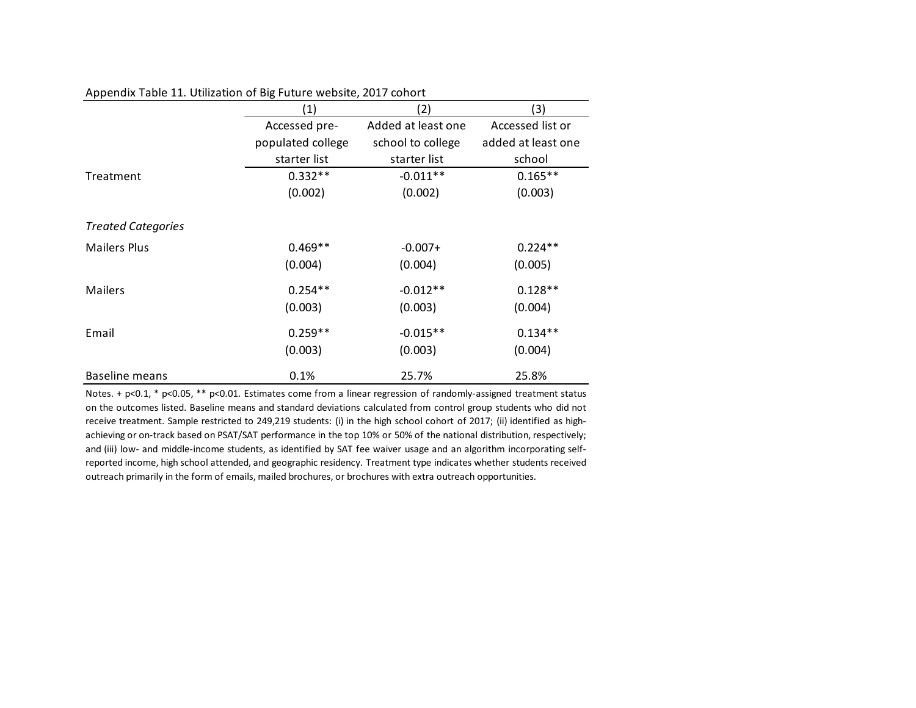|                           | (1)               | (2)                | (3)                |
|---------------------------|-------------------|--------------------|--------------------|
|                           | Accessed pre-     | Added at least one | Accessed list or   |
|                           | populated college | school to college  | added at least one |
|                           | starter list      | starter list       | school             |
| Treatment                 | $0.332**$         | $-0.011**$         | $0.165**$          |
|                           | (0.002)           | (0.002)            | (0.003)            |
| <b>Treated Categories</b> |                   |                    |                    |
| <b>Mailers Plus</b>       | $0.469**$         | $-0.007+$          | $0.224**$          |
|                           | (0.004)           | (0.004)            | (0.005)            |
| <b>Mailers</b>            | $0.254**$         | $-0.012**$         | $0.128**$          |
|                           | (0.003)           | (0.003)            | (0.004)            |
| Email                     | $0.259**$         | $-0.015**$         | $0.134**$          |
|                           | (0.003)           | (0.003)            | (0.004)            |
| Baseline means            | 0.1%              | 25.7%              | 25.8%              |

Appendix Table 11. Utilization of Big Future website, 2017 cohort

Notes. + p<0.1, \* p<0.05, \*\* p<0.01. Estimates come from a linear regression of randomly-assigned treatment status on the outcomes listed. Baseline means and standard deviations calculated from control group students who did not receive treatment. Sample restricted to 249,219 students: (i) in the high school cohort of 2017; (ii) identified as highachieving or on-track based on PSAT/SAT performance in the top 10% or 50% of the national distribution, respectively; and (iii) low- and middle-income students, as identified by SAT fee waiver usage and an algorithm incorporating selfreported income, high school attended, and geographic residency. Treatment type indicates whether students received outreach primarily in the form of emails, mailed brochures, or brochures with extra outreach opportunities.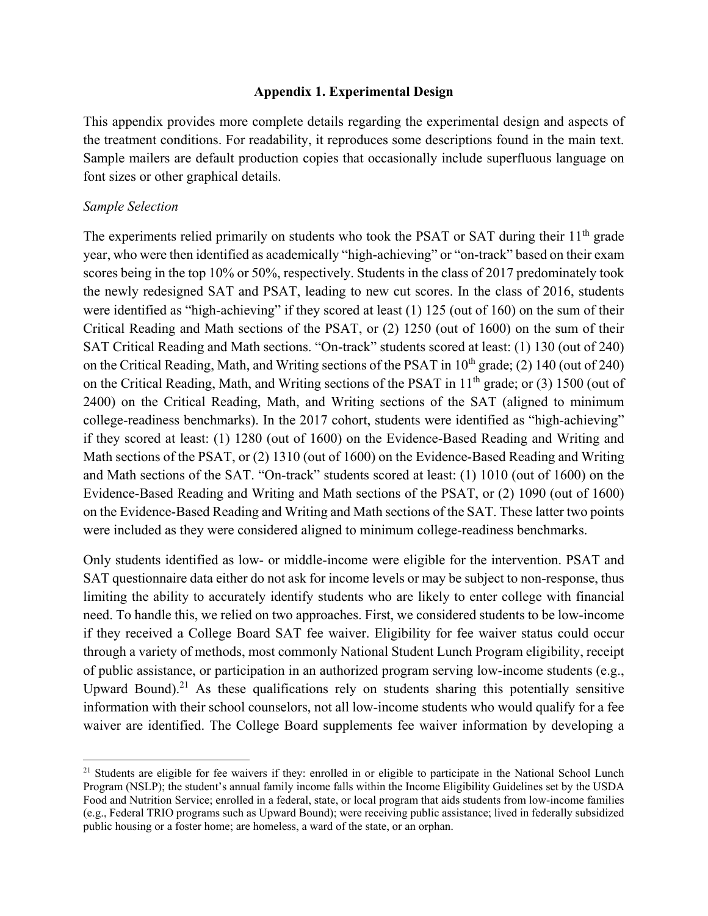# **Appendix 1. Experimental Design**

This appendix provides more complete details regarding the experimental design and aspects of the treatment conditions. For readability, it reproduces some descriptions found in the main text. Sample mailers are default production copies that occasionally include superfluous language on font sizes or other graphical details.

# *Sample Selection*

The experiments relied primarily on students who took the PSAT or SAT during their 11<sup>th</sup> grade year, who were then identified as academically "high-achieving" or "on-track" based on their exam scores being in the top 10% or 50%, respectively. Students in the class of 2017 predominately took the newly redesigned SAT and PSAT, leading to new cut scores. In the class of 2016, students were identified as "high-achieving" if they scored at least (1) 125 (out of 160) on the sum of their Critical Reading and Math sections of the PSAT, or (2) 1250 (out of 1600) on the sum of their SAT Critical Reading and Math sections. "On-track" students scored at least: (1) 130 (out of 240) on the Critical Reading, Math, and Writing sections of the PSAT in  $10<sup>th</sup>$  grade; (2) 140 (out of 240) on the Critical Reading, Math, and Writing sections of the PSAT in 11th grade; or (3) 1500 (out of 2400) on the Critical Reading, Math, and Writing sections of the SAT (aligned to minimum college-readiness benchmarks). In the 2017 cohort, students were identified as "high-achieving" if they scored at least: (1) 1280 (out of 1600) on the Evidence-Based Reading and Writing and Math sections of the PSAT, or (2) 1310 (out of 1600) on the Evidence-Based Reading and Writing and Math sections of the SAT. "On-track" students scored at least: (1) 1010 (out of 1600) on the Evidence-Based Reading and Writing and Math sections of the PSAT, or (2) 1090 (out of 1600) on the Evidence-Based Reading and Writing and Math sections of the SAT. These latter two points were included as they were considered aligned to minimum college-readiness benchmarks.

Only students identified as low- or middle-income were eligible for the intervention. PSAT and SAT questionnaire data either do not ask for income levels or may be subject to non-response, thus limiting the ability to accurately identify students who are likely to enter college with financial need. To handle this, we relied on two approaches. First, we considered students to be low-income if they received a College Board SAT fee waiver. Eligibility for fee waiver status could occur through a variety of methods, most commonly National Student Lunch Program eligibility, receipt of public assistance, or participation in an authorized program serving low-income students (e.g., Upward Bound).<sup>21</sup> As these qualifications rely on students sharing this potentially sensitive information with their school counselors, not all low-income students who would qualify for a fee waiver are identified. The College Board supplements fee waiver information by developing a

<sup>&</sup>lt;sup>21</sup> Students are eligible for fee waivers if they: enrolled in or eligible to participate in the National School Lunch Program (NSLP); the student's annual family income falls within the Income Eligibility Guidelines set by the USDA Food and Nutrition Service; enrolled in a federal, state, or local program that aids students from low-income families (e.g., Federal TRIO programs such as Upward Bound); were receiving public assistance; lived in federally subsidized public housing or a foster home; are homeless, a ward of the state, or an orphan.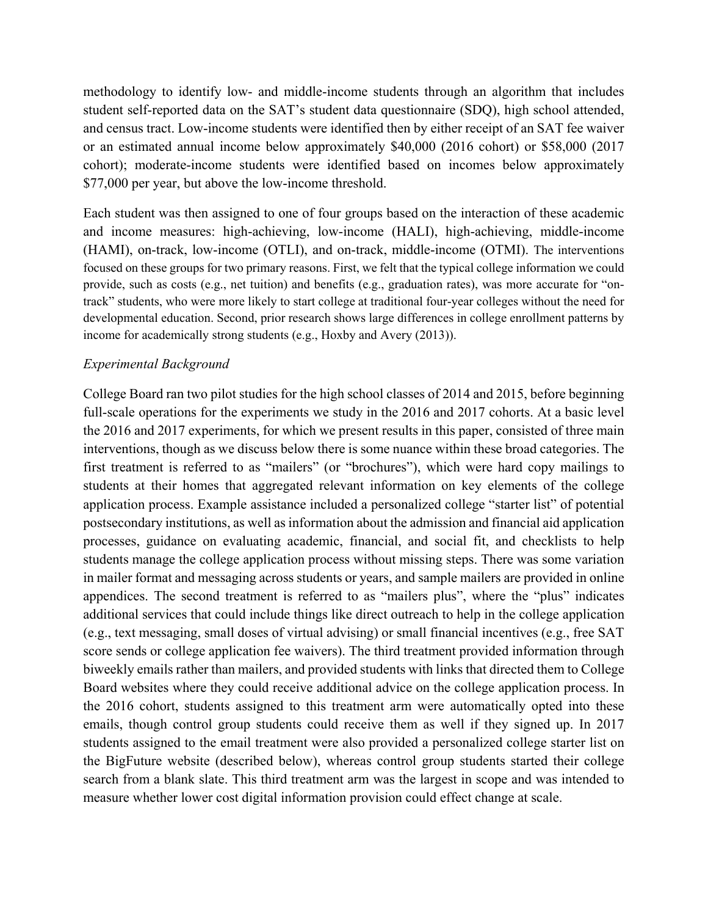methodology to identify low- and middle-income students through an algorithm that includes student self-reported data on the SAT's student data questionnaire (SDQ), high school attended, and census tract. Low-income students were identified then by either receipt of an SAT fee waiver or an estimated annual income below approximately \$40,000 (2016 cohort) or \$58,000 (2017 cohort); moderate-income students were identified based on incomes below approximately \$77,000 per year, but above the low-income threshold.

Each student was then assigned to one of four groups based on the interaction of these academic and income measures: high-achieving, low-income (HALI), high-achieving, middle-income (HAMI), on-track, low-income (OTLI), and on-track, middle-income (OTMI). The interventions focused on these groups for two primary reasons. First, we felt that the typical college information we could provide, such as costs (e.g., net tuition) and benefits (e.g., graduation rates), was more accurate for "ontrack" students, who were more likely to start college at traditional four-year colleges without the need for developmental education. Second, prior research shows large differences in college enrollment patterns by income for academically strong students (e.g., Hoxby and Avery (2013)).

# *Experimental Background*

College Board ran two pilot studies for the high school classes of 2014 and 2015, before beginning full-scale operations for the experiments we study in the 2016 and 2017 cohorts. At a basic level the 2016 and 2017 experiments, for which we present results in this paper, consisted of three main interventions, though as we discuss below there is some nuance within these broad categories. The first treatment is referred to as "mailers" (or "brochures"), which were hard copy mailings to students at their homes that aggregated relevant information on key elements of the college application process. Example assistance included a personalized college "starter list" of potential postsecondary institutions, as well as information about the admission and financial aid application processes, guidance on evaluating academic, financial, and social fit, and checklists to help students manage the college application process without missing steps. There was some variation in mailer format and messaging across students or years, and sample mailers are provided in online appendices. The second treatment is referred to as "mailers plus", where the "plus" indicates additional services that could include things like direct outreach to help in the college application (e.g., text messaging, small doses of virtual advising) or small financial incentives (e.g., free SAT score sends or college application fee waivers). The third treatment provided information through biweekly emails rather than mailers, and provided students with links that directed them to College Board websites where they could receive additional advice on the college application process. In the 2016 cohort, students assigned to this treatment arm were automatically opted into these emails, though control group students could receive them as well if they signed up. In 2017 students assigned to the email treatment were also provided a personalized college starter list on the BigFuture website (described below), whereas control group students started their college search from a blank slate. This third treatment arm was the largest in scope and was intended to measure whether lower cost digital information provision could effect change at scale.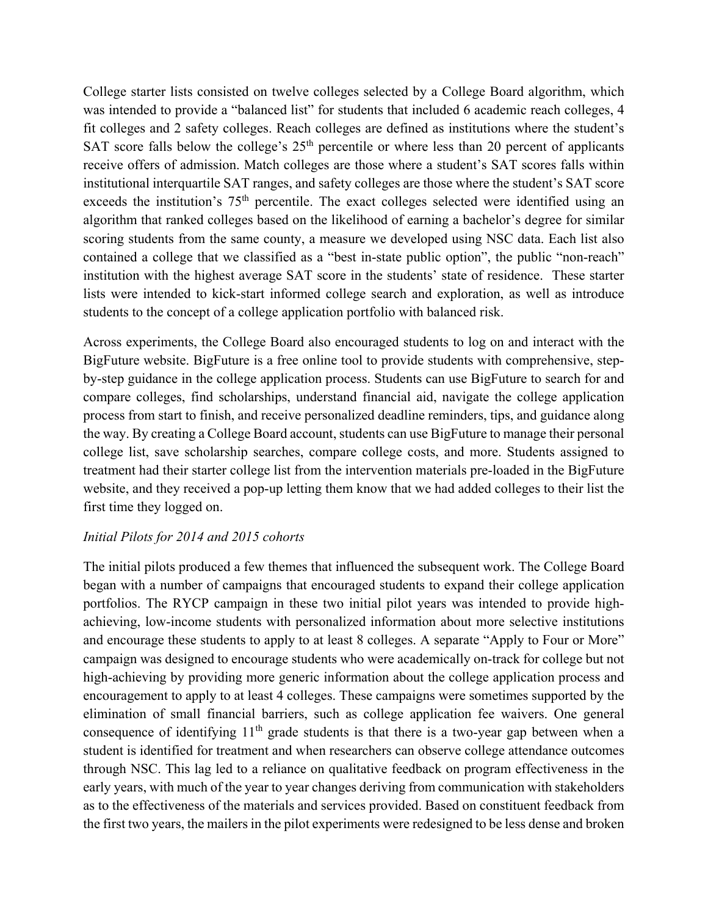College starter lists consisted on twelve colleges selected by a College Board algorithm, which was intended to provide a "balanced list" for students that included 6 academic reach colleges, 4 fit colleges and 2 safety colleges. Reach colleges are defined as institutions where the student's SAT score falls below the college's  $25<sup>th</sup>$  percentile or where less than 20 percent of applicants receive offers of admission. Match colleges are those where a student's SAT scores falls within institutional interquartile SAT ranges, and safety colleges are those where the student's SAT score exceeds the institution's 75<sup>th</sup> percentile. The exact colleges selected were identified using an algorithm that ranked colleges based on the likelihood of earning a bachelor's degree for similar scoring students from the same county, a measure we developed using NSC data. Each list also contained a college that we classified as a "best in-state public option", the public "non-reach" institution with the highest average SAT score in the students' state of residence. These starter lists were intended to kick-start informed college search and exploration, as well as introduce students to the concept of a college application portfolio with balanced risk.

Across experiments, the College Board also encouraged students to log on and interact with the BigFuture website. BigFuture is a free online tool to provide students with comprehensive, stepby-step guidance in the college application process. Students can use BigFuture to search for and compare colleges, find scholarships, understand financial aid, navigate the college application process from start to finish, and receive personalized deadline reminders, tips, and guidance along the way. By creating a College Board account, students can use BigFuture to manage their personal college list, save scholarship searches, compare college costs, and more. Students assigned to treatment had their starter college list from the intervention materials pre-loaded in the BigFuture website, and they received a pop-up letting them know that we had added colleges to their list the first time they logged on.

# *Initial Pilots for 2014 and 2015 cohorts*

The initial pilots produced a few themes that influenced the subsequent work. The College Board began with a number of campaigns that encouraged students to expand their college application portfolios. The RYCP campaign in these two initial pilot years was intended to provide highachieving, low-income students with personalized information about more selective institutions and encourage these students to apply to at least 8 colleges. A separate "Apply to Four or More" campaign was designed to encourage students who were academically on-track for college but not high-achieving by providing more generic information about the college application process and encouragement to apply to at least 4 colleges. These campaigns were sometimes supported by the elimination of small financial barriers, such as college application fee waivers. One general consequence of identifying  $11<sup>th</sup>$  grade students is that there is a two-year gap between when a student is identified for treatment and when researchers can observe college attendance outcomes through NSC. This lag led to a reliance on qualitative feedback on program effectiveness in the early years, with much of the year to year changes deriving from communication with stakeholders as to the effectiveness of the materials and services provided. Based on constituent feedback from the first two years, the mailers in the pilot experiments were redesigned to be less dense and broken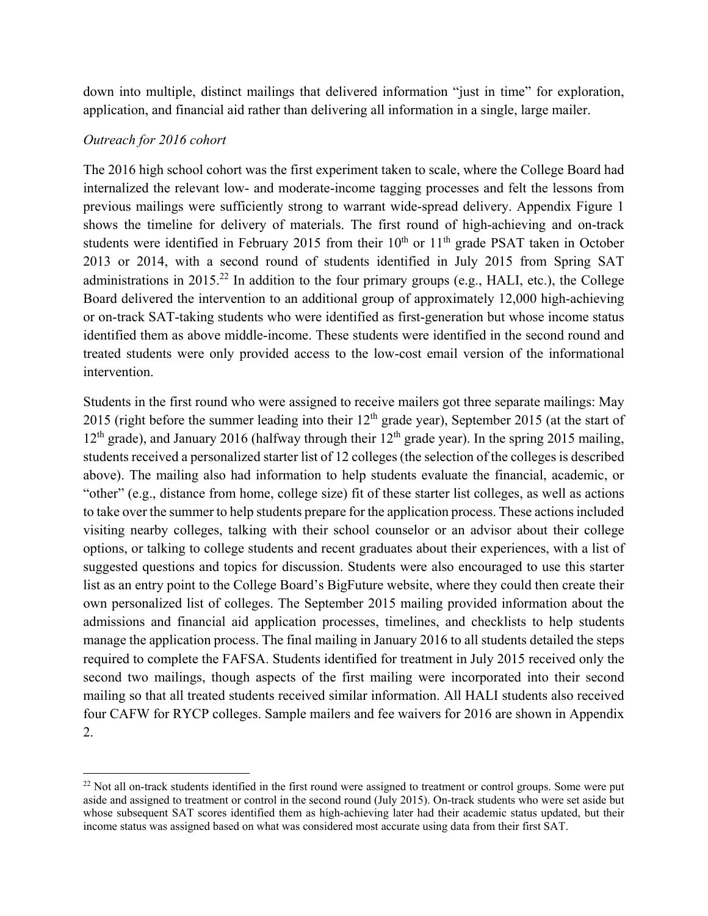down into multiple, distinct mailings that delivered information "just in time" for exploration, application, and financial aid rather than delivering all information in a single, large mailer.

# *Outreach for 2016 cohort*

The 2016 high school cohort was the first experiment taken to scale, where the College Board had internalized the relevant low- and moderate-income tagging processes and felt the lessons from previous mailings were sufficiently strong to warrant wide-spread delivery. Appendix Figure 1 shows the timeline for delivery of materials. The first round of high-achieving and on-track students were identified in February 2015 from their  $10<sup>th</sup>$  or  $11<sup>th</sup>$  grade PSAT taken in October 2013 or 2014, with a second round of students identified in July 2015 from Spring SAT administrations in 2015.<sup>22</sup> In addition to the four primary groups (e.g., HALI, etc.), the College Board delivered the intervention to an additional group of approximately 12,000 high-achieving or on-track SAT-taking students who were identified as first-generation but whose income status identified them as above middle-income. These students were identified in the second round and treated students were only provided access to the low-cost email version of the informational intervention.

Students in the first round who were assigned to receive mailers got three separate mailings: May 2015 (right before the summer leading into their  $12<sup>th</sup>$  grade year), September 2015 (at the start of  $12<sup>th</sup>$  grade), and January 2016 (halfway through their  $12<sup>th</sup>$  grade year). In the spring 2015 mailing, students received a personalized starter list of 12 colleges (the selection of the colleges is described above). The mailing also had information to help students evaluate the financial, academic, or "other" (e.g., distance from home, college size) fit of these starter list colleges, as well as actions to take over the summer to help students prepare for the application process. These actions included visiting nearby colleges, talking with their school counselor or an advisor about their college options, or talking to college students and recent graduates about their experiences, with a list of suggested questions and topics for discussion. Students were also encouraged to use this starter list as an entry point to the College Board's BigFuture website, where they could then create their own personalized list of colleges. The September 2015 mailing provided information about the admissions and financial aid application processes, timelines, and checklists to help students manage the application process. The final mailing in January 2016 to all students detailed the steps required to complete the FAFSA. Students identified for treatment in July 2015 received only the second two mailings, though aspects of the first mailing were incorporated into their second mailing so that all treated students received similar information. All HALI students also received four CAFW for RYCP colleges. Sample mailers and fee waivers for 2016 are shown in Appendix 2.

<sup>&</sup>lt;sup>22</sup> Not all on-track students identified in the first round were assigned to treatment or control groups. Some were put aside and assigned to treatment or control in the second round (July 2015). On-track students who were set aside but whose subsequent SAT scores identified them as high-achieving later had their academic status updated, but their income status was assigned based on what was considered most accurate using data from their first SAT.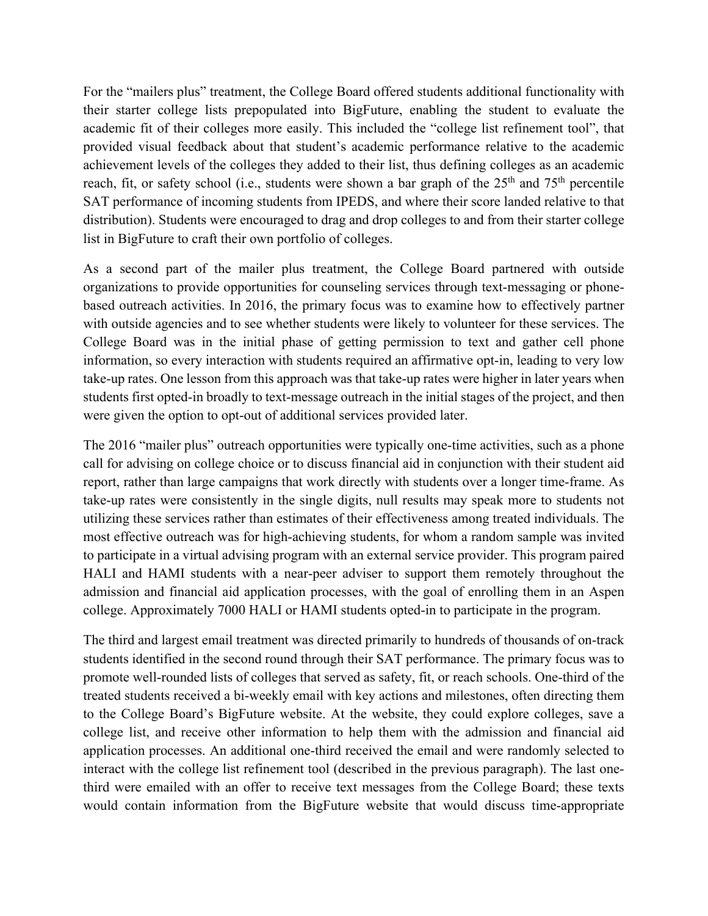For the "mailers plus" treatment, the College Board offered students additional functionality with their starter college lists prepopulated into BigFuture, enabling the student to evaluate the academic fit of their colleges more easily. This included the "college list refinement tool", that provided visual feedback about that student's academic performance relative to the academic achievement levels of the colleges they added to their list, thus defining colleges as an academic reach, fit, or safety school (i.e., students were shown a bar graph of the 25<sup>th</sup> and 75<sup>th</sup> percentile SAT performance of incoming students from IPEDS, and where their score landed relative to that distribution). Students were encouraged to drag and drop colleges to and from their starter college list in BigFuture to craft their own portfolio of colleges.

As a second part of the mailer plus treatment, the College Board partnered with outside organizations to provide opportunities for counseling services through text-messaging or phonebased outreach activities. In 2016, the primary focus was to examine how to effectively partner with outside agencies and to see whether students were likely to volunteer for these services. The College Board was in the initial phase of getting permission to text and gather cell phone information, so every interaction with students required an affirmative opt-in, leading to very low take-up rates. One lesson from this approach was that take-up rates were higher in later years when students first opted-in broadly to text-message outreach in the initial stages of the project, and then were given the option to opt-out of additional services provided later.

The 2016 "mailer plus" outreach opportunities were typically one-time activities, such as a phone call for advising on college choice or to discuss financial aid in conjunction with their student aid report, rather than large campaigns that work directly with students over a longer time-frame. As take-up rates were consistently in the single digits, null results may speak more to students not utilizing these services rather than estimates of their effectiveness among treated individuals. The most effective outreach was for high-achieving students, for whom a random sample was invited to participate in a virtual advising program with an external service provider. This program paired HALI and HAMI students with a near-peer adviser to support them remotely throughout the admission and financial aid application processes, with the goal of enrolling them in an Aspen college. Approximately 7000 HALI or HAMI students opted-in to participate in the program.

The third and largest email treatment was directed primarily to hundreds of thousands of on-track students identified in the second round through their SAT performance. The primary focus was to promote well-rounded lists of colleges that served as safety, fit, or reach schools. One-third of the treated students received a bi-weekly email with key actions and milestones, often directing them to the College Board's BigFuture website. At the website, they could explore colleges, save a college list, and receive other information to help them with the admission and financial aid application processes. An additional one-third received the email and were randomly selected to interact with the college list refinement tool (described in the previous paragraph). The last onethird were emailed with an offer to receive text messages from the College Board; these texts would contain information from the BigFuture website that would discuss time-appropriate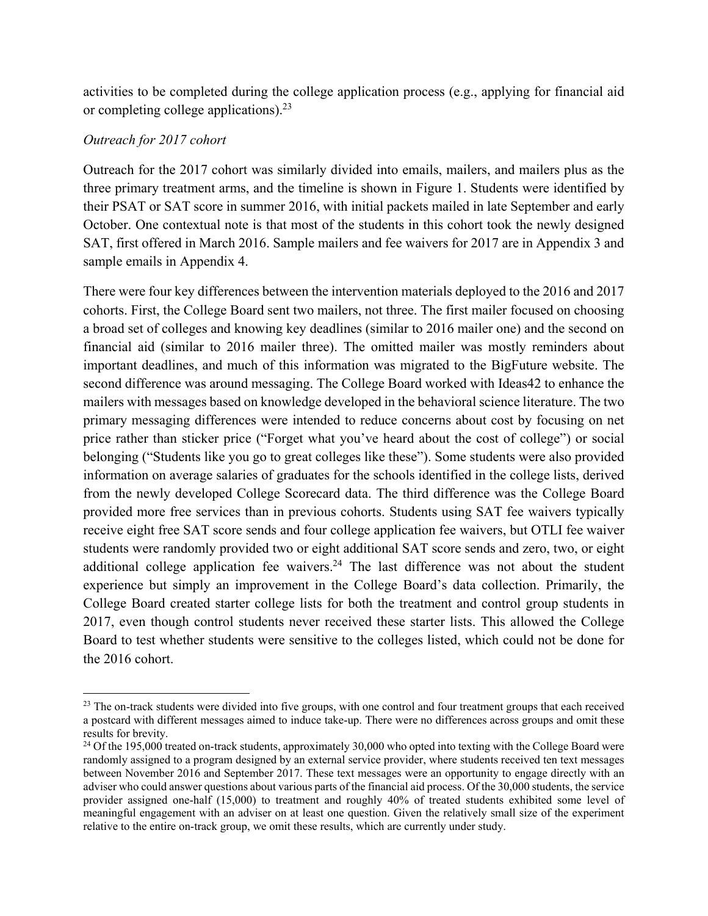activities to be completed during the college application process (e.g., applying for financial aid or completing college applications).23

# *Outreach for 2017 cohort*

Outreach for the 2017 cohort was similarly divided into emails, mailers, and mailers plus as the three primary treatment arms, and the timeline is shown in Figure 1. Students were identified by their PSAT or SAT score in summer 2016, with initial packets mailed in late September and early October. One contextual note is that most of the students in this cohort took the newly designed SAT, first offered in March 2016. Sample mailers and fee waivers for 2017 are in Appendix 3 and sample emails in Appendix 4.

There were four key differences between the intervention materials deployed to the 2016 and 2017 cohorts. First, the College Board sent two mailers, not three. The first mailer focused on choosing a broad set of colleges and knowing key deadlines (similar to 2016 mailer one) and the second on financial aid (similar to 2016 mailer three). The omitted mailer was mostly reminders about important deadlines, and much of this information was migrated to the BigFuture website. The second difference was around messaging. The College Board worked with Ideas42 to enhance the mailers with messages based on knowledge developed in the behavioral science literature. The two primary messaging differences were intended to reduce concerns about cost by focusing on net price rather than sticker price ("Forget what you've heard about the cost of college") or social belonging ("Students like you go to great colleges like these"). Some students were also provided information on average salaries of graduates for the schools identified in the college lists, derived from the newly developed College Scorecard data. The third difference was the College Board provided more free services than in previous cohorts. Students using SAT fee waivers typically receive eight free SAT score sends and four college application fee waivers, but OTLI fee waiver students were randomly provided two or eight additional SAT score sends and zero, two, or eight additional college application fee waivers.<sup>24</sup> The last difference was not about the student experience but simply an improvement in the College Board's data collection. Primarily, the College Board created starter college lists for both the treatment and control group students in 2017, even though control students never received these starter lists. This allowed the College Board to test whether students were sensitive to the colleges listed, which could not be done for the 2016 cohort.

<sup>&</sup>lt;sup>23</sup> The on-track students were divided into five groups, with one control and four treatment groups that each received a postcard with different messages aimed to induce take-up. There were no differences across groups and omit these results for brevity.

 $^{24}$  Of the 195,000 treated on-track students, approximately 30,000 who opted into texting with the College Board were randomly assigned to a program designed by an external service provider, where students received ten text messages between November 2016 and September 2017. These text messages were an opportunity to engage directly with an adviser who could answer questions about various parts of the financial aid process. Of the 30,000 students, the service provider assigned one-half (15,000) to treatment and roughly 40% of treated students exhibited some level of meaningful engagement with an adviser on at least one question. Given the relatively small size of the experiment relative to the entire on-track group, we omit these results, which are currently under study.